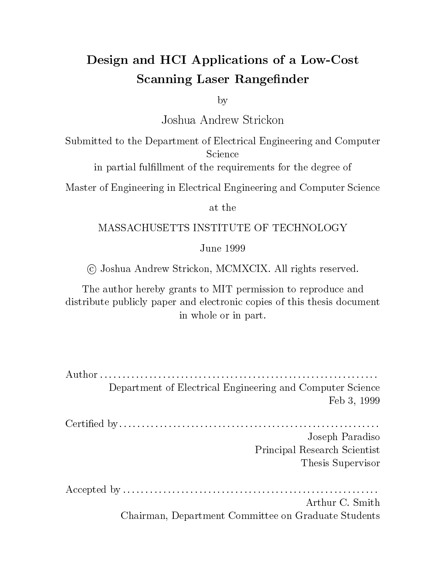## Design and HCI Applications of a Low-Cost Scanning Laser Rangefinder

by

Submitted to the Department of Electrical Engineering and Computer Science

in partial fulllment of the requirements for the degree of

Master of Engineering in Electrical Engineering and Computer Science

at the

### MASSACHUSETTS INSTITUTE OF TECHNOLOGY

June 1999

<sup>c</sup> Joshua Andrew Strickon, MCMXCIX. All rights reserved.

The author hereby grants to MIT permission to reproduce and distribute publicly paper and electronic copies of this thesis document in whole or in part.

| Department of Electrical Engineering and Computer Science |  |
|-----------------------------------------------------------|--|
| Feb 3, 1999                                               |  |
|                                                           |  |
| Joseph Paradiso                                           |  |
| Principal Research Scientist                              |  |
| Thesis Supervisor                                         |  |
|                                                           |  |
| Arthur C. Smith                                           |  |
| Chairman, Department Committee on Graduate Students       |  |

Chairman, Department Committee on Graduate Students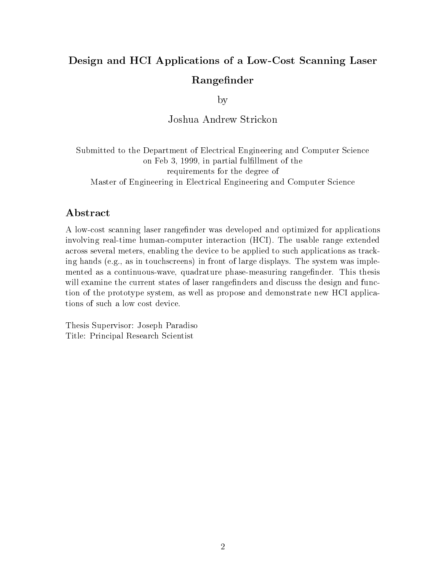## Design and HCI Applications of a Low-Cost Scanning Laser Rangefinder

by

Joshua Andrew Strickon

Submitted to the Department of Electrical Engineering and Computer Science on Feb 3, 1999, in partial fulllment of the requirements for the degree of Master of Engineering in Electrical Engineering and Computer Science

### Abstract

A low-cost scanning laser rangefinder was developed and optimized for applications involving real-time human-computer interaction (HCI). The usable range extended across several meters, enabling the device to be applied to such applications as tracking hands (e.g., as in touchscreens) in front of large displays. The system was implemented as a continuous-wave, quadrature phase-measuring rangefinder. This thesis will examine the current states of laser rangefinders and discuss the design and function of the prototype system, as well as propose and demonstrate new HCI applications of such a low cost device.

Thesis Supervisor: Joseph Paradiso Title: Principal Research Scientist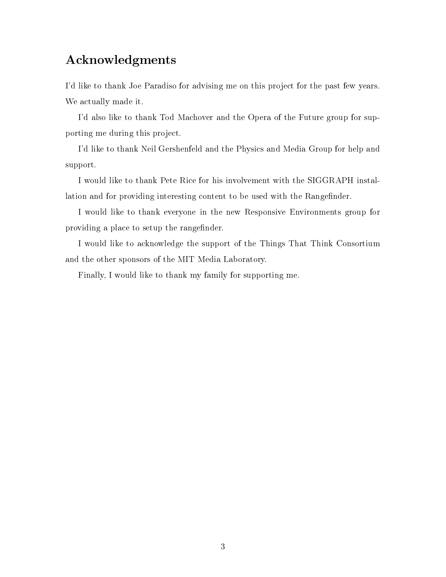### Acknowledgments

I'd like to thank Joe Paradiso for advising me on this project for the past few years. We actually made it.

I'd also like to thank Tod Machover and the Opera of the Future group for supporting me during this project.

I'd like to thank Neil Gershenfeld and the Physics and Media Group for help and support.

I would like to thank Pete Rice for his involvement with the SIGGRAPH installation and for providing interesting content to be used with the Rangefinder.

I would like to thank everyone in the new Responsive Environments group for providing a place to setup the rangefinder.

I would like to acknowledge the support of the Things That Think Consortium and the other sponsors of the MIT Media Laboratory.

Finally, I would like to thank my family for supporting me.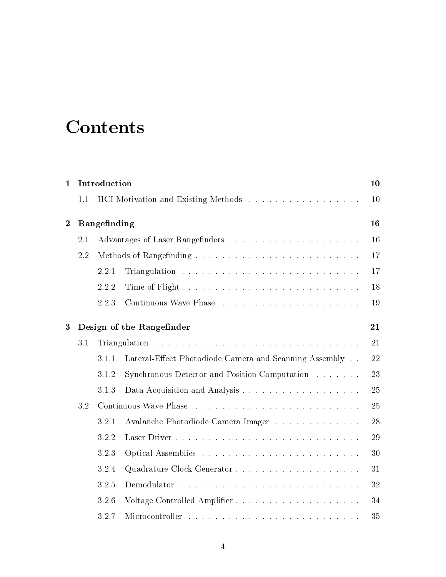# **Contents**

| $\mathbf{1}$     | Introduction<br>1.1<br>Rangefinding<br>2.1<br>2.2<br>2.2.1<br>2.2.2<br>2.2.3<br>3.1<br>3.1.1<br>3.1.2<br>3.1.3 |       | 10                                                     |    |
|------------------|----------------------------------------------------------------------------------------------------------------|-------|--------------------------------------------------------|----|
|                  |                                                                                                                |       | HCI Motivation and Existing Methods                    | 10 |
| $\boldsymbol{2}$ |                                                                                                                |       |                                                        | 16 |
|                  |                                                                                                                |       |                                                        | 16 |
|                  |                                                                                                                |       |                                                        | 17 |
|                  |                                                                                                                |       |                                                        | 17 |
|                  |                                                                                                                |       |                                                        | 18 |
|                  |                                                                                                                |       |                                                        | 19 |
| 3                |                                                                                                                |       | Design of the Rangefinder                              | 21 |
|                  |                                                                                                                |       |                                                        | 21 |
|                  |                                                                                                                |       | Lateral-Effect Photodiode Camera and Scanning Assembly | 22 |
|                  |                                                                                                                |       | Synchronous Detector and Position Computation          | 23 |
|                  |                                                                                                                |       |                                                        | 25 |
|                  | 3.2                                                                                                            |       |                                                        | 25 |
|                  |                                                                                                                | 3.2.1 | Avalanche Photodiode Camera Imager                     | 28 |
|                  |                                                                                                                | 3.2.2 |                                                        | 29 |
|                  |                                                                                                                | 3.2.3 |                                                        | 30 |
|                  |                                                                                                                | 3.2.4 |                                                        | 31 |
|                  |                                                                                                                | 3.2.5 |                                                        | 32 |
|                  |                                                                                                                | 3.2.6 |                                                        | 34 |
|                  |                                                                                                                | 3.2.7 |                                                        | 35 |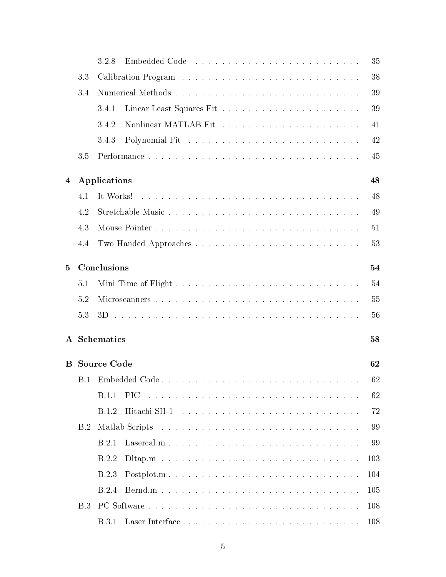|           |     | 3.2.8                         | 35  |
|-----------|-----|-------------------------------|-----|
|           | 3.3 |                               | 38  |
|           | 3.4 |                               | 39  |
|           |     | 3.4.1                         | 39  |
|           |     | 3.4.2                         | 41  |
|           |     | 3.4.3                         | 42  |
|           | 3.5 |                               | 45  |
| 4         |     |                               | 48  |
|           |     | Applications                  |     |
|           | 4.1 | It Works!                     | 48  |
|           | 4.2 |                               | 49  |
|           | 4.3 |                               | 51  |
|           | 4.4 |                               | 53  |
| $\bf{5}$  |     | Conclusions                   | 54  |
|           | 5.1 |                               | 54  |
|           | 5.2 |                               | 55  |
|           | 5.3 |                               | 56  |
| ${\bf A}$ |     | <b>Schematics</b>             | 58  |
|           |     |                               |     |
| $\bf{B}$  |     | <b>Source Code</b>            | 62  |
|           | B.1 |                               | 62  |
|           |     | PIC.<br>B.1.1                 | 62  |
|           |     | B.1.2                         | 72  |
|           | B.2 |                               | 99  |
|           |     | B.2.1<br>$\text{Lasercal.m.}$ | 99  |
|           |     | B.2.2                         | 103 |
|           |     | B.2.3<br>$Postplot.m.$        | 104 |
|           |     | B.2.4                         | 105 |
|           | B.3 |                               | 108 |
|           |     |                               | 108 |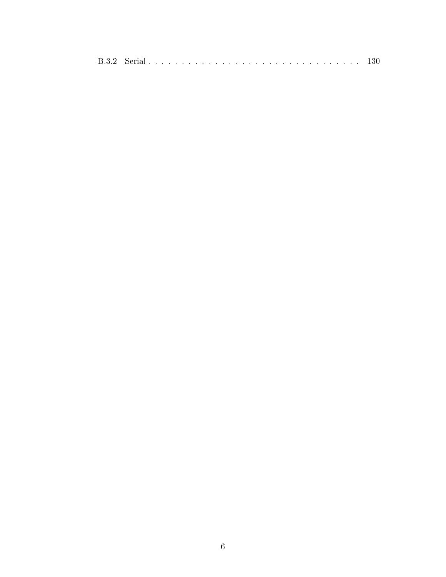|--|--|--|--|--|--|--|--|--|--|--|--|--|--|--|--|--|--|--|--|--|--|--|--|--|--|--|--|--|--|--|--|--|--|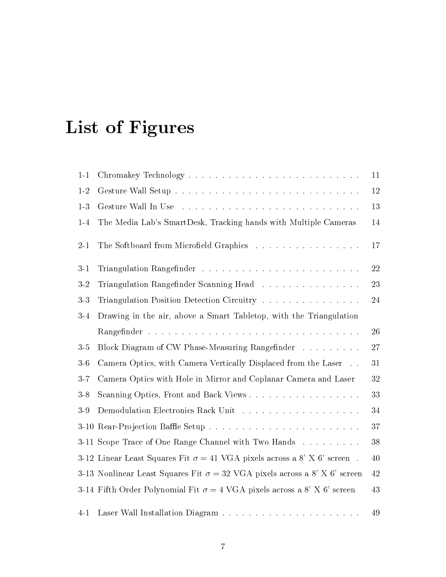# List of Figures

| $1 - 1$ |                                                                                   | 11 |
|---------|-----------------------------------------------------------------------------------|----|
| $1-2$   |                                                                                   | 12 |
| $1-3$   |                                                                                   | 13 |
| $1-4$   | The Media Lab's SmartDesk, Tracking hands with Multiple Cameras                   | 14 |
| $2-1$   | The Softboard from Microfield Graphics                                            | 17 |
| $3-1$   |                                                                                   | 22 |
| $3-2$   | Triangulation Rangefinder Scanning Head                                           | 23 |
| $3-3$   | Triangulation Position Detection Circuitry                                        | 24 |
| $3-4$   | Drawing in the air, above a Smart Tabletop, with the Triangulation                |    |
|         |                                                                                   | 26 |
| $3\,5$  | Block Diagram of CW Phase-Measuring Rangefinder                                   | 27 |
| $3-6$   | Camera Optics, with Camera Vertically Displaced from the Laser                    | 31 |
| $3 - 7$ | Camera Optics with Hole in Mirror and Coplanar Camera and Laser                   | 32 |
| $3-8$   | Scanning Optics, Front and Back Views                                             | 33 |
| $3-9$   |                                                                                   | 34 |
|         |                                                                                   | 37 |
|         | 3-11 Scope Trace of One Range Channel with Two Hands                              | 38 |
|         | 3-12 Linear Least Squares Fit $\sigma = 41$ VGA pixels across a 8' X 6' screen.   | 40 |
|         | 3-13 Nonlinear Least Squares Fit $\sigma = 32$ VGA pixels across a 8' X 6' screen | 42 |
|         | 3-14 Fifth Order Polynomial Fit $\sigma = 4$ VGA pixels across a 8' X 6' screen   | 43 |
| $4 - 1$ |                                                                                   | 49 |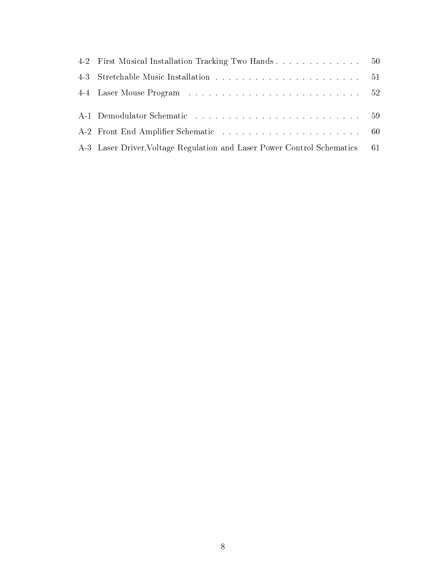| 4-2 First Musical Installation Tracking Two Hands 50                       |  |
|----------------------------------------------------------------------------|--|
|                                                                            |  |
|                                                                            |  |
|                                                                            |  |
|                                                                            |  |
|                                                                            |  |
| A-3 Laser Driver, Voltage Regulation and Laser Power Control Schematics 61 |  |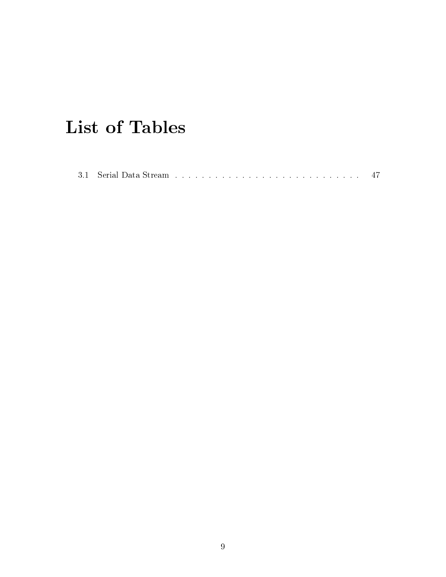# List of Tables

|--|--|--|--|--|--|--|--|--|--|--|--|--|--|--|--|--|--|--|--|--|--|--|--|--|--|--|--|--|--|--|--|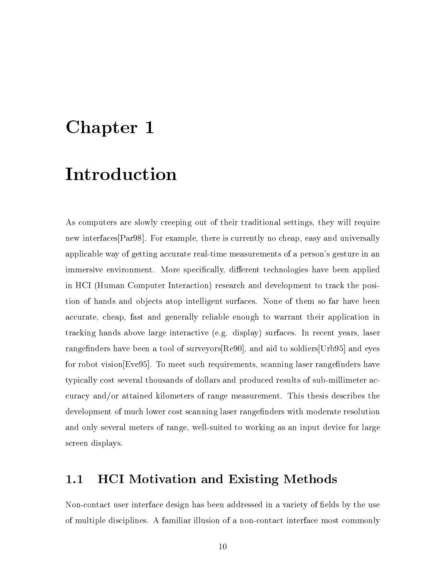## Chapter 1

## Introduction

As computers are slowly creeping out of their traditional settings, they will require new interfaces[Par98]. For example, there is currently no cheap, easy and universally applicable way of getting accurate real-time measurements of a person's gesture in an immersive environment. More specifically, different technologies have been applied in HCI (Human Computer Interaction) research and development to track the position of hands and objects atop intelligent surfaces. None of them so far have been accurate, cheap, fast and generally reliable enough to warrant their application in tracking hands above large interactive (e.g. display) surfaces. In recent years, laser rangefinders have been a tool of surveyors  $[Reg0]$ , and aid to soldiers [Urb95] and eyes for robot vision  $[Eve95]$ . To meet such requirements, scanning laser rangefinders have typically cost several thousands of dollars and produced results of sub-millimeter accuracy and/or attained kilometers of range measurement. This thesis describes the development of much lower cost scanning laser rangefinders with moderate resolution and only several meters of range, well-suited to working as an input device for large screen displays.

### 1.1 HCI Motivation and Existing Methods

Non-contact user interface design has been addressed in a variety of fields by the use of multiple disciplines. A familiar illusion of a non-contact interface most commonly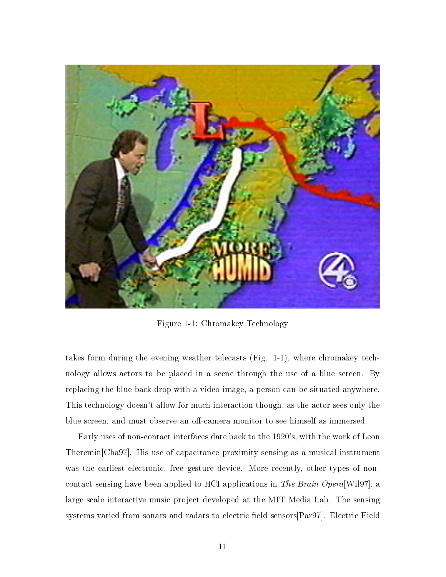

Figure 1-1: Chromakey Technology

takes form during the evening weather telecasts (Fig. 1-1), where chromakey technology allows actors to be placed in a scene through the use of a blue screen. By replacing the blue back drop with a video image, a person can be situated anywhere. This technology doesn't allow for much interaction though, as the actor sees only the blue screen, and must observe an off-camera monitor to see himself as immersed.

Early uses of non-contact interfaces date back to the 1920's, with the work of Leon Theremin[Cha97]. His use of capacitance proximity sensing as a musical instrument was the earliest electronic, free gesture device. More recently, other types of noncontact sensing have been applied to HCI applications in The Brain Opera[Wil97], a large scale interactive music project developed at the MIT Media Lab. The sensing systems varied from sonars and radars to electric field sensors  $\lceil Par97 \rceil$ . Electric Field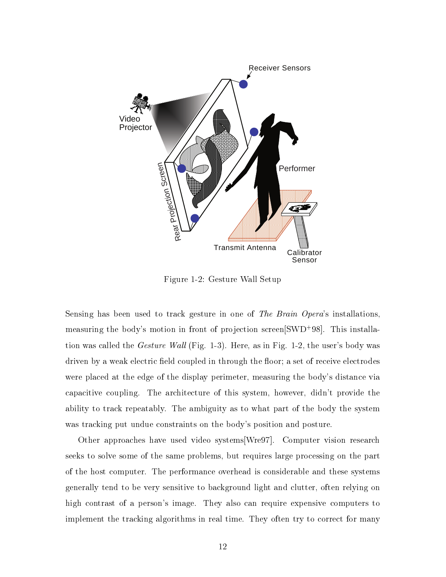

Figure 1-2: Gesture Wall Setup

Sensing has been used to track gesture in one of The Brain Opera's installations, measuring the body's motion in front of projection screen SWD+98. This installation was called the *Gesture Wall* (Fig. 1-3). Here, as in Fig. 1-2, the user's body was driven by a weak electric field coupled in through the floor; a set of receive electrodes were placed at the edge of the display perimeter, measuring the body's distance via capacitive coupling. The architecture of this system, however, didn't provide the ability to track repeatably. The ambiguity as to what part of the body the system was tracking put undue constraints on the body's position and posture.

Other approaches have used video systems[Wre97]. Computer vision research seeks to solve some of the same problems, but requires large processing on the part of the host computer. The performance overhead is considerable and these systems generally tend to be very sensitive to background light and clutter, often relying on high contrast of a person's image. They also can require expensive computers to implement the tracking algorithms in real time. They often try to correct for many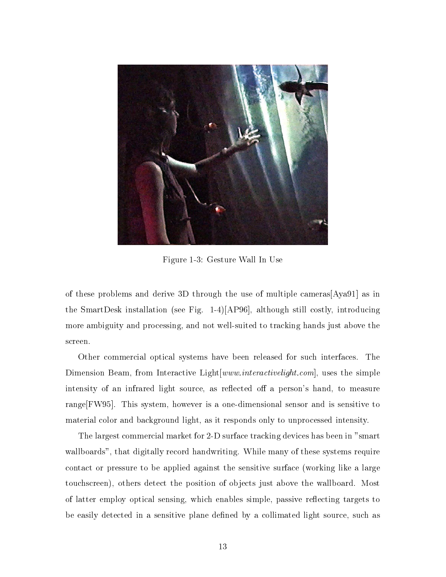

Figure 1-3: Gesture Wall In Use

of these problems and derive 3D through the use of multiple cameras[Aya91] as in the SmartDesk installation (see Fig. 1-4)[AP96], although still costly, introducing more ambiguity and processing, and not well-suited to tracking hands just above the screen.

Other commercial optical systems have been released for such interfaces. The Dimension Beam, from Interactive Light[www.interactivelight.com], uses the simple intensity of an infrared light source, as reflected off a person's hand, to measure range[FW95]. This system, however is a one-dimensional sensor and is sensitive to material color and background light, as it responds only to unprocessed intensity.

The largest commercial market for 2-D surface tracking devices has been in "smart wallboards", that digitally record handwriting. While many of these systems require contact or pressure to be applied against the sensitive surface (working like a large touchscreen), others detect the position of objects just above the wallboard. Most of latter employ optical sensing, which enables simple, passive reflecting targets to be easily detected in a sensitive plane defined by a collimated light source, such as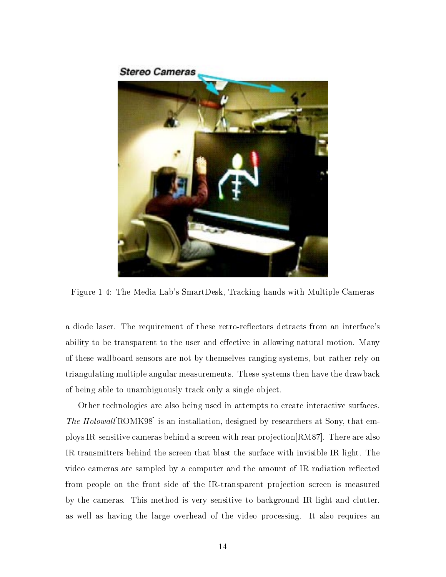#### **Stereo Cameras**



Figure 1-4: The Media Lab's SmartDesk, Tracking hands with Multiple Cameras

a diode laser. The requirement of these retro-reflectors detracts from an interface's ability to be transparent to the user and effective in allowing natural motion. Many of these wallboard sensors are not by themselves ranging systems, but rather rely on triangulating multiple angular measurements. These systems then have the drawback of being able to unambiguously track only a single object.

Other technologies are also being used in attempts to create interactive surfaces. The Holowall<sup>[</sup>ROMK98] is an installation, designed by researchers at Sony, that employs IR-sensitive cameras behind a screen with rear projection[RM87]. There are also IR transmitters behind the screen that blast the surface with invisible IR light. The video cameras are sampled by a computer and the amount of IR radiation reflected from people on the front side of the IR-transparent projection screen is measured by the cameras. This method is very sensitive to background IR light and clutter, as well as having the large overhead of the video processing. It also requires an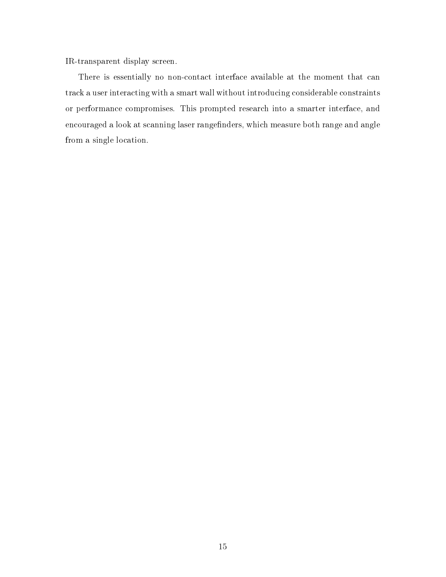IR-transparent display screen.

There is essentially no non-contact interface available at the moment that can track a user interacting with a smart wall without introducing considerable constraints or performance compromises. This prompted research into a smarter interface, and encouraged a look at scanning laser rangefinders, which measure both range and angle from a single location.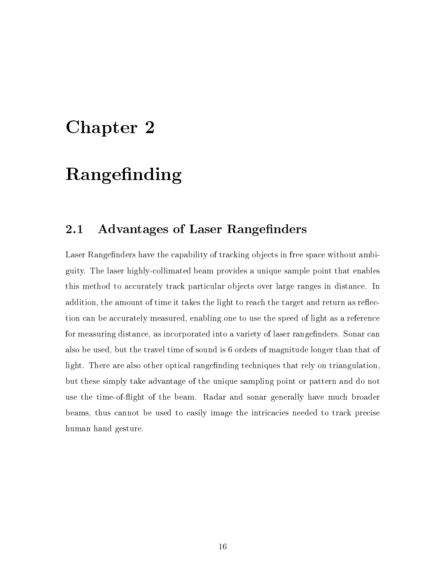## Chapter 2

## Rangefinding

### 2.1 Advantages of Laser Rangefinders

Laser Rangefinders have the capability of tracking objects in free space without ambiguity. The laser highly-collimated beam provides a unique sample point that enables this method to accurately track particular objects over large ranges in distance. In addition, the amount of time it takes the light to reach the target and return as reflection can be accurately measured, enabling one to use the speed of light as a reference for measuring distance, as incorporated into a variety of laser rangefinders. Sonar can also be used, but the travel time of sound is 6 orders of magnitude longer than that of light. There are also other optical range finding techniques that rely on triangulation, but these simply take advantage of the unique sampling point or pattern and do not use the time-ofight of the beam. Radar and sonar generally have much broader beams, thus cannot be used to easily image the intricacies needed to track precise human hand gesture.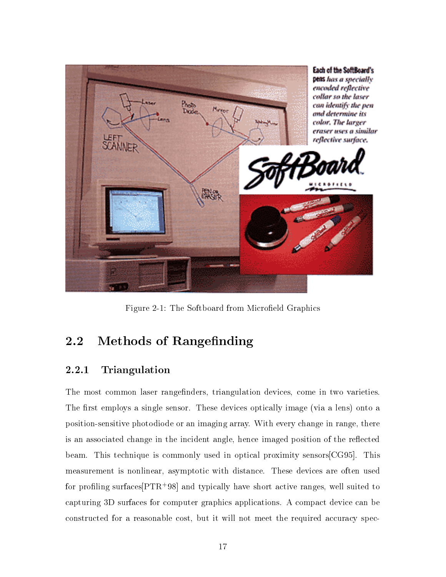

Figure 2-1: The Softboard from Microfield Graphics

### 2.2 Methods of Rangefinding

### 2.2.1 Triangulation

The most common laser rangefinders, triangulation devices, come in two varieties. The first employs a single sensor. These devices optically image (via a lens) onto a position-sensitive photodiode or an imaging array. With every change in range, there is an associated change in the incident angle, hence imaged position of the reflected beam. This technique is commonly used in optical proximity sensors[CG95]. This measurement is nonlinear, asymptotic with distance. These devices are often used for proling surfaces[PTR+ 98] and typically have short active ranges, well suited to capturing 3D surfaces for computer graphics applications. A compact device can be constructed for a reasonable cost, but it will not meet the required accuracy spec-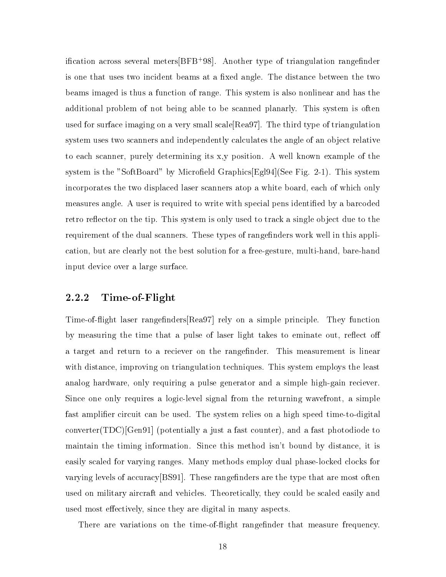ication across several meters[BFB+ 98]. Another type of triangulation rangender is one that uses two incident beams at a fixed angle. The distance between the two beams imaged is thus a function of range. This system is also nonlinear and has the additional problem of not being able to be scanned planarly. This system is often used for surface imaging on a very small scale[Rea97]. The third type of triangulation system uses two scanners and independently calculates the angle of an object relative to each scanner, purely determining its x,y position. A well known example of the system is the "SoftBoard" by Microfield Graphics[Egl94](See Fig. 2-1). This system incorporates the two displaced laser scanners atop a white board, each of which only measures angle. A user is required to write with special pens identied by a barcoded retro reflector on the tip. This system is only used to track a single object due to the requirement of the dual scanners. These types of rangefinders work well in this application, but are clearly not the best solution for a free-gesture, multi-hand, bare-hand input device over a large surface.

### 2.2.2 Time-of-Flight

Time-of-flight laser rangefinders Rea97 rely on a simple principle. They function by measuring the time that a pulse of laser light takes to eminate out, reflect off a target and return to a reciever on the rangefinder. This measurement is linear with distance, improving on triangulation techniques. This system employs the least analog hardware, only requiring a pulse generator and a simple high-gain reciever. Since one only requires a logic-level signal from the returning wavefront, a simple fast amplier circuit can be used. The system relies on a high speed time-to-digital converter(TDC)[Gen91] (potentially a just a fast counter), and a fast photodiode to maintain the timing information. Since this method isn't bound by distance, it is easily scaled for varying ranges. Many methods employ dual phase-locked clocks for varying levels of accuracy  $[BS91]$ . These rangefinders are the type that are most often used on military aircraft and vehicles. Theoretically, they could be scaled easily and used most effectively, since they are digital in many aspects.

There are variations on the time-of-flight rangefinder that measure frequency.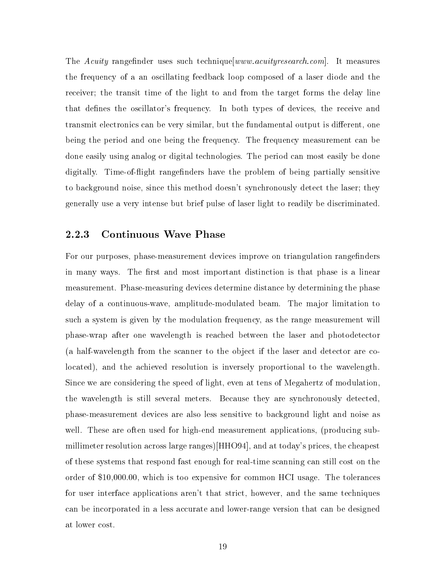The Acuity range finder uses such technique  $|www.acuity$ research.com. It measures the frequency of a an oscillating feedback loop composed of a laser diode and the receiver; the transit time of the light to and from the target forms the delay line that defines the oscillator's frequency. In both types of devices, the receive and transmit electronics can be very similar, but the fundamental output is different, one being the period and one being the frequency. The frequency measurement can be done easily using analog or digital technologies. The period can most easily be done digitally. Time-of-flight rangefinders have the problem of being partially sensitive to background noise, since this method doesn't synchronously detect the laser; they generally use a very intense but brief pulse of laser light to readily be discriminated.

#### $2.2.3$ **Continuous Wave Phase**

For our purposes, phase-measurement devices improve on triangulation rangefinders in many ways. The first and most important distinction is that phase is a linear measurement. Phase-measuring devices determine distance by determining the phase delay of a continuous-wave, amplitude-modulated beam. The major limitation to such a system is given by the modulation frequency, as the range measurement will phase-wrap after one wavelength isreached between the laser and photodetector (a half-wavelength from the scanner to the object if the laser and detector are colocated), and the achieved resolution is inversely proportional to the wavelength. Since we are considering the speed of light, even at tens of Megahertz of modulation, the wavelength is still several meters. Because they are synchronously detected. phase-measurement devices are also less sensitive to background light and noise as well. These are often used for high-end measurement applications, (producing submillimeter resolution across large ranges)[HHO94], and at today's prices, the cheapest of these systems that respond fast enough for real-time scanning can still cost on the order of \$10,000.00, which is too expensive for common HCI usage. The tolerances for user interface applications aren't that strict, however, and the same techniques can be incorporated in a less accurate and lower-range version that can be designed at lower cost.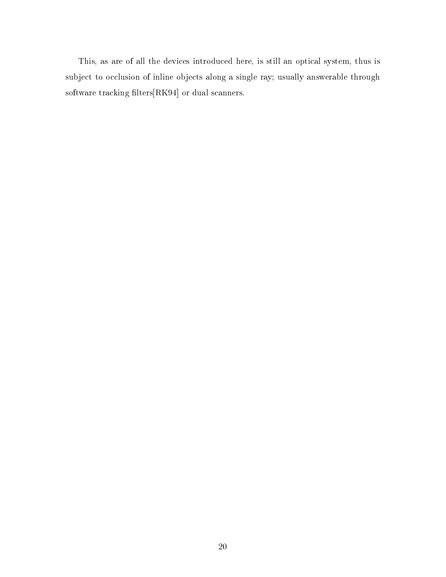This, as are of all the devices introduced here, is still an optical system, thus is subject to occlusion of inline objects along a single ray; usually answerable through software tracking filters[RK94] or dual scanners.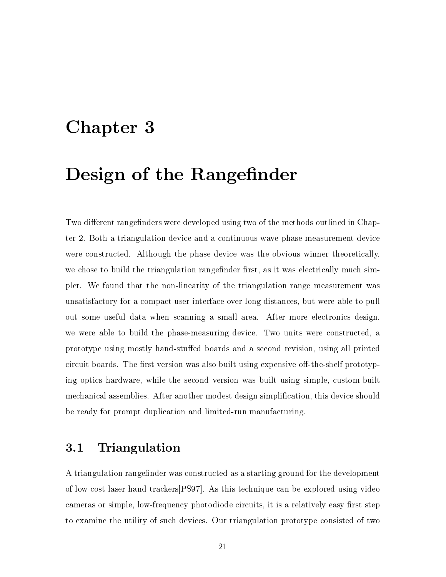## Chapter 3

## Design of the Rangefinder

Two different rangefinders were developed using two of the methods outlined in Chapter 2. Both a triangulation device and a continuous-wave phase measurement device were constructed. Although the phase device was the obvious winner theoretically, we chose to build the triangulation rangefinder first, as it was electrically much simpler. We found that the non-linearity of the triangulation range measurement was unsatisfactory for a compact user interface over long distances, but were able to pull out some useful data when scanning a small area. After more electronics design, we were able to build the phase-measuring device. Two units were constructed, a prototype using mostly hand-stuffed boards and a second revision, using all printed circuit boards. The first version was also built using expensive off-the-shelf prototyping optics hardware, while the second version was built using simple, custom-built mechanical assemblies. After another modest design simplication, this device should be ready for prompt duplication and limited-run manufacturing.

### 3.1 Triangulation

A triangulation rangefinder was constructed as a starting ground for the development of low-cost laser hand trackers[PS97]. As this technique can be explored using video cameras or simple, low-frequency photodiode circuits, it is a relatively easy first step to examine the utility of such devices. Our triangulation prototype consisted of two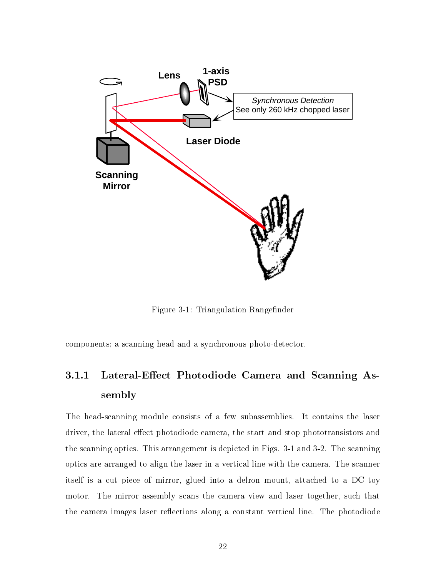

Figure 3-1: Triangulation Rangefinder

components; a scanning head and a synchronous photo-detector.

### 3.1.1 Lateral-Effect Photodiode Camera and Scanning Assembly

The head-scanning module consists of a few subassemblies. It contains the laser driver, the lateral effect photodiode camera, the start and stop phototransistors and the scanning optics. This arrangement is depicted in Figs. 3-1 and 3-2. The scanning optics are arranged to align the laser in a vertical line with the camera. The scanner itself is a cut piece of mirror, glued into a delron mount, attached to a DC toy motor. The mirror assembly scans the camera view and laser together, such that the camera images laser reflections along a constant vertical line. The photodiode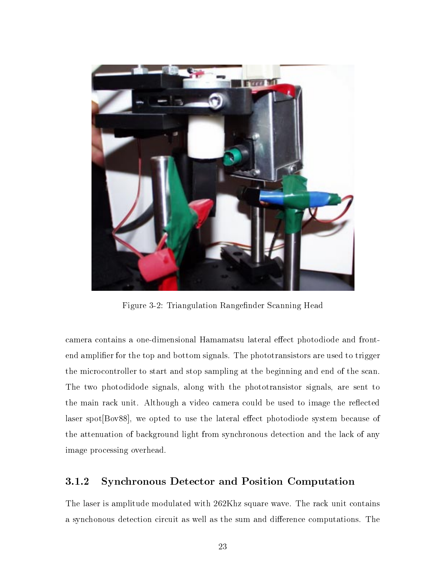

Figure 3-2: Triangulation Rangefinder Scanning Head

camera contains a one-dimensional Hamamatsu lateral effect photodiode and frontend amplier for the top and bottom signals. The phototransistors are used to trigger the microcontroller to start and stop sampling at the beginning and end of the scan. The two photodidode signals, along with the phototransistor signals, are sent to the main rack unit. Although a video camera could be used to image the reflected laser spot $[Box88]$ , we opted to use the lateral effect photodiode system because of the attenuation of background light from synchronous detection and the lack of any image processing overhead.

### 3.1.2 Synchronous Detector and Position Computation

The laser is amplitude modulated with 262Khz square wave. The rack unit contains a synchonous detection circuit as well as the sum and difference computations. The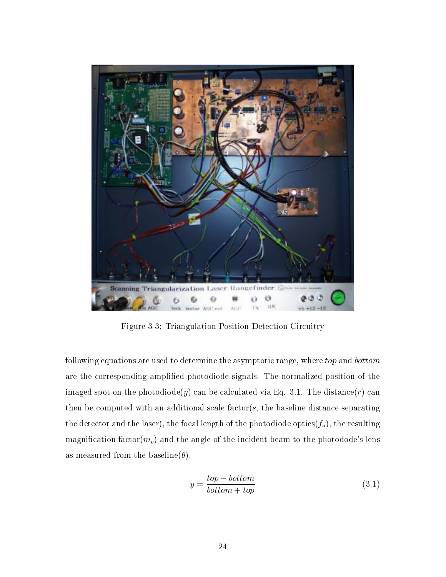

Figure 3-3: Triangulation Position Detection Circuitry

following equations are used to determine the asymptotic range, where top and bottom are the corresponding amplied photodiode signals. The normalized position of the imaged spot on the photodiode(y) can be calculated via Eq. 3.1. The distance(r) can then be computed with an additional scale factor( $s$ , the baseline distance separating the detector and the laser), the focal length of the photodiode optics( $f_o$ ), the resulting magnification factor( $m_o$ ) and the angle of the incident beam to the photodode's lens as measured from the baseline( $\theta$ ).

$$
y = \frac{top - bottom}{bottom + top} \tag{3.1}
$$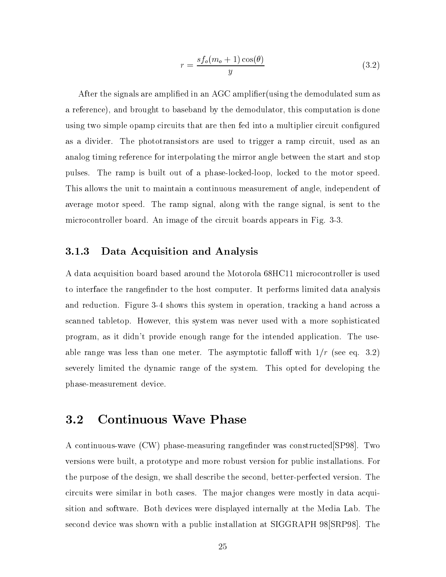$$
r = \frac{sf_o(m_o + 1)\cos(\theta)}{y} \tag{3.2}
$$

After the signals are amplied in an AGC amplier(using the demodulated sum as a reference), and brought to baseband by the demodulator, this computation is done using two simple opamp circuits that are then fed into a multiplier circuit configured as a divider. The phototransistors are used to trigger a ramp circuit, used as an analog timing reference for interpolating the mirror angle between the start and stop pulses. The ramp is built out of a phase-locked-loop, locked to the motor speed. This allows the unit to maintain a continuous measurement of angle, independent of average motor speed. The ramp signal, along with the range signal, is sent to the microcontroller board. An image of the circuit boards appears in Fig. 3-3.

#### 3.1.3 Data Acquisition and Analysis

A data acquisition board based around the Motorola 68HC11 microcontroller is used to interface the rangefinder to the host computer. It performs limited data analysis and reduction. Figure 3-4 shows this system in operation, tracking a hand across a scanned tabletop. However, this system was never used with a more sophisticated program, as it didn't provide enough range for the intended application. The useable range was less than one meter. The asymptotic falloff with  $1/r$  (see eq. 3.2) severely limited the dynamic range of the system. This opted for developing the phase-measurement device.

### 3.2 Continuous Wave Phase

A continuous-wave (CW) phase-measuring rangefinder was constructed [SP98]. Two versions were built, a prototype and more robust version for public installations. For the purpose of the design, we shall describe the second, better-perfected version. The circuits were similar in both cases. The ma jor changes were mostly in data acquisition and software. Both devices were displayed internally at the Media Lab. The second device was shown with a public installation at SIGGRAPH 98 SRP98. The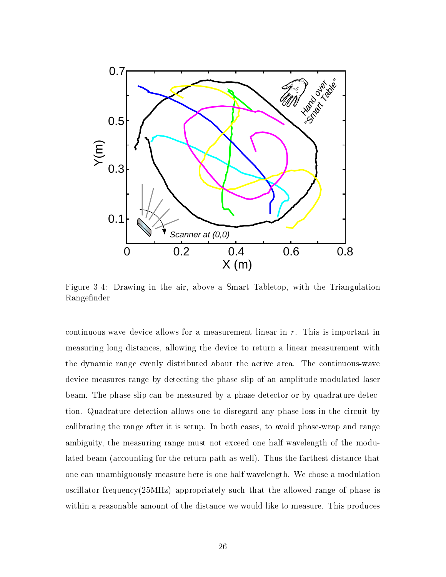

Figure 3-4: Drawing in the air, above a Smart Tabletop, with the Triangulation Rangender

continuous-wave device allows for a measurement linear in  $r$ . This is important in measuring long distances, allowing the device to return a linear measurement with the dynamic range evenly distributed about the active area. The continuous-wave device measures range by detecting the phase slip of an amplitude modulated laser beam. The phase slip can be measured by a phase detector or by quadrature detection. Quadrature detection allows one to disregard any phase loss in the circuit by calibrating the range after it is setup. In both cases, to avoid phase-wrap and range ambiguity, the measuring range must not exceed one half wavelength of the modulated beam (accounting for the return path as well). Thus the farthest distance that one can unambiguously measure here is one half wavelength. We chose a modulation oscillator frequency(25MHz) appropriately such that the allowed range of phase is within a reasonable amount of the distance we would like to measure. This produces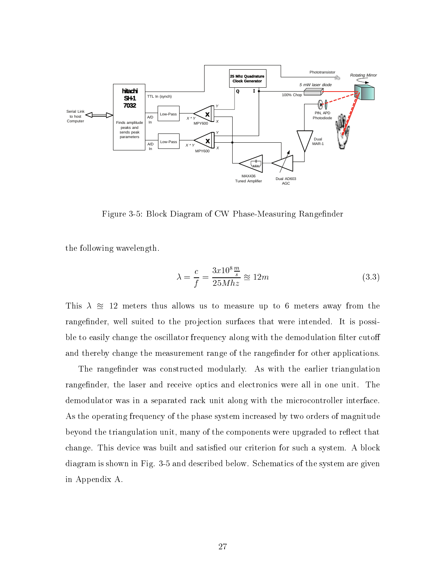

Figure 3-5: Block Diagram of CW Phase-Measuring Rangefinder

the following wavelength.

$$
\lambda = \frac{c}{f} = \frac{3x10^8 \frac{m}{s}}{25Mhz} \approx 12m\tag{3.3}
$$

This  $\lambda \approx 12$  meters thus allows us to measure up to 6 meters away from the range finder, well suited to the projection surfaces that were intended. It is possible to easily change the oscillator frequency along with the demodulation filter cutoff and thereby change the measurement range of the range finder for other applications.

The rangefinder was constructed modularly. As with the earlier triangulation rangefinder, the laser and receive optics and electronics were all in one unit. The demodulator was in a separated rack unit along with the microcontroller interface. As the operating frequency of the phase system increased by two orders of magnitude beyond the triangulation unit, many of the components were upgraded to reflect that change. This device was built and satisfied our criterion for such a system. A block diagram is shown in Fig. 3-5 and described below. Schematics of the system are given in Appendix A.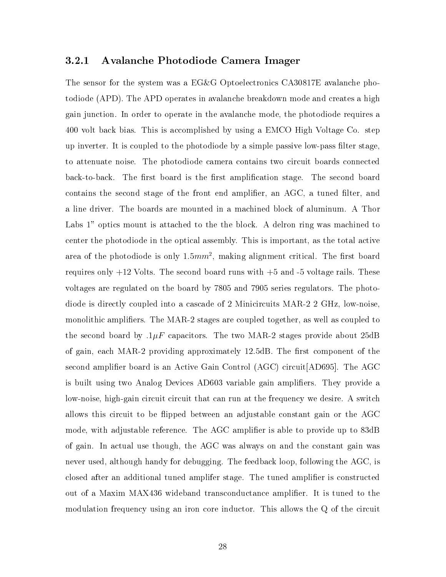#### 3.2.1 Avalanche Photodiode Camera Imager

The sensor for the system was a EG&G Optoelectronics CA30817E avalanche photodiode (APD). The APD operates in avalanche breakdown mode and creates a high gain junction. In order to operate in the avalanche mode, the photodiode requires a 400 volt back bias. This is accomplished by using a EMCO High Voltage Co. step up inverter. It is coupled to the photodiode by a simple passive low-pass lter stage, to attenuate noise. The photodiode camera contains two circuit boards connected back-to-back. The first board is the first amplification stage. The second board contains the second stage of the front end amplifier, an AGC, a tuned filter, and a line driver. The boards are mounted in a machined block of aluminum. A Thor Labs 1" optics mount is attached to the the block. A delron ring was machined to center the photodiode in the optical assembly. This is important, as the total active area of the photodiode is only 1. $\partial m n$  , making alignment critical. The first board requires only  $+12$  Volts. The second board runs with  $+5$  and  $-5$  voltage rails. These voltages are regulated on the board by 7805 and 7905 series regulators. The photodiode is directly coupled into a cascade of 2 Minicircuits MAR-2 2 GHz, low-noise, monolithic ampliers. The MAR-2 stages are coupled together, as well as coupled to the second board by  $.1\mu$ F capacitors. The two MAR-2 stages provide about 25dB of gain, each MAR-2 providing approximately 12.5dB. The first component of the second amplifier board is an Active Gain Control (AGC) circuit [AD695]. The AGC is built using two Analog Devices AD603 variable gain ampliers. They provide a low-noise, high-gain circuit circuit that can run at the frequency we desire. A switch allows this circuit to be ipped between an adjustable constant gain or the AGC mode, with adjustable reference. The AGC amplifier is able to provide up to 83dB of gain. In actual use though, the AGC was always on and the constant gain was never used, although handy for debugging. The feedback loop, following the AGC, is closed after an additional tuned amplifer stage. The tuned amplier is constructed out of a Maxim MAX436 wideband transconductance amplier. It is tuned to the modulation frequency using an iron core inductor. This allows the Q of the circuit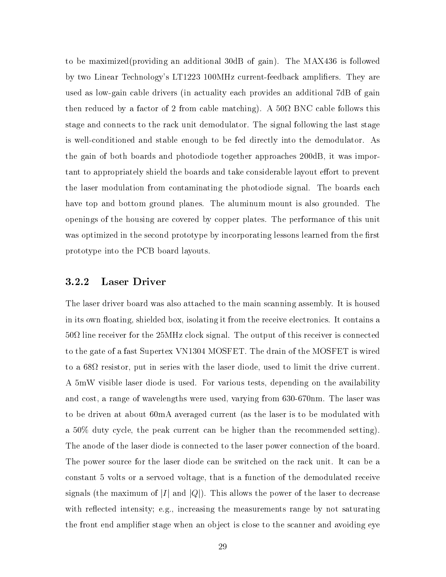to be maximized(providing an additional 30dB of gain). The MAX436 is followed by two Linear Technology's LT1223 100MHz current-feedback amplifiers. They are used as low-gain cable drivers (in actuality each provides an additional 7dB of gain then reduced by a factor of  $2$  from cable follows then  $\mathcal{L}$ stage and connects to the rack unit demodulator. The signal following the last stage is well-conditioned and stable enough to be fed directly into the demodulator. As the gain of both boards and photodiode together approaches 200dB, it was important to appropriately shield the boards and take considerable layout effort to prevent the laser modulation from contaminating the photodiode signal. The boards each have top and bottom ground planes. The aluminum mount is also grounded. The openings of the housing are covered by copper plates. The performance of this unit was optimized in the second prototype by incorporating lessons learned from the first prototype into the PCB board layouts.

#### 3.2.2 Laser Driver

The laser driver board was also attached to the main scanning assembly. It is housed in its own floating, shielded box, isolating it from the receive electronics. It contains a 50 line receiver for the 25MHz clock signal. The output of this receiver is connected to the gate of a fast Supertex VN1304 MOSFET. The drain of the MOSFET is wired to a 68 resistor, put in series with the laser diode, used to limit the drive current. A 5mW visible laser diode is used. For various tests, depending on the availability and cost, a range of wavelengths were used, varying from 630-670nm. The laser was to be driven at about 60mA averaged current (as the laser is to be modulated with a 50% duty cycle, the peak current can be higher than the recommended setting). The anode of the laser diode is connected to the laser power connection of the board. The power source for the laser diode can be switched on the rack unit. It can be a constant 5 volts or a servoed voltage, that is a function of the demodulated receive signals (the maximum of  $|I|$  and  $|Q|$ ). This allows the power of the laser to decrease with reflected intensity; e.g., increasing the measurements range by not saturating the front end amplifier stage when an object is close to the scanner and avoiding eye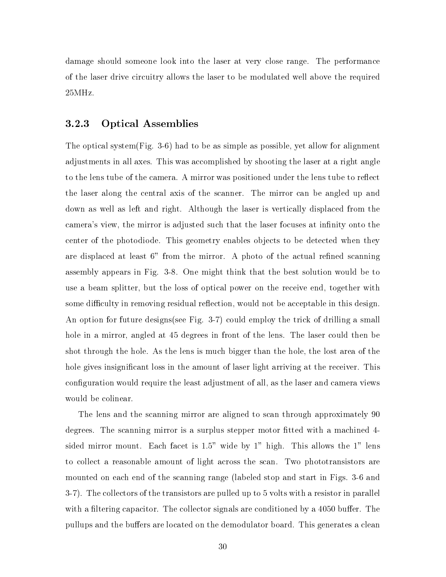damage should someone look into the laser at very close range. The performance of the laser drive circuitry allows the laser to be modulated well above the required 25MHz.

### 3.2.3 Optical Assemblies

The optical system(Fig. 3-6) had to be as simple as possible, yet allow for alignment adjustments in all axes. This was accomplished by shooting the laser at a right angle to the lens tube of the camera. A mirror was positioned under the lens tube to reflect the laser along the central axis of the scanner. The mirror can be angled up and down as well as left and right. Although the laser is vertically displaced from the camera's view, the mirror is adjusted such that the laser focuses at infinity onto the center of the photodiode. This geometry enables objects to be detected when they are displaced at least  $6$ " from the mirror. A photo of the actual refined scanning assembly appears in Fig.3-8. One might think that the best solution would be to use a beam splitter, but the loss of optical power on the receive end, together with some difficulty in removing residual reflection, would not be acceptable in this design. An option for future designs(see Fig. 3-7) could employ the trick of drilling a small hole in a mirror, angled at 45 degrees in front of the lens. The laser could then be shot through the hole. As the lens is much bigger than the hole, the lost area of the hole gives insignificant loss in the amount of laser light arriving at the receiver. This configuration would require the least adjustment of all, as the laser and camera views would be colinear.

The lens and the scanning mirror are aligned to scan through approximately 90 degrees. The scanning mirror is a surplus stepper motor fitted with a machined 4sided mirror mount. Each facet is 1.5" wide by 1" high. This allows the 1" lens to collect a reasonable amount of light across the scan. Two phototransistors are mounted on each end of the scanning range (labeled stop and start in Figs. 3-6 and 3-7). The collectors of the transistors are pulled up to 5 volts with a resistor in parallel with a filtering capacitor. The collector signals are conditioned by a  $4050$  buffer. The pullups and the buffers are located on the demodulator board. This generates a clean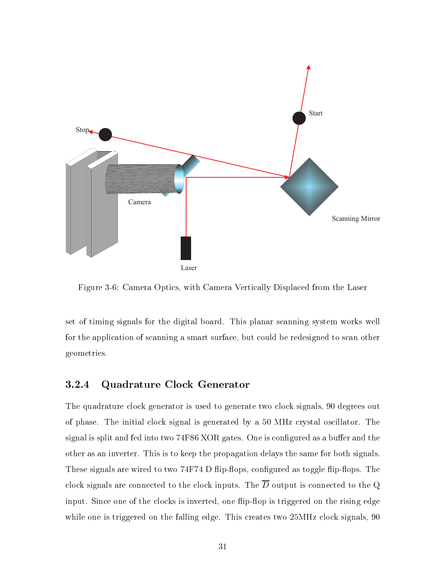

Figure 3-6: Camera Optics, with Camera Vertically Displaced from the Laser

set of timing signals for the digital board. This planar scanning system works well for the application of scanning a smart surface, but could be redesigned to scan other geometries.

### 3.2.4 Quadrature Clock Generator

The quadrature clock generator is used to generate two clock signals, 90 degrees out of phase. The initial clock signal is generated by a 50 MHz crystal oscillator. The signal is split and fed into two 74F86 XOR gates. One is configured as a buffer and the other as an inverter. This is to keep the propagation delays the same for both signals. These signals are wired to two 74F74 D flip-flops, configured as toggle flip-flops. The clock signals are connected to the clock inputs. The  $\overline{D}$  output is connected to the Q input. Since one of the clocks is inverted, one flip-flop is triggered on the rising edge while one is triggered on the falling edge. This creates two  $25MHz$  clock signals, 90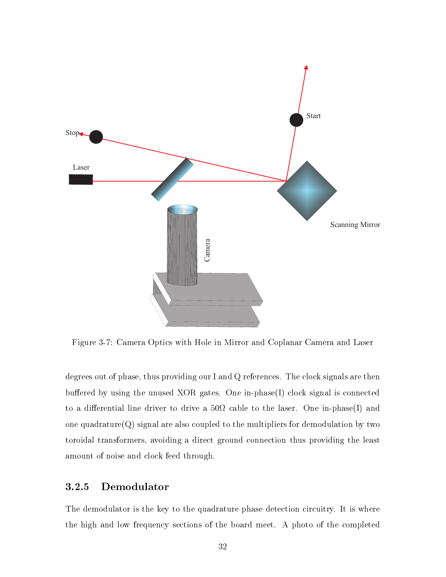

Figure 3-7: Camera Optics with Hole in Mirror and Coplanar Camera and Laser

degrees out of phase, thus providing our I and Q references. The clock signals are then buffered by using the unused XOR gates. One in-phase $(I)$  clock signal is connected to a dierential line driver to drive a 50 cable to the laser. One in-phase(I) and one quadrature $(Q)$  signal are also coupled to the multipliers for demodulation by two toroidal transformers, avoiding a direct ground connection thus providing the least amount of noise and clock feed through.

### 3.2.5 Demodulator

The demodulator is the key to the quadrature phase detection circuitry. It is where the high and low frequency sections of the board meet. A photo of the completed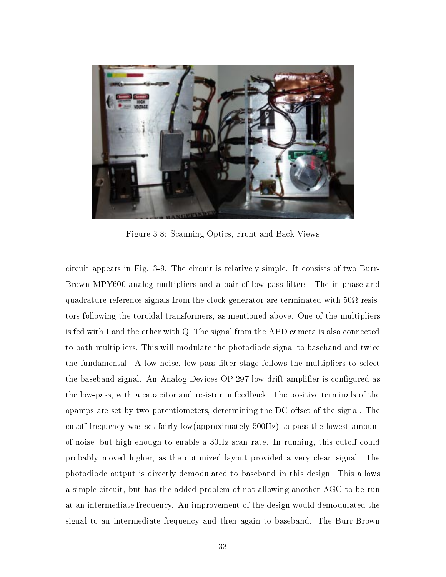

Figure 3-8: Scanning Optics, Front and Back Views

circuit appears in Fig.3-9. The circuit is relatively simple. It consists of two Burr-Brown MPY600 analog multipliers and a pair of low-pass lters. The in-phase and  $\mathbf{q}$ tors following the toroidal transformers, as mentioned above. One of the multipliers is fed with I and the other with Q. The signal from the APD camera is also connected to both multipliers. This will modulate the photodiode signal to baseband and twice the fundamental. A low-noise, low-pass lter stage follows the multipliers to select the baseband signal. An Analog Devices OP-297 low-drift amplifier is configured as the low-pass, with a capacitor and resistor in feedback. The positive terminals of the  $\alpha$  opamps are set by two potentiometers, determining the DC offset of the signal. The cutoff frequency was set fairly low(approximately  $500\text{Hz}$ ) to pass the lowest amount of noise, but high enough to enable a 30Hz scan rate. In running, this cutoff could probably moved higher, as the optimized layout provided a very clean signal. The photodiode output is directly demodulated to baseband in this design. This allows a simple circuit, but has the added problem of not allowing another AGC to be run at an intermediate frequency. An improvement of the design would demodulated the signal to an intermediate frequency and then again to baseband. The Burr-Brown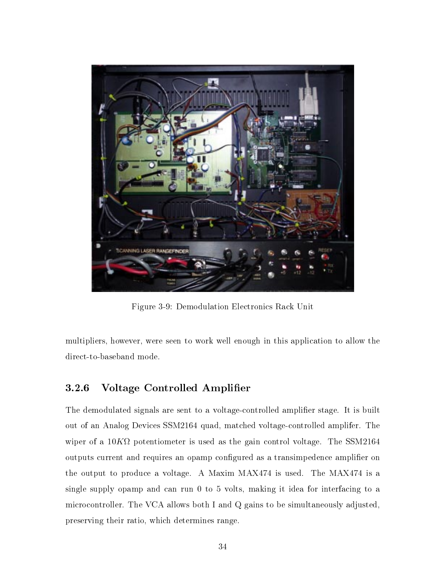

Figure 3-9: Demodulation Electronics Rack Unit

multipliers, however, were seen to work well enough in this application to allow the direct-to-baseband mode.

### 3.2.6 Voltage Controlled Amplier

The demodulated signals are sent to a voltage-controlled amplifier stage. It is built out of an Analog Devices SSM2164 quad, matched voltage-controlled amplifer. The wiper of a 10K  $\mu$  10K  $\mu$  10K  $\mu$  10K  $\mu$  10K  $\mu$  10K  $\mu$  10K  $\mu$  10K  $\mu$  10K  $\mu$  10K  $\mu$ outputs current and requires an opamp configured as a transimpedence amplifier on the output to produce a voltage. A Maxim MAX474 is used. The MAX474 is a single supply opamp and can run 0 to 5 volts, making it idea for interfacing to a microcontroller. The VCA allows both I and Q gains to be simultaneously adjusted, preserving their ratio, which determines range.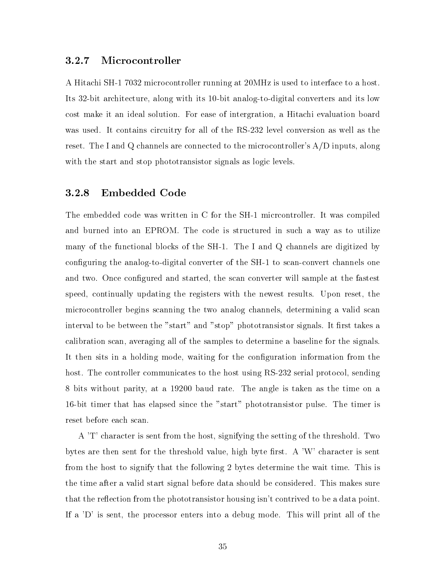### 3.2.7 Microcontroller

A Hitachi SH-1 7032 microcontroller running at 20MHz is used to interface to a host. Its 32-bit architecture, along with its 10-bit analog-to-digital converters and its low cost make it an ideal solution. For ease of intergration, a Hitachi evaluation board was used. It contains circuitry for all of the RS-232 level conversion as well as the reset. The I and Q channels are connected to the microcontroller's A/D inputs, along with the start and stop phototransistor signals as logic levels.

#### 3.2.8 Embedded Code

The embedded code was written in C for the SH-1 micrcontroller. It was compiled and burned into an EPROM. The code is structured in such a way as to utilize many of the functional blocks of the SH-1. The I and Q channels are digitized by configuring the analog-to-digital converter of the SH-1 to scan-convert channels one and two. Once configured and started, the scan converter will sample at the fastest speed, continually updating the registers with the newest results. Upon reset, the microcontroller begins scanning the two analog channels, determining a valid scan interval to be between the "start" and "stop" phototransistor signals. It first takes a calibration scan, averaging all of the samples to determine a baseline for the signals. It then sits in a holding mode, waiting for the configuration information from the host. The controller communicates to the host using RS-232 serial protocol, sending 8 bits without parity, at a 19200 baud rate. The angle is taken as the time on a 16-bit timer that has elapsed since the "start" phototransistor pulse. The timer is reset before each scan.

A 'T' character is sent from the host, signifying the setting of the threshold. Two bytes are then sent for the threshold value, high byte first. A 'W' character is sent from the host to signify that the following 2 bytes determine the wait time. This is the time after a valid start signal before data should be considered. This makes sure that the reflection from the phototransistor housing isn't contrived to be a data point. If a 'D' is sent, the processor enters into a debug mode. This will print all of the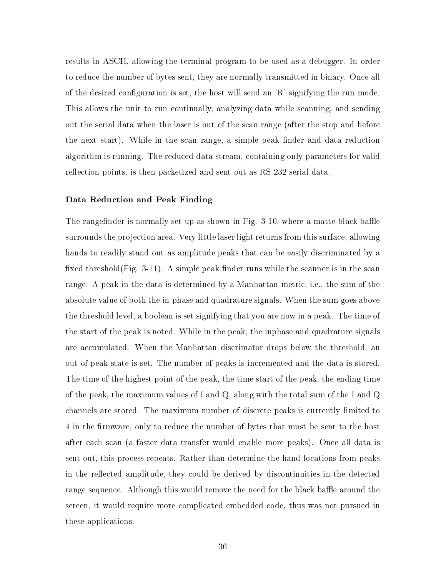results in ASCII, allowing the terminal program to be used as a debugger. In order to reduce the number of bytes sent, they are normally transmitted in binary. Once all of the desired configuration is set, the host will send an  $\mathbb{R}^n$  signifying the run mode. This allows the unit to run continually, analyzing data while scanning, and sending out the serial data when the laser is out of the scan range (after the stop and before the next start). While in the scan range, a simple peak finder and data reduction algorithm is running. The reduced data stream, containing only parameters for valid reflection points, is then packetized and sent out as RS-232 serial data.

#### Data Reduction and Peak Finding

The rangefinder is normally set up as shown in Fig. 3-10, where a matte-black baffle surrounds the projection area. Very little laser light returns from this surface, allowing hands to readily stand out as amplitude peaks that can be easily discriminated by a fixed threshold  $(Fig. 3-11)$ . A simple peak finder runs while the scanner is in the scan range. A peak in the data is determined by a Manhattan metric, i.e., the sum of the absolute value of both the in-phase and quadrature signals. When the sum goes above the threshold level, a boolean is set signifying that you are now in a peak. The time of the start of the peak is noted. While in the peak, the inphase and quadrature signals are accumulated. When the Manhattan discrimator drops below the threshold, an out-of-peak state is set. The number of peaks is incremented and the data is stored. The time of the highest point of the peak, the time start of the peak, the ending time of the peak, the maximum values of I and Q, along with the total sum of the I and Q channels are stored. The maximum number of discrete peaks is currently limited to 4 in the firmware, only to reduce the number of bytes that must be sent to the host after each scan (a faster data transfer would enable more peaks). Once all data is sent out, this process repeats. Rather than determine the hand locations from peaks in the re
ected amplitude, they could be derived by discontinuities in the detected range sequence. Although this would remove the need for the black baffle around the screen, it would require more complicated embedded code, thus was not pursued in these applications.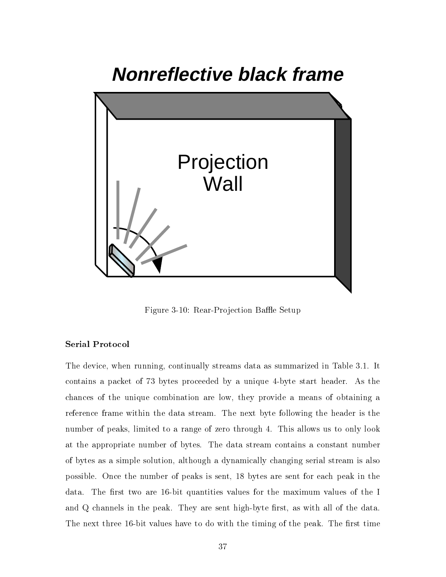# **Nonreflective black frame**



Figure 3-10: Rear-Projection Baffle Setup

### Serial Protocol

The device, when running, continually streams data as summarized in Table 3.1. It contains a packet of 73 bytes proceeded by a unique 4-byte start header. As the chances of the unique combination are low, they provide a means of obtaining a reference frame within the data stream. The next byte following the header is the number of peaks, limited to a range of zero through 4. This allows us to only look at the appropriate number of bytes. The data stream contains a constant number of bytes as a simple solution, although a dynamically changing serial stream is also possible. Once the number of peaks is sent, 18 bytes are sent for each peak in the data. The first two are 16-bit quantities values for the maximum values of the I and Q channels in the peak. They are sent high-byte first, as with all of the data. The next three 16-bit values have to do with the timing of the peak. The first time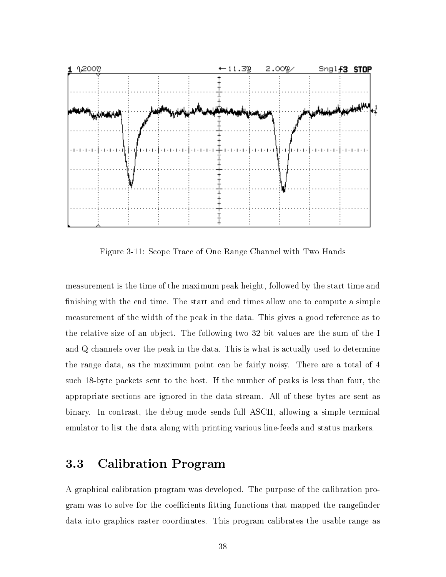

Figure 3-11: Scope Trace of One Range Channel with Two Hands

measurement is the time of the maximum peak height, followed by the start time and nishing with the end time. The start and end times allow one to compute a simple measurement of the width of the peak in the data. This gives a good reference as to the relative size of an object. The following two 32 bit values are the sum of the I and Q channels over the peak in the data. This is what is actually used to determine the range data, as the maximum point can be fairly noisy. There are a total of 4 such 18-byte packets sent to the host. If the number of peaks is less than four, the appropriate sections are ignored in the data stream. All of these bytes are sent as binary. In contrast, the debug mode sends full ASCII, allowing a simple terminal emulator to list the data along with printing various line-feeds and status markers.

#### Calibration Program  $3.3$

A graphical calibration program was developed. The purpose of the calibration program was to solve for the coefficients fitting functions that mapped the rangefinder data into graphics raster coordinates. This program calibrates the usable range as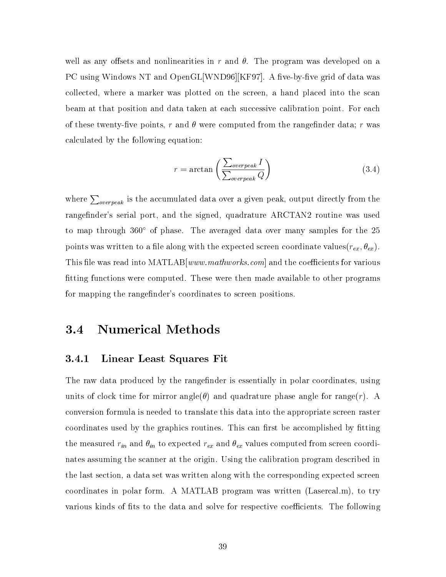well as any offsets and nonlinearities in r and  $\theta$ . The program was developed on a PC using Windows NT and OpenGL [WND96]  $KF97$ ]. A five-by-five grid of data was collected, where a marker was plotted on the screen, a hand placed into the scan beam at that position and data taken at each successive calibration point. For each of these twenty-five points, r and  $\theta$  were computed from the rangefinder data; r was calculated by the following equation:

$$
r = \arctan\left(\frac{\sum_{overpeak} I}{\sum_{overpeak} Q}\right)
$$
 (3.4)

where  $\sum_{overpeak}$  is the accumulated data over a given peak, output directly from the rangefinder's serial port, and the signed, quadrature ARCTAN2 routine was used to map through  $360^{\circ}$  of phase. The averaged data over many samples for the 25 points was written to a file along with the expected screen coordinate values( $r_{ex}$ ,  $\theta_{ex}$ ). This file was read into  $\text{MATLAB}[www.mathworks.com]$  and the coefficients for various tting functions were computed. These were then made available to other programs for mapping the rangefinder's coordinates to screen positions.

## 3.4 Numerical Methods

### 3.4.1 Linear Least Squares Fit

The raw data produced by the rangefinder is essentially in polar coordinates, using units of clock time for mirror angle( $\theta$ ) and quadrature phase angle for range(*r*). A conversion formula is needed to translate this data into the appropriate screen raster coordinates used by the graphics routines. This can first be accomplished by fitting the measured  $r_{in}$  and  $\theta_{in}$  to expected  $r_{ex}$  and  $\theta_{ex}$  values computed from screen coordinates assuming the scanner at the origin. Using the calibration program described in the last section, a data set was written along with the corresponding expected screen coordinates in polar form. A MATLAB program was written (Lasercal.m), to try various kinds of fits to the data and solve for respective coefficients. The following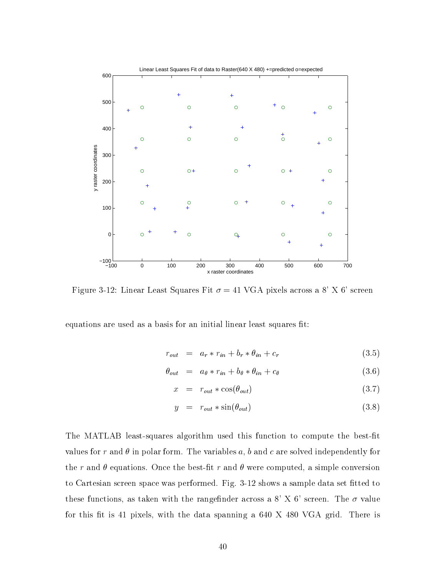

Figure 3-12: Linear Least Squares Fit  $\sigma = 41$  VGA pixels across a 8' X 6' screen

equations are used as a basis for an initial linear least squares fit:

$$
r_{out} = a_r * r_{in} + b_r * \theta_{in} + c_r \tag{3.5}
$$

$$
\theta_{out} = a_{\theta} * r_{in} + b_{\theta} * \theta_{in} + c_{\theta} \tag{3.6}
$$

$$
x = r_{out} * \cos(\theta_{out}) \tag{3.7}
$$

$$
y = r_{out} * sin(\theta_{out}) \tag{3.8}
$$

The MATLAB least-squares algorithm used this function to compute the best-fit values for r and  $\theta$  in polar form. The variables a, b and c are solved independently for the r and  $\theta$  equations. Once the best-fit r and  $\theta$  were computed, a simple conversion to Cartesian screen space was performed. Fig. 3-12 shows a sample data set fitted to these functions, as taken with the rangefinder across a 8' X 6' screen. The  $\sigma$  value for this fit is 41 pixels, with the data spanning a  $640$  X 480 VGA grid. There is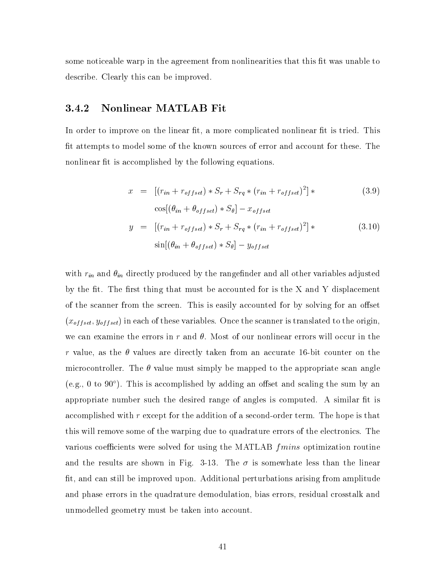some noticeable warp in the agreement from nonlinearities that this fit was unable to describe. Clearly this can be improved.

### 3.4.2 Nonlinear MATLAB Fit

In order to improve on the linear fit, a more complicated nonlinear fit is tried. This fit attempts to model some of the known sources of error and account for these. The nonlinear fit is accomplished by the following equations.

$$
x = [(r_{in} + r_{offset}) * S_r + S_{rq} * (r_{in} + r_{offset})^2] * \qquad (3.9)
$$
  
\n
$$
\cos[(\theta_{in} + \theta_{offset}) * S_{\theta}] - x_{offset}
$$
  
\n
$$
y = [(r_{in} + r_{offset}) * S_r + S_{rq} * (r_{in} + r_{offset})^2] * \qquad (3.10)
$$
  
\n
$$
\sin[(\theta_{in} + \theta_{offset}) * S_{\theta}] - y_{offset}
$$

with  $r_{in}$  and  $\theta_{in}$  directly produced by the rangefinder and all other variables adjusted by the fit. The first thing that must be accounted for is the  $X$  and  $Y$  displacement of the scanner from the screen. This is easily accounted for by solving for an offset  $(x_{offset}, y_{offset})$  in each of these variables. Once the scanner is translated to the origin, we can examine the errors in r and  $\theta$ . Most of our nonlinear errors will occur in the r value, as the  $\theta$  values are directly taken from an accurate 16-bit counter on the microcontroller. The  $\theta$  value must simply be mapped to the appropriate scan angle (e.g., 0 to 90 $^{\circ}$ ). This is accomplished by adding an offset and scaling the sum by an appropriate number such the desired range of angles is computed. A similar fit is accomplished with  $r$  except for the addition of a second-order term. The hope is that this will remove some of the warping due to quadrature errors of the electronics. The various coefficients were solved for using the MATLAB  $fmins$  optimization routine and the results are shown in Fig. 3-13. The  $\sigma$  is somewhate less than the linear fit, and can still be improved upon. Additional perturbations arising from amplitude and phase errors in the quadrature demodulation, bias errors, residual crosstalk and unmodelled geometry must be taken into account.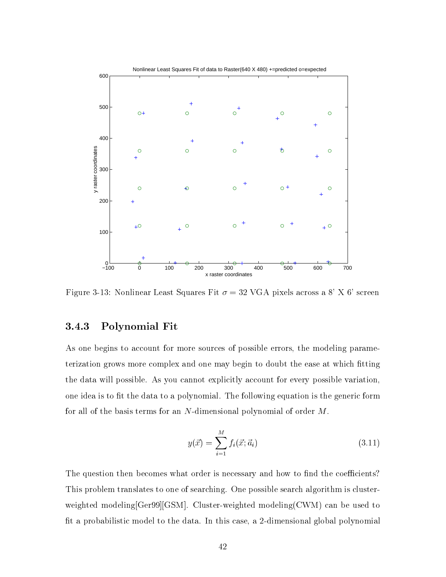

Figure 3-13: Nonlinear Least Squares Fit  $\sigma = 32$  VGA pixels across a 8' X 6' screen

### 3.4.3 Polynomial Fit

As one begins to account for more sources of possible errors, the modeling parameterization grows more complex and one may begin to doubt the ease at which fitting the data will possible. As you cannot explicitly account for every possible variation, one idea is to fit the data to a polynomial. The following equation is the generic form for all of the basis terms for an N-dimensional polynomial of order M.

$$
y(\vec{x}) = \sum_{i=1}^{M} f_i(\vec{x}; \vec{a}_i)
$$
\n(3.11)

The question then becomes what order is necessary and how to find the coefficients? This problem translates to one of searching. One possible search algorithm is clusterweighted modeling[Ger99][GSM]. Cluster-weighted modeling(CWM) can be used to t a probabilistic model to the data. In this case, a 2-dimensional global polynomial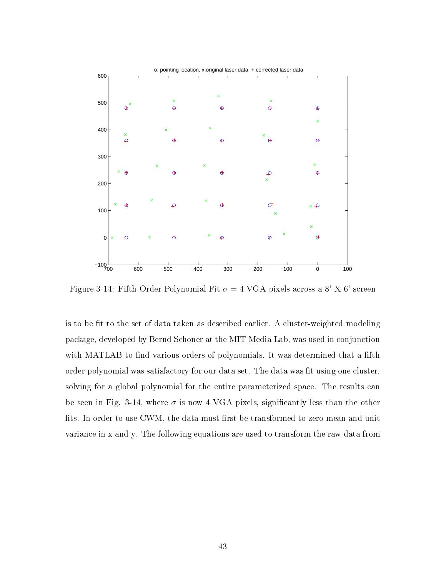

Figure 3-14: Fifth Order Polynomial Fit  $\sigma = 4$  VGA pixels across a 8' X 6' screen

is to be fit to the set of data taken as described earlier. A cluster-weighted modeling package, developed by Bernd Schoner at the MIT Media Lab, was used in conjunction with MATLAB to find various orders of polynomials. It was determined that a fifth order polynomial was satisfactory for our data set. The data was fit using one cluster, solving for a global polynomial for the entire parameterized space. The results can be seen in Fig. 3-14, where  $\sigma$  is now 4 VGA pixels, significantly less than the other fits. In order to use CWM, the data must first be transformed to zero mean and unit variance in x and y. The following equations are used to transform the raw data from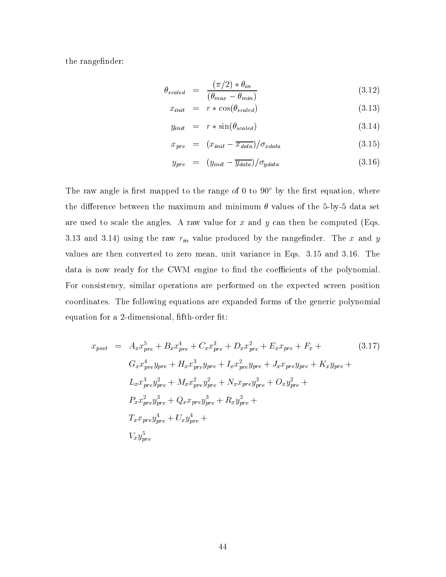the rangefinder:

$$
\theta_{scaled} = \frac{(\pi/2) * \theta_{in}}{(\theta_{max} - \theta_{min})}
$$
\n(3.12)

$$
x_{init} = r * \cos(\theta_{scaled}) \tag{3.13}
$$

$$
y_{init} = r * \sin(\theta_{scaled}) \tag{3.14}
$$

$$
x_{pre} = (x_{init} - \overline{x_{data}}) / \sigma_{xdata} \tag{3.15}
$$

$$
y_{pre} = (y_{init} - \overline{y_{data}})/\sigma_{ydata} \tag{3.16}
$$

The raw angle is first mapped to the range of 0 to  $90^{\circ}$  by the first equation, where the difference between the maximum and minimum  $\theta$  values of the 5-by-5 data set are used to scale the angles. A raw value for  $x$  and  $y$  can then be computed (Eqs. 3.13 and 3.14) using the raw  $r_{in}$  value produced by the range finder. The x and y values are then converted to zero mean, unit variance in Eqs. 3.15 and 3.16. The data is now ready for the CWM engine to find the coefficients of the polynomial. For consistency, similar operations are performed on the expected screen position coordinates. The following equations are expanded forms of the generic polynomial equation for a 2-dimensional, fifth-order fit:

$$
x_{post} = A_x x_{pre}^5 + B_x x_{pre}^4 + C_x x_{pre}^3 + D_x x_{pre}^2 + E_x x_{pre} + F_x + (3.17)
$$
  
\n
$$
G_x x_{pre}^4 y_{pre} + H_x x_{pre}^3 y_{pre} + I_x x_{pre}^2 y_{pre} + J_x x_{pre} y_{pre} + K_x y_{pre} +
$$
  
\n
$$
L_x x_{pre}^3 y_{pre}^2 + M_x x_{pre}^2 y_{pre}^2 + N_x x_{pre} y_{pre}^2 + O_x y_{pre}^2 +
$$
  
\n
$$
P_x x_{pre}^2 y_{pre}^3 + Q_x x_{pre} y_{pre}^3 + R_x y_{pre}^2 +
$$
  
\n
$$
T_x x_{pre} y_{pre}^4 + U_x y_{pre}^4 +
$$
  
\n
$$
V_x y_{pre}^5
$$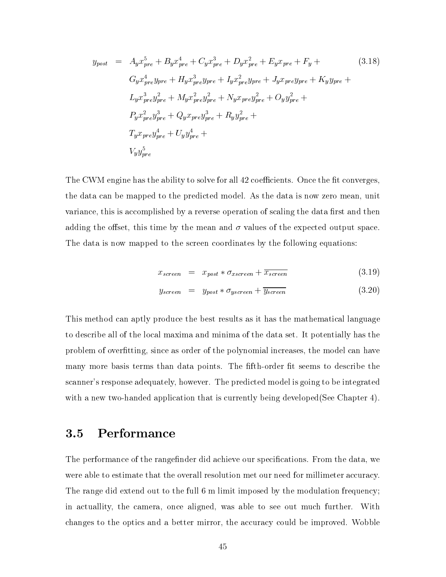$$
y_{post} = A_{y}x_{pre}^{5} + B_{y}x_{pre}^{4} + C_{y}x_{pre}^{3} + D_{y}x_{pre}^{2} + E_{y}x_{pre} + F_{y} + (3.18)
$$
  
\n
$$
G_{y}x_{pre}^{4}y_{pre} + H_{y}x_{pre}^{3}y_{pre} + I_{y}x_{pre}^{2}y_{pre} + J_{y}x_{pre}y_{pre} + K_{y}y_{pre} +
$$
  
\n
$$
L_{y}x_{pre}^{3}y_{pre}^{2} + M_{y}x_{pre}^{2}y_{pre}^{2} + N_{y}x_{pre}y_{pre}^{2} + O_{y}y_{pre}^{2} +
$$
  
\n
$$
P_{y}x_{pre}^{2}y_{pre}^{3} + Q_{y}x_{pre}y_{pre}^{3} + R_{y}y_{pre}^{2} +
$$
  
\n
$$
T_{y}x_{pre}y_{pre}^{4} + U_{y}y_{pre}^{4} +
$$
  
\n
$$
V_{y}y_{pre}^{5}
$$

The CWM engine has the ability to solve for all 42 coefficients. Once the fit converges, the data can be mapped to the predicted model. As the data is now zero mean, unit variance, this is accomplished by a reverse operation of scaling the data first and then adding the offset, this time by the mean and  $\sigma$  values of the expected output space. The data is now mapped to the screen coordinates by the following equations:

pre

$$
x_{screen} = x_{post} * \sigma_{xscreen} + \overline{x_{screen}}
$$
\n(3.19)

$$
y_{screen} = y_{post} * \sigma_{yscreen} + \overline{y_{screen}}
$$
 (3.20)

This method can aptly produce the best results as it has the mathematical language to describe all of the local maxima and minima of the data set. It potentially has the problem of overfitting, since as order of the polynomial increases, the model can have many more basis terms than data points. The fifth-order fit seems to describe the scanner's response adequately, however. The predicted model is going to be integrated with a new two-handed application that is currently being developed(See Chapter 4).

#### **Performance**  $3.5$

The performance of the rangefinder did achieve our specifications. From the data, we were able to estimate that the overall resolution met our need for millimeter accuracy. The range did extend out to the full 6 m limit imposed by the modulation frequency; in actuallity, the camera, once aligned, was able to see out much further. With changes to the optics and a better mirror, the accuracy could be improved. Wobble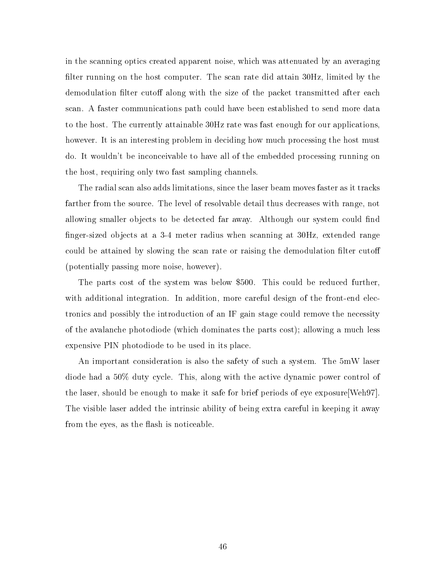in the scanning optics created apparent noise, which was attenuated by an averaging filter running on the host computer. The scan rate did attain  $30Hz$ , limited by the demodulation filter cutoff along with the size of the packet transmitted after each scan. A faster communications path could have been established to send more data to the host. The currently attainable 30Hz rate was fast enough for our applications, however. It is an interesting problem in deciding how much processing the host must do. It wouldn't be inconceivable to have all of the embedded processing running on the host, requiring only two fast sampling channels.

The radial scan also adds limitations, since the laser beam moves faster as it tracks farther from the source. The level of resolvable detail thus decreases with range, not allowing smaller objects to be detected far away. Although our system could find finger-sized objects at a 3-4 meter radius when scanning at 30Hz, extended range could be attained by slowing the scan rate or raising the demodulation filter cutoff (potentially passing more noise, however).

The parts cost of the system was below \$500. This could be reduced further, with additional integration. In addition, more careful design of the front-end electronics and possibly the introduction of an IF gain stage could remove the necessity of the avalanche photodiode (which dominates the parts cost); allowing a much less expensive PIN photodiode to be used in its place.

An important consideration is also the safety of such a system. The 5mW laser diode had a 50% duty cycle. This, along with the active dynamic power control of the laser, should be enough to make it safe for brief periods of eye exposure[Weh97]. The visible laser added the intrinsic ability of being extra careful in keeping it away from the eyes, as the flash is noticeable.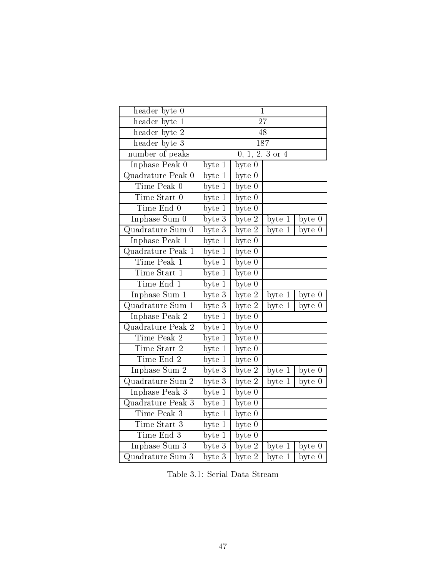| header byte 0     |                            |                            | $\mathbf 1$         |          |
|-------------------|----------------------------|----------------------------|---------------------|----------|
| header byte 1     | $\overline{27}$            |                            |                     |          |
| header byte 2     | 48                         |                            |                     |          |
| header byte 3     | 187                        |                            |                     |          |
| number of peaks   | $0, 1, 2, 3 \text{ or } 4$ |                            |                     |          |
| Inphase Peak 0    | byte 1                     | byte 0                     |                     |          |
| Quadrature Peak 0 | byte 1                     | byte 0                     |                     |          |
| Time Peak 0       | byte 1                     | byte 0                     |                     |          |
| Time Start 0      | byte 1                     | byte 0                     |                     |          |
| Time End 0        | byte 1                     | $\overline{\text{byte }0}$ |                     |          |
| Inphase Sum 0     | byte 3                     | byte 2                     | byte 1              | byte 0   |
| Quadrature Sum 0  | $b$ yte $3$                | byte 2                     | byte 1              | byte 0   |
| Inphase Peak 1    | byte 1                     | byte 0                     |                     |          |
| Quadrature Peak 1 | byte 1                     | $\overline{\text{byte }0}$ |                     |          |
| Time Peak 1       | byte 1                     | byte $0$                   |                     |          |
| Time Start 1      | $\overline{\text{byte 1}}$ | $\overline{\text{byte }0}$ |                     |          |
| Time End 1        | byte 1                     | byte 0                     |                     |          |
| Inphase Sum 1     | byte 3                     | byte 2                     | byte 1              | byte $0$ |
| Quadrature Sum 1  | $b$ yte $3$                | byte 2                     | byte 1              | byte 0   |
| Inphase Peak 2    | byte 1                     | $\bar{\text{byte}}~0$      |                     |          |
| Quadrature Peak 2 | byte 1                     | byte $0$                   |                     |          |
| Time Peak 2       | $\overline{\text{byte 1}}$ | $\overline{\text{byte }0}$ |                     |          |
| Time Start 2      | $byte\overline{1}$         | byte 0                     |                     |          |
| Time End 2        | $b$ yte $1$                | $\overline{\text{byte }0}$ |                     |          |
| Inphase Sum 2     | $\overline{\text{byte }3}$ | byte 2                     | byte 1              | byte $0$ |
| Quadrature Sum 2  | byte $3$                   | byte 2                     | byte 1              | byte 0   |
| Inphase Peak 3    | byte 1                     | byte 0                     |                     |          |
| Quadrature Peak 3 | byte 1                     | byte 0                     |                     |          |
| Time Peak 3       | byte $\overline{1}$        | byte 0                     |                     |          |
| Time Start 3      | byte 1                     | byte $0$                   |                     |          |
| Time End 3        | byte 1                     | byte 0                     |                     |          |
| Inphase Sum 3     | byte 3                     | byte 2                     | byte 1              | byte 0   |
| Quadrature Sum 3  | $b$ yte $3$                | $byte$ 2                   | byte $\overline{1}$ | byte 0   |

Table 3.1: Serial Data Stream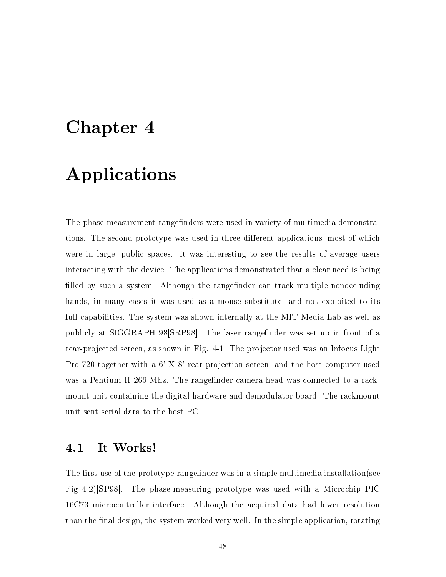# Chapter 4

# Applications

The phase-measurement rangefinders were used in variety of multimedia demonstrations. The second prototype was used in three different applications, most of which were in large, public spaces. It was interesting to see the results of average users interacting with the device. The applications demonstrated that a clear need is being filled by such a system. Although the rangefinder can track multiple nonoccluding hands, in many cases it was used as a mouse substitute, and not exploited to its full capabilities. The system was shown internally at the MIT Media Lab as well as publicly at SIGGRAPH 98 [SRP98]. The laser range finder was set up in front of a rear-projected screen, as shown in Fig. 4-1. The projector used was an Infocus Light Pro 720 together with a  $6'$  X  $8'$  rear projection screen, and the host computer used was a Pentium II 266 Mhz. The rangefinder camera head was connected to a rackmount unit containing the digital hardware and demodulator board. The rackmount unit sent serial data to the host PC.

## 4.1 It Works!

The first use of the prototype rangefinder was in a simple multimedia installation (see Fig 4-2)[SP98]. The phase-measuring prototype was used with a Microchip PIC 16C73 microcontroller interface. Although the acquired data had lower resolution than the final design, the system worked very well. In the simple application, rotating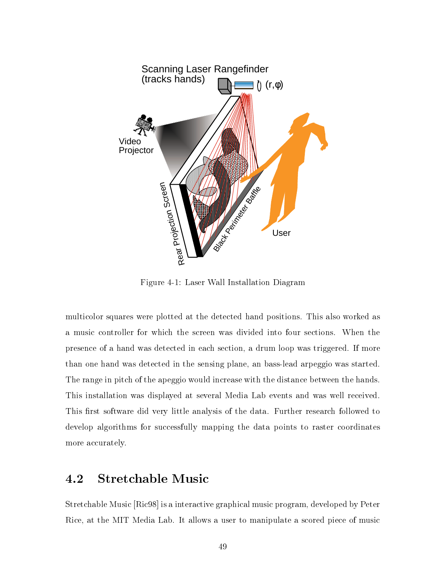

Figure 4-1: Laser Wall Installation Diagram

multicolor squares were plotted at the detected hand positions. This also worked as a music controller for which the screen was divided into four sections. When the presence of a hand was detected in each section, a drum loop was triggered. If more than one hand was detected in the sensing plane, an bass-lead arpeggio was started. The range in pitch of the apeggio would increase with the distance between the hands. This installation was displayed at several Media Lab events and was well received. This first software did very little analysis of the data. Further research followed to develop algorithms for successfully mapping the data points to raster coordinates more accurately.

## 4.2 Stretchable Music

Stretchable Music [Ric98] is a interactive graphical music program, developed by Peter Rice, at the MIT Media Lab. It allows a user to manipulate a scored piece of music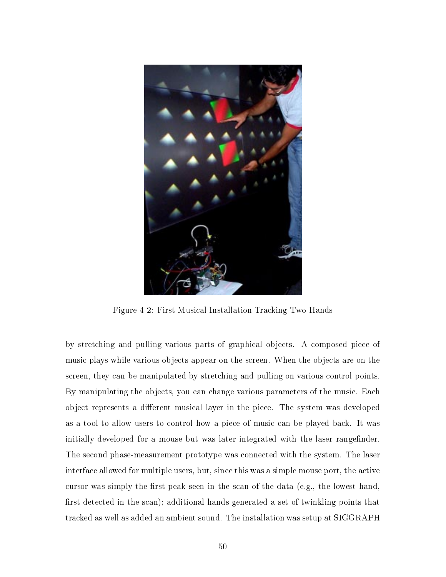

Figure 4-2: First Musical Installation Tracking Two Hands

by stretching and pulling various parts of graphical objects. A composed piece of music plays while various objects appear on the screen. When the objects are on the screen, they can be manipulated by stretching and pulling on various control points. By manipulating the objects, you can change various parameters of the music. Each object represents a different musical layer in the piece. The system was developed as a tool to allow users to control how a piece of music can be played back. It was initially developed for a mouse but was later integrated with the laser rangefinder. The second phase-measurement prototype was connected with the system. The laser interface allowed for multiple users, but, since this was a simple mouse port, the active cursor was simply the first peak seen in the scan of the data (e.g., the lowest hand, first detected in the scan); additional hands generated a set of twinkling points that tracked as well as added an ambient sound. The installation was setup at SIGGRAPH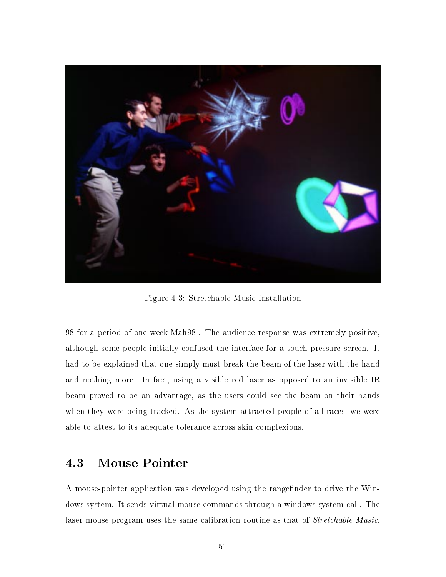

Figure 4-3: Stretchable Music Installation

98 for a period of one week[Mah98]. The audience response was extremely positive, although some people initially confused the interface for a touch pressure screen. It had to be explained that one simply must break the beam of the laser with the hand and nothing more. In fact, using a visible red laser as opposed to an invisible IR beam proved to be an advantage, as the users could see the beam on their hands when they were being tracked. As the system attracted people of all races, we were able to attest to its adequate tolerance across skin complexions.

## 4.3 Mouse Pointer

A mouse-pointer application was developed using the rangefinder to drive the Windows system. It sends virtual mouse commands through a windows system call. The laser mouse program uses the same calibration routine as that of Stretchable Music.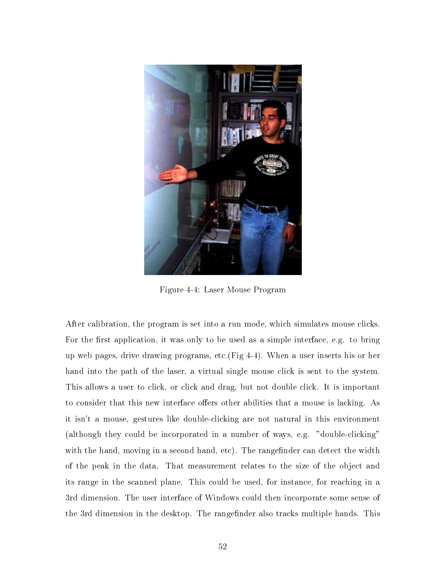

Figure 4-4: Laser Mouse Program

After calibration, the program is set into a run mode, which simulates mouse clicks. For the first application, it was only to be used as a simple interface, e.g. to bring up web pages, drive drawing programs, etc.(Fig 4-4). When a user inserts his or her hand into the path of the laser, a virtual single mouse click is sent to the system. This allows a user to click, or click and drag, but not double click. It is important to consider that this new interface offers other abilities that a mouse is lacking. As it isn't a mouse, gestures like double-clicking are not natural in this environment (although they could be incorporated in a number of ways, e.g. "double-clicking" with the hand, moving in a second hand, etc). The rangefinder can detect the width of the peak in the data. That measurement relates to the size of the object and its range in the scanned plane. This could be used, for instance, for reaching in a 3rd dimension. The user interface of Windows could then incorporate some sense of the 3rd dimension in the desktop. The rangefinder also tracks multiple hands. This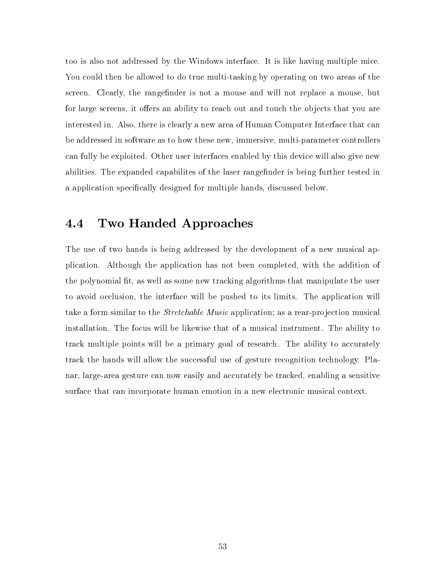too is also not addressed by the Windows interface. It is like having multiple mice. You could then be allowed to do true multi-tasking by operating on two areas of the screen. Clearly, the rangefinder is not a mouse and will not replace a mouse, but for large screens, it offers an ability to reach out and touch the objects that you are interested in. Also, there is clearly a new area of Human Computer Interface that can be addressed in software as to how these new, immersive, multi-parameter controllers can fully be exploited. Other user interfaces enabled by this device will also give new abilities. The expanded capabilites of the laser rangefinder is being further tested in a application specically designed for multiple hands, discussed below.

#### Two Handed Approaches  $4.4$

The use of two hands is being addressed by the development of a new musical application. Although the application has not been completed, with the addition of the polynomial fit, as well as some new tracking algorithms that manipulate the user to avoid occlusion, the interface will be pushed to its limits. The application will take a form similar to the *Stretchable Music* application; as a rear-projection musical installation. The focus will be likewise that of a musical instrument. The ability to track multiple points will be a primary goal of research. The ability to accurately track the hands will allow the successful use of gesture recognition technology. Planar, large-area gesture can now easily and accurately be tracked, enabling a sensitive surface that can incorporate human emotion in a new electronic musical context.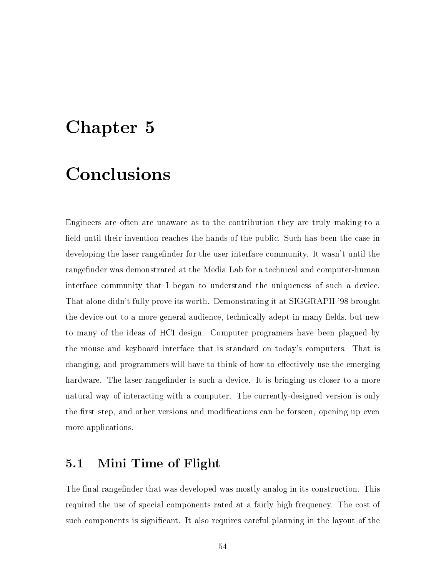# Chapter 5

## Conclusions

Engineers are often are unaware as to the contribution they are truly making to a field until their invention reaches the hands of the public. Such has been the case in developing the laser rangefinder for the user interface community. It wasn't until the rangefinder was demonstrated at the Media Lab for a technical and computer-human interface community that I began to understand the uniqueness of such a device. That alone didn't fully prove its worth. Demonstrating it at SIGGRAPH '98 brought the device out to a more general audience, technically adept in many fields, but new to many of the ideas of HCI design. Computer programers have been plagued by the mouse and keyboard interface that is standard on today's computers. That is changing, and programmers will have to think of how to effectively use the emerging hardware. The laser rangefinder is such a device. It is bringing us closer to a more natural way of interacting with a computer. The currently-designed version is only the first step, and other versions and modifications can be forseen, opening up even more applications.

#### $5.1$ Mini Time of Flight

The final rangefinder that was developed was mostly analog in its construction. This required the use of special components rated at a fairly high frequency. The cost of such components is signicant. It also requires careful planning in the layout of the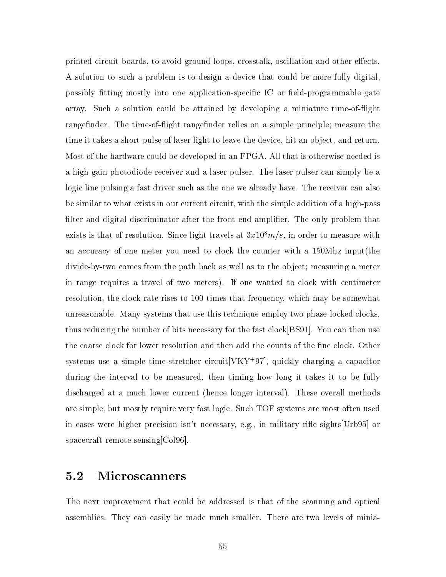printed circuit boards, to avoid ground loops, crosstalk, oscillation and other effects. A solution to such a problem is to design a device that could be more fully digital, possibly fitting mostly into one application-specific IC or field-programmable gate array. Such a solution could be attained by developing a miniature time-ofight rangefinder. The time-of-flight rangefinder relies on a simple principle; measure the time it takes a short pulse of laser light to leave the device, hit an object, and return. Most of the hardware could be developed in an FPGA. All that is otherwise needed is a high-gain photodiode receiver and a laser pulser. The laser pulser can simply be a logic line pulsing a fast driver such as the one we already have. The receiver can also be similar to what exists in our current circuit, with the simple addition of a high-pass filter and digital discriminator after the front end amplifier. The only problem that exists is that of resolution. Since light travels at  $3x10<sup>8</sup>m/s$ , in order to measure with an accuracy of one meter you need to clock the counter with a 150Mhz input(the divide-by-two comes from the path back as well as to the ob ject; measuring a meter in range requires a travel of two meters). If one wanted to clock with centimeter resolution, the clock rate rises to 100 times that frequency, which may be somewhat unreasonable. Many systems that use this technique employ two phase-locked clocks, thus reducing the number of bits necessary for the fast clock[BS91]. You can then use the coarse clock for lower resolution and then add the counts of the fine clock. Other systems use a simple time-stretcher circuit $|VXY+Y|$ , quickly charging a capacitor during the interval to be measured, then timing how long it takes it to be fully discharged at a much lower current (hence longer interval). These overall methods are simple, but mostly require very fast logic. Such TOF systems are most often used in cases were higher precision isn't necessary, e.g., in military rifle sights [Urb95] or spacecraft remote sensing[Col96].

## 5.2 Microscanners

The next improvement that could be addressed is that of the scanning and optical assemblies. They can easily be made much smaller. There are two levels of minia-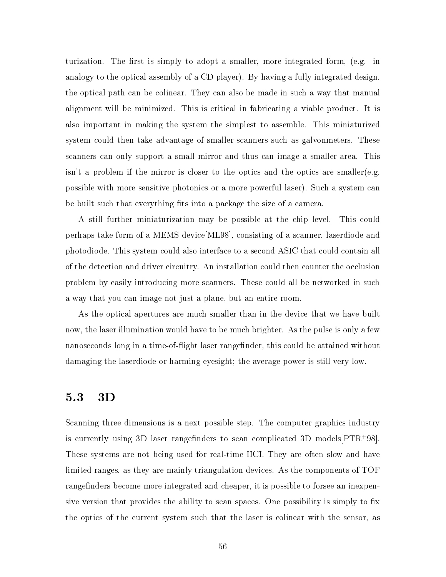turization. The first is simply to adopt a smaller, more integrated form, (e.g. in analogy to the optical assembly of a CD player). By having a fully integrated design, the optical path can be colinear. They can also be made in such a way that manual alignment will be minimized. This is critical in fabricating a viable product. It is also important in making the system the simplest to assemble. This miniaturized system could then take advantage of smaller scanners such as galvonmeters. These scanners can only support a small mirror and thus can image a smaller area. This isn't a problem if the mirror is closer to the optics and the optics are smaller(e.g. possible with more sensitive photonics or a more powerful laser). Such a system can be built such that everything fits into a package the size of a camera.

A still further miniaturization may be possible at the chip level. This could perhaps take form of a MEMS device[ML98], consisting of a scanner, laserdiode and photodiode. This system could also interface to a second ASIC that could contain all of the detection and driver circuitry. An installation could then counter the occlusion problem by easily introducing more scanners. These could all be networked in such a way that you can image not just a plane, but an entire room.

As the optical apertures are much smaller than in the device that we have built now, the laser illumination would have to be much brighter. As the pulse is only a few nanoseconds long in a time-of-flight laser ranger finder, this could be attained without damaging the laserdiode or harming eyesight; the average power is still very low.

#### $5.3$  $3D$

Scanning three dimensions is a next possible step. The computer graphics industry is currently using 3D laser rangenders to scan complicated 3D models[PTR<sup>+</sup> 98]. These systems are not being used for real-time HCI. They are often slow and have limited ranges, as they are mainly triangulation devices. As the components of TOF rangefinders become more integrated and cheaper, it is possible to forsee an inexpensive version that provides the ability to scan spaces. One possibility is simply to fix the optics of the current system such that the laser is colinear with the sensor, as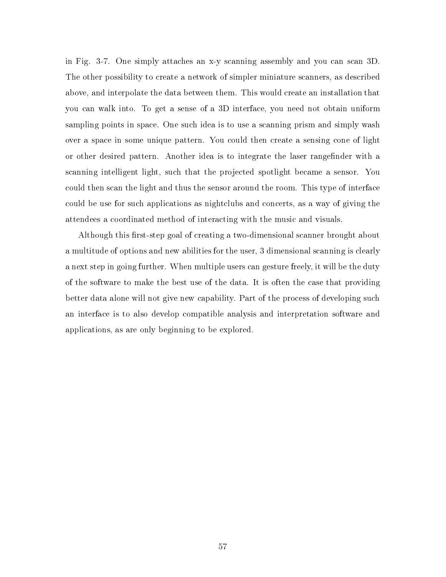in Fig. 3-7. One simply attaches an x-y scanning assembly and you can scan 3D. The other possibility to create a network of simpler miniature scanners, as described above, and interpolate the data between them. This would create an installation that you can walk into. To get a sense of a 3D interface, you need not obtain uniform sampling points in space. One such idea is to use a scanning prism and simply wash over a space in some unique pattern. You could then create a sensing cone of light or other desired pattern. Another idea is to integrate the laser rangefinder with a scanning intelligent light, such that the projected spotlight became a sensor. You could then scan the light and thus the sensor around the room. This type of interface could be use for such applications as nightclubs and concerts, as a way of giving the attendees a coordinated method of interacting with the music and visuals.

Although this first-step goal of creating a two-dimensional scanner brought about a multitude of options and new abilities for the user, 3 dimensional scanning is clearly a next step in going further. When multiple users can gesture freely, it will be the duty of the software to make the best use of the data. It is often the case that providing better data alone will not give new capability. Part of the process of developing such an interface is to also develop compatible analysis and interpretation software and applications, as are only beginning to be explored.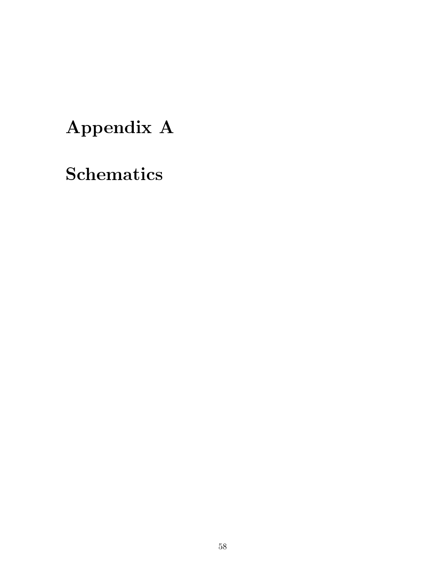# Appendix A

**Schematics**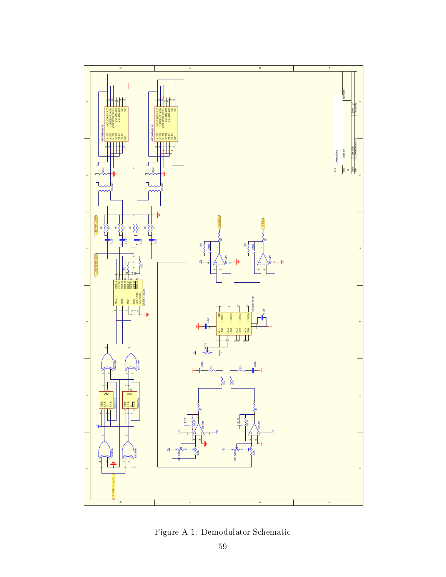

Figure A-1: Demodulator Schematic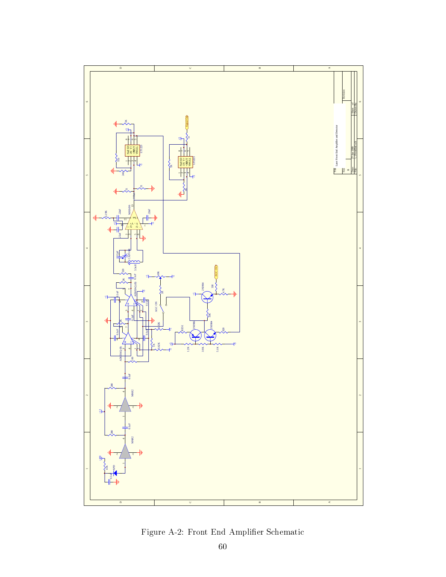

Figure A-2: Front End Amplier Schematic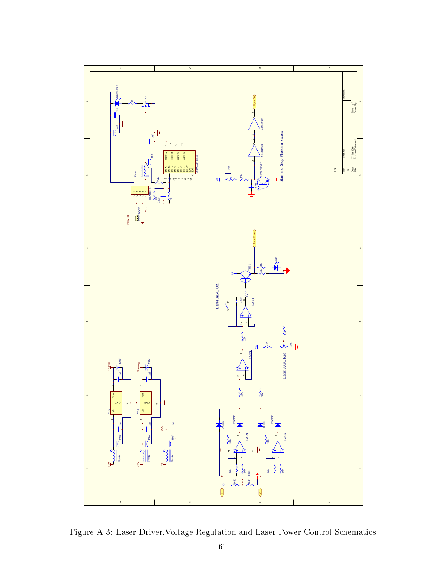![](_page_60_Figure_0.jpeg)

Figure A-3: Laser Driver,Voltage Regulation and Laser Power Control Schematics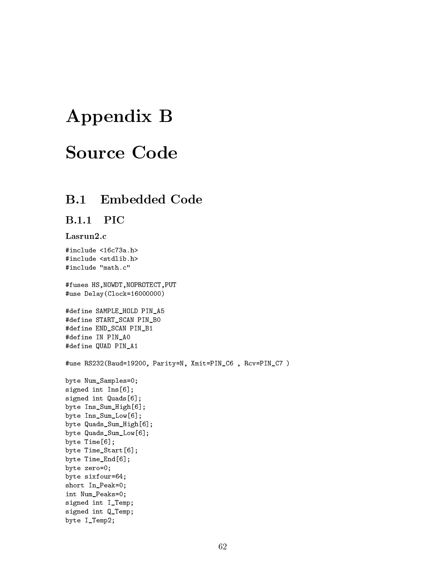# Appendix B

# Source Code

#### $B.1$ **Embedded Code**

### B.1.1 PIC

#### Lasrun2.c

#include <16c73a.h> #include <stdlib.h> #include "math.c"

#fuses HS,NOWDT,NOPROTECT,PUT #use Delay(Clock=16000000)

```
#define SAMPLE_HOLD PIN_A5
#define START_SCAN PIN_B0
#define END_SCAN PIN_B1
#define IN PIN_A0
#define QUAD PIN_A1
```
#use RS232(Baud=19200, Parity=N, Xmit=PIN\_C6 , Rcv=PIN\_C7 )

```
byte Num_Samples=0;
signed int Ins[6];
signed int Quads[6];
byte Ins_Sum_High[6];
byte Ins_Sum_Low[6];
byte Quads_Sum_High[6];
byte Quads_Sum_Low[6];
byte Time[6];
byte Time_Start[6];
byte Time_End[6];
byte zero=0;
byte sixfour=64;
short In_Peak=0;
int Num_Peaks=0;
signed int I_Temp;
signed int Q_Temp;
byte I_Temp2;
```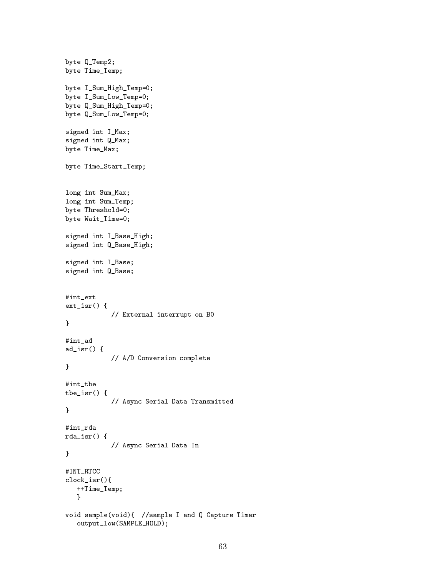```
byte Q_Temp2;
byte Time_Temp;
byte I_Sum_High_Temp=0;
byte I_Sum_Low_Temp=0;
byte Q_Sum_High_Temp=0;
byte Q_Sum_Low_Temp=0;
signed int I_Max;
signed int Q_Max;
byte Time_Max;
byte Time_Start_Temp;
long int Sum_Max;
long int Sum_Temp;
byte Threshold=0;
byte Wait_Time=0;
signed int I_Base_High;
signed int Q_Base_High;
signed int I_Base;
signed int Q_Base;
#int_ext
ext_isr() {
            // External interrupt on B0
}
#int_ad
ad_isr() {
            // A/D Conversion complete
}
#int_tbe
tbe_isr() {
            // Async Serial Data Transmitted
\mathcal{F}}
#int_rda
rda_isr() {
            // Async Serial Data In
}
#INT_RTCC
clock_isr(){
   ++Time_Temp;
   }
void sample(void){ //sample I and Q Capture Timer
   output_low(SAMPLE_HOLD);
```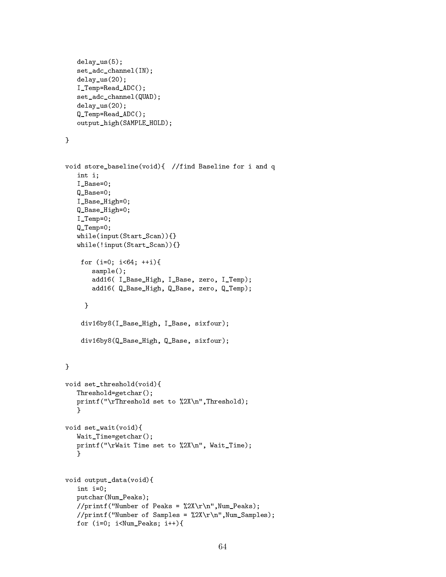```
delay_us(5);
    set_adc_channel(IN);
   delay_us(20);
   I_Temp=Read_ADC();
   set_adc_channel(QUAD);
   delay_us(20);
    Q_Temp=Read_ADC();
   output_high(SAMPLE_HOLD);
}
void store_baseline(void){ //find Baseline for i and q
   int i;
   I_Base=0;
   Q_Base=0;
   I_Base_High=0;
   Q_Base_High=0;
   I_Temp=0;
    Q_Temp=0;
   while(input(Start_Scan)){}
   while(!input(Start_Scan)){}
     for (i=0; i<64; ++i){
         sample();
         add16( I_Base_High, I_Base, zero, I_Temp);
         add16( Q_Base_High, Q_Base, zero, Q_Temp);
       }
     div16by8(I_Base_High, I_Base, sixfour);
     div16by8(Q_Base_High, Q_Base, sixfour);
\mathcal{F}}
void set_threshold(void){
   Threshold=getchar();
   printf("\rThreshold set to %2X\n",Threshold);
   \mathcal{F}\overline{a} . The contract of the contract of the contract of the contract of the contract of the contract of the contract of the contract of the contract of the contract of the contract of the contract of the contract of th
void set_wait(void){
   Wait_Time=getchar();
   printf("\rWait Time set to %2X\n", Wait_Time);
    }
void output_data(void){
    int i=0;
   putchar(Num_Peaks);
   //printf("Number of Peaks = \sqrt{2X\r\ln", Num_Peaks);
    //printf("Number of Samples = \frac{\sqrt{2X}\r\ln \t}{\text{Num\_Samples}};
   for (i=0; i<Num_Peaks; i++)
```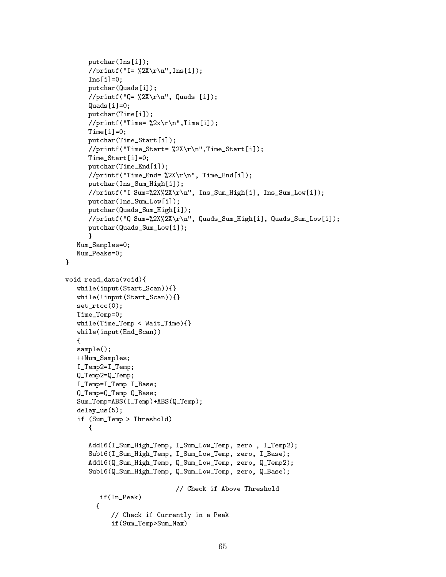```
putchar(Ins[i]);
        //print("I = %2X\r\n'\n'', Ins[i]);Ins[i]=0;putchar(Quads[i]);
        //printf("Q= \sqrt{2X\r\ln}", Quads [i]);
        Quads[i]=0;
        putchar(Time[i]);
        //printf("Time= \sqrt{2x}\r\ln",Time[i]);
        Time[i]=0;
        putchar(Time_Start[i]);
        //print("Time\_Start= %2X\r\n'']\n.Time_Start[i]);
        Time_Start[i]=0;
        putchar(Time_End[i]);
        //print("Time\_End= %2X\rr\n', Time_End[i]);
        putchar(Ins_Sum_High[i]);
        //printf("I Sum=%2X%2X\r\n", Ins_Sum_High[i], Ins_Sum_Low[i]);
        putchar(Ins_Sum_Low[i]);
        putchar(Quads_Sum_High[i]);
        //printf("Q Sum=%2X%2X\r\n", Quads_Sum_High[i], Quads_Sum_Low[i]);
        putchar(Quads_Sum_Low[i]);
        <sup>T</sup>
        <u>Property</u>
    Num_Samples=0;
    Num_Peaks=0;
\mathcal{F}\overline{a} . The contract of the contract of the contract of the contract of the contract of the contract of the contract of the contract of the contract of the contract of the contract of the contract of the contract of th
void read_data(void){
    while(input(Start_Scan)){}
    while(!input(Start_Scan)){}
    set rtcc(0):
    Time_Temp=0;
    while(Time_Temp < Wait_Time){}
    while(input(End_Scan))
    {\color{red} \bullet} . The contract of the contract of the contract of the contract of the contract of the contract of the contract of the contract of the contract of the contract of the contract of the contract of the contract of 
    sample();
    ++Num_Samples;
    I_Temp2=I_Temp;
    Q_Temp2=Q_Temp;
    I_Temp=I_Temp-I_Base;
    Q_Temp=Q_Temp-Q_Base;
    Sum_Temp=ABS(I_Temp)+ABS(Q_Temp);
    delay_us(5);
    if (Sum_Temp > Threshold)
        {
        Add16(I_Sum_High_Temp, I_Sum_Low_Temp, zero , I_Temp2);
        Sub16(I_Sum_High_Temp, I_Sum_Low_Temp, zero, I_Base);
        Add16(Q_Sum_High_Temp, Q_Sum_Low_Temp, zero, Q_Temp2);
        Sub16(Q_Sum_High_Temp, Q_Sum_Low_Temp, zero, Q_Base);
                                        // Check if Above Threshold
            if(In_Peak)
           \overline{f}{
                 // Check if Currently in a Peak
                if(Sum_Temp>Sum_Max)
```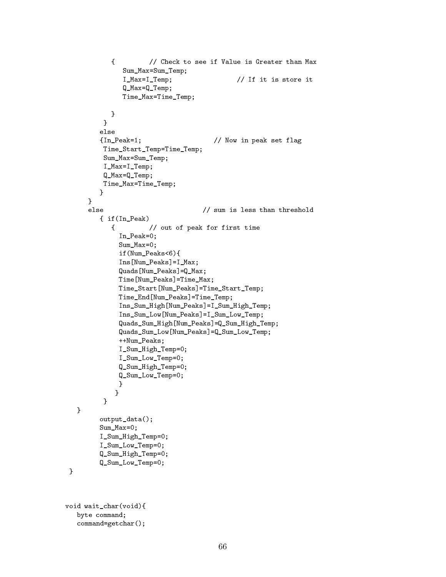```
{ // Check to see if Value is Greater than Max
                  Sum_Max=Sum_Temp;
                  I_Max=I_Temp; // If it is store it
                  Q_Max=Q_Temp;
                  Time_Max=Time_Temp;
              }
            \mathcal{F}\overline{a} . The contract of the contract of the contract of the contract of the contract of the contract of the contract of the contract of the contract of the contract of the contract of the contract of the contract of th
           else
           {In_Peak=1; // Now in peak set flag
            Time_Start_Temp=Time_Temp;
            Sum_Max=Sum_Temp;
            I_Max=I_Temp;
            Q_Max=Q_Temp;
            Time_Max=Time_Temp;
          }
       }
       else
                                           \frac{1}{2} sum is less than threshold
           { if(In_Peak)
              { // out of peak for first time
                 In_Peak=0;
                 Sum_Max=0;
                 if(Num_Peaks<6){
                 Ins[Num_Peaks]=I_Max;
                 Quads[Num_Peaks]=Q_Max;
                 Time[Num_Peaks]=Time_Max;
                 Time_Start[Num_Peaks]=Time_Start_Temp;
                 Time_End[Num_Peaks]=Time_Temp;
                 Ins_Sum_High[Num_Peaks]=I_Sum_High_Temp;
                 Ins_Sum_Low[Num_Peaks]=I_Sum_Low_Temp;
                 Quads_Sum_High[Num_Peaks]=Q_Sum_High_Temp;
                 Quads_Sum_Low[Num_Peaks]=Q_Sum_Low_Temp;
                 ++Num_Peaks;
                 I_Sum_High_Temp=0;
                 I_Sum_Low_Temp=0;
                 Q_Sum_High_Temp=0;
                 Q_Sum_Low_Temp=0;
                 }
                }
            }
   }
           output_data();
           Sum_Max=0;
           I_Sum_High_Temp=0;
           I_Sum_Low_Temp=0;
           Q_Sum_High_Temp=0;
           Q_Sum_Low_Temp=0;
 }
void wait char(void){
   byte command;
   command=getchar();
```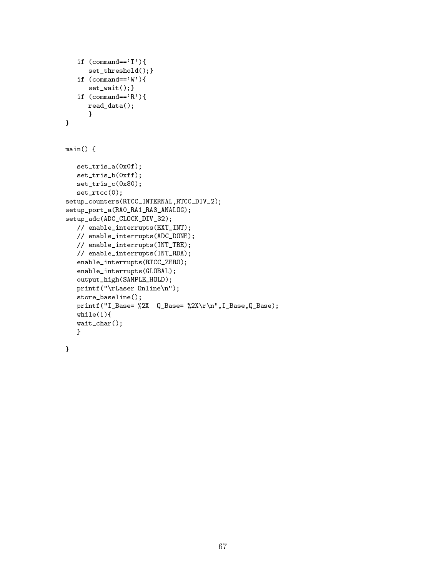```
if (\text{command}=='T') {
        set_threshold();}
    if (\text{command}=='W')set_wait(); }
    if (\text{command}=='R') {
        read_data();
         \overline{a} . The contract of the contract of the contract of the contract of the contract of the contract of the contract of the contract of the contract of the contract of the contract of the contract of the contract of th
}
main() fset_tris_a(0x0f);
    set_tris_b(0xff);
    set_tris_c(0x80);
    set_rtcc(0);
setup_counters(RTCC_INTERNAL,RTCC_DIV_2);
setup_port_a(RA0_RA1_RA3_ANALOG);
setup_adc(ADC_CLOCK_DIV_32);
    // enable_interrupts(EXT_INT);
    // enable_interrupts(ADC_DONE);
    // enable_interrupts(INT_TBE);
    // enable_interrupts(INT_RDA);
    enable_interrupts(RTCC_ZERO);
    enable_interrupts(GLOBAL);
    output_high(SAMPLE_HOLD);
    printf("\rLaser Online\n");
    store_baseline();
    printf("I_Base= %2X Q_Base= %2X\r\n",I_Base,Q_Base);
    while(1){
    wait_char();
    }
}
```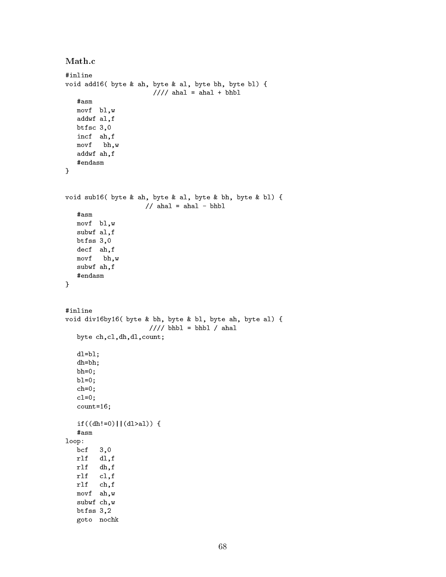```
Math.c
void add16( byte & ah, byte & al, byte bh, byte bl) {
                      //// ahal = ahal + bhbl
  #asm
  movf bl,w
  addwf al,f
  btfsc 3,0
  incf ah,f
  movf bh,w
  addwf ah,f
  #endasm
}
void sub16( byte & ah, byte & al, byte & bh, byte & bl) {
                   // ahal = ahal - bhbl
  #asm
  movf bl,w
  subwf al,f
  btfss 3,0
  decf ah,f
  movf bh,w
  subwf ah,f
  #endasm
}
#inline
void div16by16( byte & bh, byte & bl, byte ah, byte al) {
                     //// bhbl = bhbl / ahal
   byte ch,cl,dh,dl,count;
  dl=b1;dh=bh;
  bh=0;
  b1=0;ch=0;
  c1=0;count=16;
  if((dh!=0)||(d1>a1)) {
   #asm
loop:
  bcf 3,0
  rlf dl,f
  rlf dh,f
  rlf cl,f
  rlf ch,f
  movf ah,w
   subwf ch,w
  btfss 3,2
  goto nochk
```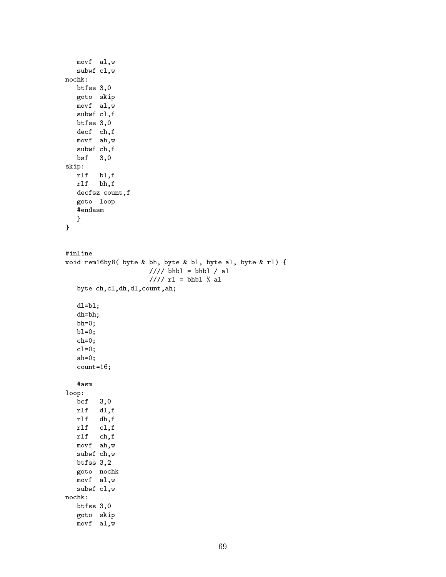```
movf al,w
  subwf cl,w
nochk:
  btfss 3,0
  goto skip
  movf al,w
  subwf cl,f
  btfss 3,0
  decf ch,f
  movf ah,w
  subwf ch,f
  bsf 3,0
skip:
  rlf bl,f
  rlf bh,f
  decfsz count,f
  goto loop
  #endasm
   }
}
#inline
void rem16by8( byte & bh, byte & bl, byte al, byte & rl) {
                    //// bhbl = bhbl / al
                    ////r1 = bhb1 % a1byte ch,cl,dh,dl,count,ah;
  dl=bl;
  dh=bh;
  bh=0;bl=0;
  ch=0;
  c1=0;
  ah=0;
  count=16;
  #asm
loop:
  bcf 3,0
  rlf dl,f
  rlf dh,f
  rlf cl,f
  rlf ch,f
  movf ah,w
  subwf ch,w
  btfss 3,2
  goto nochk
  movf al,w
  subwf cl,w
nochk:
  btfss 3,0
  goto skip
  movf al,w
```

```
69
```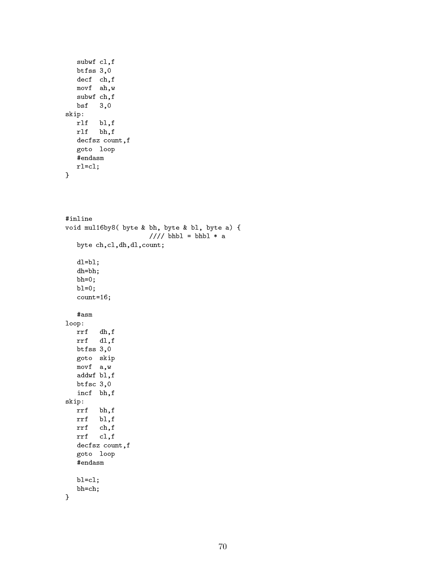```
subwf cl,f
  btfss 3,0
  decf ch,f
  movf ah,w
  subwf ch,f
  bsf 3,0
skip:
  rlf bl,f
  rlf bh,f
  decfsz count,f
  goto loop
  #endasm
  rl=cl;
```

```
}
```

```
#inline
void mul16by8( byte & bh, byte & bl, byte a) {
                     //// bhbl = bhbl * a
  byte ch,cl,dh,dl,count;
  dl=b1;dh=bh;
  bh=0;
  b1=0;count=16;
  #asm
loop:
  rrf dh,f
  rrf dl,f
  btfss 3,0
  goto skip
  movf a,w
  addwf bl,f
  btfsc 3,0
  incf bh,f
skip:
  rrf bh,f
  rrf bl,f
  rrf ch,f
  rrf cl,f
  decfsz count,f
  goto loop
  #endasm
  bl=cl;
  bh=ch;
}
```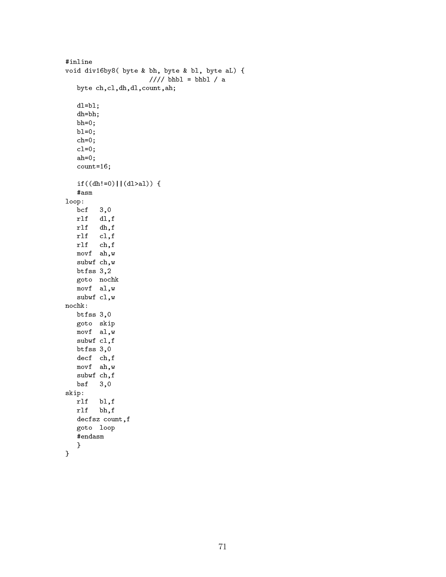```
#inline
void div16by8( byte & bh, byte & bl, byte aL) {
                     ////bhb1 = bhb1 / abyte ch,cl,dh,dl,count,ah;
  dl=bl;
  dh=bh;
  bh=0;
  bl=0;
   ch=0;
   c1=0;ah=0;
   count=16;
   if((dh!=0)||(d1>a1)) {
   #asm
loop:
  bcf 3,0
  rlf dl,f
  rlf dh,f
  rlf cl,f
  rlf ch,f
  movf ah,w
  subwf ch,w
  btfss 3,2
  goto nochk
  movf al,w
  subwf cl,w
  btfss 3,0
  goto skip
  movf al,w
  subwf cl,f
  btfss 3,0
  decf ch,f
  movf ah,w
   subwf ch,f
  bsf 3,0
skip:
  rlf bl,f
  rlf bh,f
  decfsz count,f
  goto loop
  #endasm
   }
```

```
}
```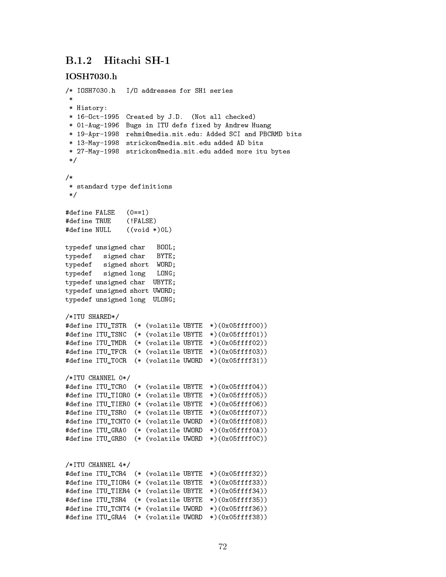### B.1.2 Hitachi SH-1

### **IOSH7030.h**

```
/* IOSH7030.h I/O addresses for SH1 series
 * History:
 * 16-Oct-1995 Created by J.D. (Not all checked)
 * 01-Aug-1996 Bugs in ITU defs fixed by Andrew Huang
 * 19-Apr-1998 rehmi@media.mit.edu: Added SCI and PBCRMD bits
 * 13-May-1998 strickon@media.mit.edu added AD bits
 * 27-May-1998 strickon@media.mit.edu added more itu bytes
 \ast/\mathcal{L} . The state of \mathcal{L}/*/*
 * standard type definitions
 \ast/*/
#define FALSE (0==1)
#define TRUE (!FALSE)
#define NULL ((void *)0L)
typedef unsigned char BOOL;
typedef signed char BYTE;
typedef signed short WORD;
typedef signed long LONG;
typedef unsigned char UBYTE;
typedef unsigned short UWORD;
typedef unsigned long ULONG;
/*ITU SHARED*/
#define ITU_TSTR (* (volatile UBYTE *)(0x05ffff00))
#define ITU_TSNC (* (volatile UBYTE *)(0x05ffff01))
#define ITU_TMDR (* (volatile UBYTE *)(0x05ffff02))
#define ITU_TFCR (* (volatile UBYTE *)(0x05ffff03))
#define ITU_T0CR (* (volatile UWORD *)(0x05ffff31))
/*ITU CHANNEL 0*/
#define ITU_TCR0 (* (volatile UBYTE *)(0x05ffff04))
#define ITU_TIOR0 (* (volatile UBYTE *)(0x05ffff05))
#define ITU_TIER0 (* (volatile UBYTE *)(0x05ffff06))
#define ITU_TSR0 (* (volatile UBYTE *)(0x05ffff07))
#define ITU_TCNT0 (* (volatile UWORD *)(0x05ffff08))
#define ITU_GRA0 (* (volatile UWORD *)(0x05ffff0A))
#define ITU_GRB0 (* (volatile UWORD *)(0x05ffff0C))
/*ITU CHANNEL 4*/
#define ITU_TCR4 (* (volatile UBYTE *)(0x05ffff32))
#define ITU_TIOR4 (* (volatile UBYTE *)(0x05ffff33))
#define ITU_TIER4 (* (volatile UBYTE *)(0x05ffff34))
#define ITU_TSR4 (* (volatile UBYTE *)(0x05ffff35))
#define ITU_TCNT4 (* (volatile UWORD *)(0x05ffff36))
#define ITU_GRA4 (* (volatile UWORD *)(0x05ffff38))
```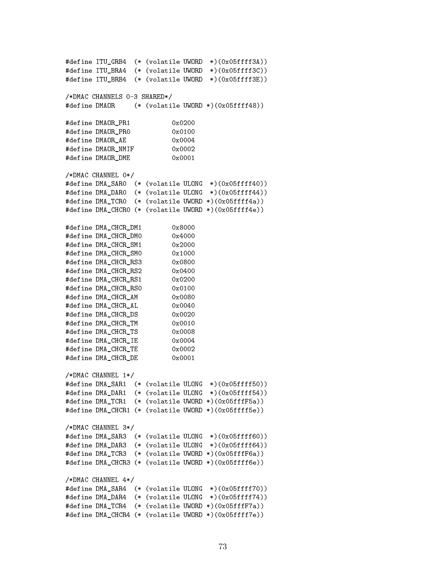```
#define ITU_GRB4 (* (volatile UWORD *)(0x05ffff3A))
#define ITU_BRA4 (* (volatile UWORD *)(0x05ffff3C))
#define ITU_BRB4 (* (volatile UWORD *)(0x05ffff3E))
/*DMAC CHANNELS 0-3 SHARED*/
#define DMAOR (* (volatile UWORD *)(0x05ffff48))
#define DMAOR_PR1
                           0x0200#define DMAOR_PRO
                          0x0100
#define DMAOR_AE 0x0004
#define DMAOR_NMIF 0x0002
#define DMAOR_DME 0x0001
/*DMAC CHANNEL 0*/
#define DMA_SAR0 (* (volatile ULONG *)(0x05ffff40))
#define DMA_DAR0 (* (volatile ULONG *)(0x05ffff44))
#define DMA_TCR0 (* (volatile UWORD *)(0x05ffff4a))
#define DMA CHCRO (* (volatile UWORD *)(0x05ffff4e))
#define DMA CHCR DM1
                           0x8000#define DMA_CHCR_DMO
                           0x4000#define DMA_CHCR_SM1
                           0x2000#define DMA_CHCR_SM0 0x1000
#define DMA_CHCR_RS3
                           0x0800
#define DMA_CHCR_RS2 0x0400
                           0x0400#define DMA_CHCR_RS1 0x0200
#define DMA_CHCR_RSO 0x0100
#define DMA_CHCR_AM 0x0080
#define DMA_CHCR_AL 0x0040
#define DMA_CHCR_DS 0x0020
#define DMA_CHCR_TM 0x0010
#define DMA_CHCR_TS 0x0008
#define DMA_CHCR_IE 0x0004
#define DMA_CHCR_TE 0x0002
#define DMA CHCR DE
                          0 \times 0001#define DMA_CHCR_DE 0x0001
/*DMAC CHANNEL 1*/, <u>parameter in the second in the second in the second in the second in the second in the second in the second in</u>
#define DMA_SAR1 (* (volatile ULONG *)(0x05ffff50))
#define DMA_DAR1 (* (volatile ULONG *)(0x05ffff54))
#define DMA_TCR1 (* (volatile UWORD *)(0x05fffF5a))
#define DMA_CHCR1 (* (volatile UWORD *)(0x05ffff5e))
/*DMAC CHANNEL 3*/
#define DMA_SAR3 (* (volatile ULONG *)(0x05ffff60))
#define DMA_DAR3 (* (volatile ULONG *)(0x05ffff64))
#define DMA_TCR3 (* (volatile UWORD *)(0x05fffF6a))
#define DMA_CHCR3 (* (volatile UWORD *)(0x05ffff6e))
/*DMAC CHANNEL 4*/
#define DMA_SAR4 (* (volatile ULONG *)(0x05ffff70))
#define DMA_DAR4 (* (volatile ULONG *)(0x05ffff74))
#define DMA TCR4 (* (volatile UWORD *)(0x05fffF7a))
#define DMA_CHCR4 (* (volatile UWORD *)(0x05ffff7e))
```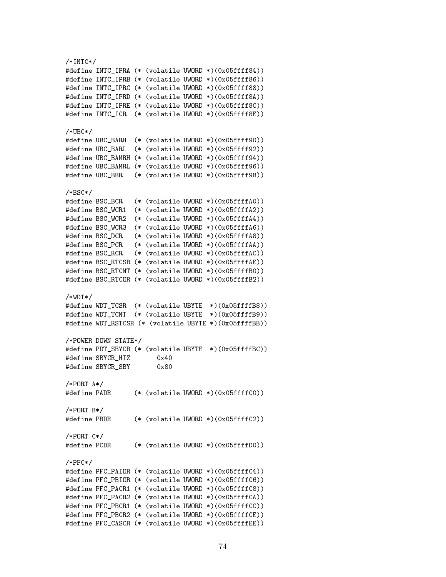```
/*INTC*/\blacksquare#define INTC_IPRA (* (volatile UWORD *)(0x05ffff84))
#define INTC_IPRB (* (volatile UWORD *)(0x05ffff86))
#define INTC_IPRC (* (volatile UWORD *)(0x05ffff88))
#define INTC_IPRD (* (volatile UWORD *)(0x05ffff8A))
#define INTC_IPRE (* (volatile UWORD *)(0x05ffff8C))
#define INTC_ICR (* (volatile UWORD *)(0x05ffff8E))
/*UBC*/\blacksquare#define UBC_BARH (* (volatile UWORD *)(0x05ffff90))
#define UBC_BARL (* (volatile UWORD *)(0x05ffff92))
#define UBC_BAMRH (* (volatile UWORD *)(0x05ffff94))
#define UBC_BAMRL (* (volatile UWORD *)(0x05ffff96))
#define UBC_BBR (* (volatile UWORD *)(0x05ffff98))
/*BSC*/
#define BSC_BCR (* (volatile UWORD *)(0x05ffffA0))
#define BSC WCR1 (* (volatile UWORD *) (0x05ffffA2))
#define BSC_WCR1 (* (volatile UWORD *)(0x05ffffA2))
#define BSC_WCR2 (* (volatile UWORD *)(0x05ffffA4))
#define BSC_WCR3 (* (volatile UWORD *)(0x05ffffA6))
#define BSC_DCR (* (volatile UWORD *)(0x05ffffA8))
#define BSC_PCR (* (volatile UWORD *)(0x05ffffAA))
#define BSC_RCR (* (volatile UWORD *)(0x05ffffAC))
#define BSC_RTCSR (* (volatile UWORD *)(0x05ffffAE))
#define BSC_RTCNT (* (volatile UWORD *)(0x05ffffB0))
#define BSC_RTCOR (* (volatile UWORD *)(0x05ffffB2))
/*WDT*/
#define WDT_TCSR (* (volatile UBYTE *)(0x05ffffB8))
#define WDT_TCNT (* (volatile UBYTE *)(0x05ffffB9))
#define WDT_RSTCSR (* (volatile UBYTE *)(0x05ffffBB))
/*POWER DOWN STATE*/
#define PDT_SBYCR (* (volatile UBYTE *)(0x05ffffBC))
#define SBYCR_HIZ 0x40
#define SBYCR SBY
                       0x80/*PORT A*/
#define PADR
                (* (volatile UWORD *) (0x05fffC0))
/*PORT B*/\mathbf{P} , and a set of the positive state \mathbf{P}#define PBDR (* (volatile UWORD *)(0x05ffffC2))
/*PORT C*/
#define PCDR (* (volatile UWORD *)(0x05ffffD0))
/*PFC*/
#define PFC_PAIOR (* (volatile UWORD *)(0x05ffffC4))
#define PFC_PBIOR (* (volatile UWORD *)(0x05ffffC6))
#define PFC_PACR1 (* (volatile UWORD *)(0x05ffffC8))
#define PFC_PACR2 (* (volatile UWORD *)(0x05ffffCA))
#define PFC_PBCR1 (* (volatile UWORD *)(0x05ffffCC))
#define PFC_PBCR2 (* (volatile UWORD *)(0x05ffffCE))
#define PFC_CASCR (* (volatile UWORD *)(0x05ffffEE))
```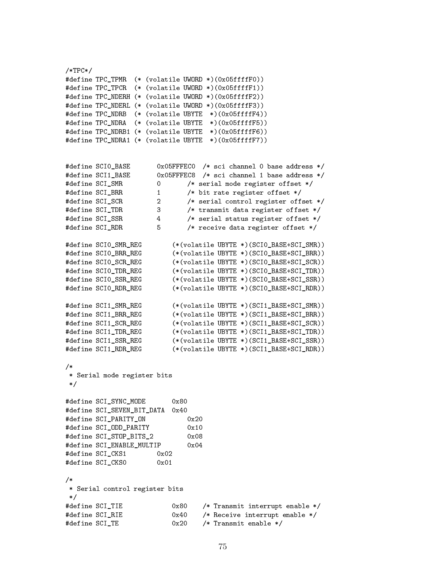$/*TPC*/$ /\*TPC\*/ #define TPC TPMR (\* (volatile UWORD \*)(0x05ffffF0)) #define TPC\_TPCR (\* (volatile UWORD \*)(0x05ffffF1)) #define TPC\_NDERH (\* (volatile UWORD \*)(0x05ffffF2)) #define TPC\_NDERL (\* (volatile UWORD \*)(0x05ffffF3)) #define TPC\_NDRB (\* (volatile UBYTE \*)(0x05ffffF4)) #define TPC\_NDRA (\* (volatile UBYTE \*)(0x05ffffF5)) #define TPC\_NDRB1 (\* (volatile UBYTE \*)(0x05ffffF6)) #define TPC\_NDRA1 (\* (volatile UBYTE \*)(0x05ffffF7)) #define SCI0\_BASE 0x05FFFEC0 /\* sci channel 0 base address \*/ #define SCI1\_BASE 0x05FFFEC8 /\* sci channel 1 base address \*/ #define SCI\_SMR 0 /\* serial mode register offset \*/  $\mathbf{1}$  , bit rate register of  $\mathbf{1}$  , bit rate register of science  $\mathbf{1}$  ,  $\mathbf{1}$  $\mathbf{d}$ #define SCI TDR  $\mathbf{3}$  $\mathcal{S}$  , transmit data register of  $\mathcal{S}$ #define SCI\_SSR 4 /\* serial status register offset \*/ #define SCI\_RDR 5 /\* receive data register offset \*/  $5^{\circ}$ #define SCI0\_SMR\_REG (\*(volatile UBYTE \*)(SCI0\_BASE+SCI\_SMR)) #define SCI0\_BRR\_REG (\*(volatile UBYTE \*)(SCI0\_BASE+SCI\_BRR)) #define SCI0\_SCR\_REG (\*(volatile UBYTE \*)(SCI0\_BASE+SCI\_SCR)) #define SCI0\_TDR\_REG (\*(volatile UBYTE \*)(SCI0\_BASE+SCI\_TDR)) #define SCI0\_SSR\_REG (\*(volatile UBYTE \*)(SCI0\_BASE+SCI\_SSR)) #define SCI0\_RDR\_REG (\*(volatile UBYTE \*)(SCI0\_BASE+SCI\_RDR)) #define SCI1\_SMR\_REG (\*(volatile UBYTE \*)(SCI1\_BASE+SCI\_SMR)) #define SCI1\_BRR\_REG (\*(volatile UBYTE \*)(SCI1\_BASE+SCI\_BRR)) #define SCI1\_SCR\_REG (\*(volatile UBYTE \*)(SCI1\_BASE+SCI\_SCR)) #define SCI1\_TDR\_REG (\*(volatile UBYTE \*)(SCI1\_BASE+SCI\_TDR)) #define SCI1\_SSR\_REG (\*(volatile UBYTE \*)(SCI1\_BASE+SCI\_SSR)) #define SCI1\_RDR\_REG (\*(volatile UBYTE \*)(SCI1\_BASE+SCI\_RDR))  $/$ \* /\* \* Serial mode register bits \*/ #define SCI\_SYNC\_MODE  $0 \times 80$ #define SCI\_SEVEN\_BIT\_DATA 0x40 #define SCI\_PARITY\_ON 0x20 #define SCI\_ODD\_PARITY  $0 \times 10$ #define SCI\_STOP\_BITS\_2 0x08 #define SCI\_ENABLE\_MULTIP 0x04 #define SCI\_CKS1 0x02 #define SCI\_CKS0 0x01  $/*$ /\* \* Serial control register bits  $\ast/$  $\mathcal{L}$  . The same state  $\mathcal{L}$ #define SCI TIE  $0x80$  /\* Transmit interrupt enable \*/ #define SCI\_RIE 0x40 /\* Receive interrupt enable \*/  $0x40$ #define SCI TE  $0x20$  $/*$  Transmit enable  $*/$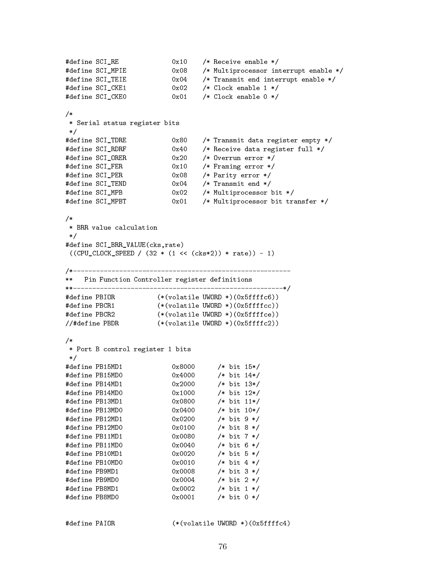```
\mathcal{L}^{\text{max}} , and the fine SCI \mathcal{L}^{\text{max}} of \mathcal{L}^{\text{max}} , and the ceiver enable \mathcal{L}^{\text{max}}#define SCI_MPIE 0x08 /* Multiprocessor interrupt enable */
#define SCI_TEIE 0x04 /* Transmit end interrupt enable */
#define SCI_CKE1 0x02 /* Clock enable 1 */
\mathcal{L}^{\text{max}} , and the science of \mathcal{L}^{\text{max}} , and the observed \mathcal{L}^{\text{max}} , and the observed \mathcal{L}^{\text{max}}/*
/*
 * Serial status register bits
 */
\mathcal{L} . The science of \mathcal{L} are defined to a register empty \mathcal{L} , \mathcal{L}\frac{1}{2} , and \frac{1}{2} are constructed functions of \frac{1}{2} and \frac{1}{2} are constructed functions of \frac{1}{2}#define SCI_ORER 0x20 /* Overrun error */
\mathbf{f} = \mathbf{f} \mathbf{f} + \mathbf{f} \mathbf{f} , and \mathbf{f} = \mathbf{f} \mathbf{f} + \mathbf{f} \mathbf{f} , and \mathbf{f} = \mathbf{f} \mathbf{f} + \mathbf{f} \mathbf{f} , and \mathbf{f} = \mathbf{f} \mathbf{f} + \mathbf{f} \mathbf{f} , and \mathbf{f} = \mathbf{f} \mathbf{f} + \mathbf{f} \mathbf{f} , and \mathbf{f} = \mathbf{f} \math\mathcal{A} . The fine SCI \mathcal{A} is the science of \mathcal{A} , and the science \mathcal{A} is the science of \mathcal{A}\mathcal{M}(\mathcal{M}) , the fine SCI \mathcal{M}(\mathcal{M}) of the science of \mathcal{M}(\mathcal{M}) , the science of \mathcal{M}(\mathcal{M})\mathcal{M} define \mathcal{M} , and \mathcal{M} are set of \mathcal{M} , and \mathcal{M} , and \mathcal{M} are set of \mathcal{M} , and \mathcal{M}\mathcal{M}(\mathcal{M}) , and the science \mathcal{M}(\mathcal{M}) is transfer transfer transfer transfer transfer transfer \mathcal{M}(\mathcal{M})/*
/*
 * BRR value calculation
 \ast/*/
#define SCI_BRR_VALUE(cks,rate)
 ((CPU\_CLOCK\_SPEED / (32 * (1 << (cks*2)) * rate)) - 1)\mathcal{N}^*** Pin Function Controller register definitions
**-------------------------------------------------------*/
#define PBIOR (*(volatile UWORD *)(0x5ffffc6))
#define PBCR1 (*(volatile UWORD *)(0x5ffffcc))
#define PBCR2 (*(volatile UWORD *)(0x5ffffce))
\mathcal{M} define \mathcal{M} define \mathcal{M}/*/*
* Port B control register 1 bits
 \ast /
 \mathcal{L} . The same state \mathcal{L}#define PB15MD1 0x8000 /* bit 15*/
#define PB15MD0
#define PB15MD0 0x4000 /* bit 14*/
#define PB14MD1 0x2000 /* bit 13*/
#define PB14MD0 0x1000 /* bit 12*/
#define PB13MD1 0x0800 /* bit 11*/
#define PB13MD0
#define PB13MD0 0x0400 /* bit 10*/
#define PB12MD1 0x0200 /* bit 9 */
#define PB12MD0 0x0100 /* bit 8 */
#define PB11MD1 0x0080 /* bit 7 */
#define PB11MD0 0x0040 /* bit 6 */
#define PB10MD1 0x0020 /* bit 5 */
#define PB10MD0 0x0010 /* bit 4 */
#define PB9MD1 0x0008 /* bit 3 */
#define PB9MD0 0x0004 /* bit 2 */
#define PB8MD1 0x0002 /* bit 1 */
#define PB8MD0 0x0001 /* bit 0 */
```
#define PAIOR (\*(volatile UWORD \*)(0x5ffffc4)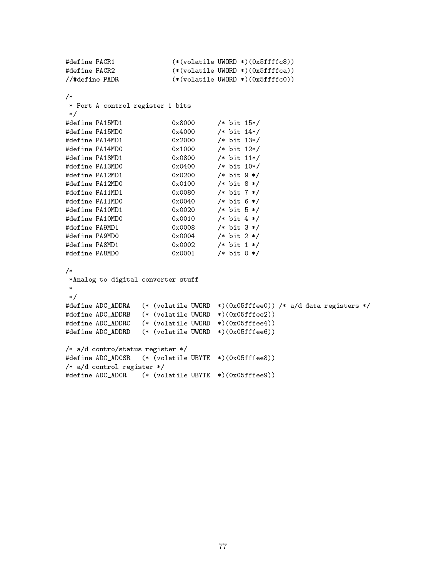```
#define PACR1 (*(volatile UWORD *)(0x5ffffc8))<br>#define PACR2 (*(volatile UWORD *)(0x5ffffca))
                          (* (volation <i>WORD</i> *)(0x5ffffc8))//#define PADR
                          (* (volation) *)(0x5fffc0))/*/*
* Port A control register 1 bits
\ast/*/
                          0x8000#define PA15MD1 0x8000 /* bit 15*/
#define PA15MD0 0x4000 /* bit 14*/
#define PA14MD1 0x2000 /* bit 13*/
#define PA14MD0 0x1000 /* bit 12*/
#define PA13MD1 0x0800 /* bit 11*/
\mathcal{M}^{\text{max}} define \mathcal{M}^{\text{max}} or \mathcal{M}^{\text{max}} , but \mathcal{M}^{\text{max}} , but \mathcal{M}^{\text{max}}\mathbf{d}^2 , and the fine Pa12MD1 oxo200 \mathbf{d}^2 , and the fine \mathbf{d}^2 of \mathbf{d}^2 , and the fine \mathbf{d}^2#define PA12MD0 0x0100 /* bit 8 */
#define PA11MD1 0x0080 /* bit 7 */
#define PA11MD0 0x0040 /* bit 6 */
#define PA1OMD1
#define PA10MD1 0x0020 /* bit 5 */
#define PA10MDO
#define PA10MD0 0x0010 /* bit 4 */
#define PA9MD1 0x0008 /* bit 3 */
\mathbf{d}^2 , and the fine Pa9MD0 \mathbf{d}^2 , and the paper \mathbf{d}^2 , and the paper \mathbf{d}^2#define PA8MD1
\mathbf{d} , and the fine Pa8MD1 oxonocal extension \mathbf{d} . Bit is the fine \mathbf{d}#define PA8MD0 0x0001 /* bit 0 */
/*/*
*Analog to digital converter stuff
 \mathcal{L} . The same state \mathcal{L}#define ADC_ADDRA (* (volatile UWORD *)(0x05fffee0)) /* a/d data registers */
#define ADC_ADDRB (* (volatile UWORD *)(0x05fffee2))
#define ADC_ADDRC (* (volatile UWORD *)(0x05fffee4))
#define ADC_ADDRD (* (volatile UWORD *)(0x05fffee6))
/* a/d contro/status register */
#define ADC_ADCSR (* (volatile UBYTE *)(0x05fffee8))
/* a/d control register */
#define ADC_ADCR (* (volatile UBYTE *)(0x05fffee9))
```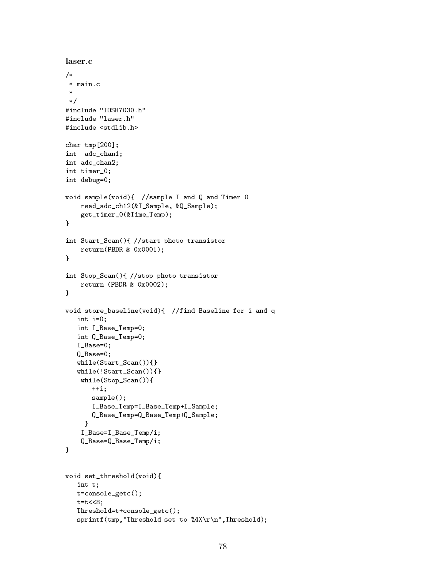```
laser.c
/*
 * main.c
 \ast\mathcal{L} . The same state \mathcal{L}#include "IOSH7030.h"
#include "laser.h"
#include <stdlib.h>
char tmp[200];
int adc_chan1;
int adc_chan2;
int timer_0;
int debug=0;
void sample(void){ //sample I and Q and Timer 0
     read_adc_ch12(&I_Sample, &Q_Sample);
     get_timer_0(&Time_Temp);
\mathcal{F}}
int Start_Scan(){ //start photo transistor
     return(PBDR & 0x0001);
<u>Property</u>
int Stop_Scan(){ //stop photo transistor
     return (PBDR & 0x0002);
}
void store_baseline(void){ //find Baseline for i and q
    int i=0;
    int I_Base_Temp=0;
    int Q_Base_Temp=0;
    I_Base=0;
    Q_Base=0;
    while(Start_Scan()){}
    while(!Start_Scan()){}
     while(Stop_Scan()){
         ++i;
         sample();
         I_Base_Temp=I_Base_Temp+I_Sample;
         Q_Base_Temp=Q_Base_Temp+Q_Sample;
       \overline{a} . The contract of the contract of the contract of the contract of the contract of the contract of the contract of the contract of the contract of the contract of the contract of the contract of the contract of th
     I_Base=I_Base_Temp/i;
     Q_Base=Q_Base_Temp/i;
}
void set_threshold(void){
    int t;
   t=console_getc();
    t=t<<8;
    Threshold=t+console_getc();
    sprintf(tmp,"Threshold set to %4X\r\n",Threshold);
```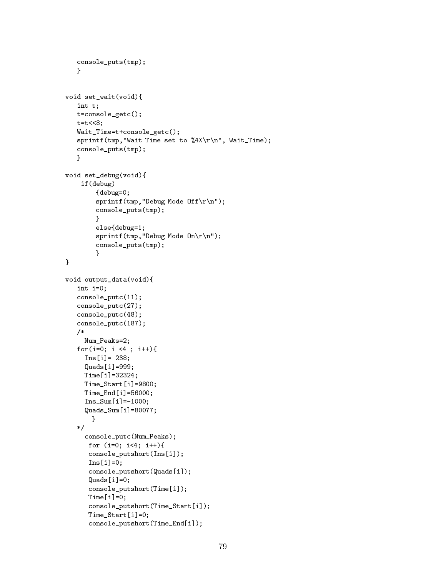```
console_puts(tmp);
     Y
     }
void set_wait(void){
    int t;
    t=console_getc();
    t=t<<8;
    Wait_Time=t+console_getc();
     sprintf(tmp, "Wait Time set to \X4X\r\n'\n, Wait_Time);
     console_puts(tmp);
     }
void set_debug(void){
      if(debug)
            {debug=0;
            sprintf(tmp, "Debug Mode Off\r\r\ln");
            console_puts(tmp);
            }
            else{debug=1;
            sprintf(tmp,"Debug Mode On\r\n");
            console_puts(tmp);
            \overline{a} . The contract of the contract of the contract of the contract of the contract of the contract of the contract of the contract of the contract of the contract of the contract of the contract of the contract of th
\mathcal{F}\overline{a} . The contract of the contract of the contract of the contract of the contract of the contract of the contract of the contract of the contract of the contract of the contract of the contract of the contract of th
void output_data(void){
     int i=0;
    console_putc(11);
    console_putc(27);
     console_putc(48);
    console_putc(187);
     /*
       Num_Peaks=2;
    for(i=0; i <4 ; i++){
       Ins[i] = -238;
       Quads[i]=999;
       Time[i]=32324;
       Time_Start[i]=9800;
       Time_End[i]=56000;
       Ins_Sum[i] = -1000;Quads_Sum[i]=80077;
           }
     \sqrt{ }console_putc(Num_Peaks);
         for (i=0; i<4; i++){
         console_putshort(Ins[i]);
         Ins[i]=0;
         console_putshort(Quads[i]);
         Quads[i]=0;
         console_putshort(Time[i]);
         Time[i]=0;
         console_putshort(Time_Start[i]);
         Time_Start[i]=0;
         console_putshort(Time_End[i]);
```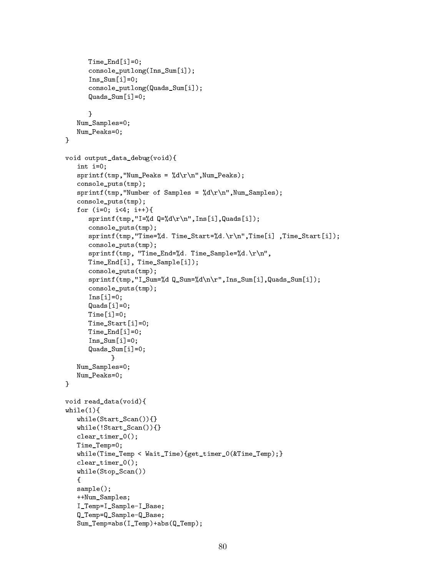```
Time_End[i]=0;
        console_putlong(Ins_Sum[i]);
        Ins Sum[i]=0;
        console_putlong(Quads_Sum[i]);
        Quads_Sum[i]=0;
        \mathcal{F}\overline{a} . The contract of the contract of the contract of the contract of the contract of the contract of the contract of the contract of the contract of the contract of the contract of the contract of the contract of th
    Num_Samples=0;
    Num_Peaks=0;
}
void output_data_debug(void){
    int i=0;
    sprintf(tmp, "Num_Peaks = %d\r\nu", Num_Peaks);console_puts(tmp);
    sprintf(tmp, "Number of Samples = %d\r\nu", Num_Samples);console_puts(tmp);
    for (i=0; i<4; i++)sprintf(tmp,"I=%dQ = %d\r \ln", Ins[i], Quads[i]);
        console_puts(tmp);
        sprintf(tmp,"Time=%d. Time_Start=%d.\r\n",Time[i] ,Time_Start[i]);
        console_puts(tmp);
        sprintf(tmp, "Time_End=%d. Time_Sample=%d.\r\n",
        Time_End[i], Time_Sample[i]);
        console_puts(tmp);
        sprintf(tmp,"I_Sum=%d Q_Sum=%d\n\r",Ins_Sum[i],Quads_Sum[i]);
        console_puts(tmp);
        Ins[i]=0;Quads[i]=0:
        Time[i]=0;
        Time_Start[i]=0;
        Time_End[i]=0;
        Ins_Sum[i]=0;
        Quads_Sum[i]=0;
                 }
    Num_Samples=0;
    Num Peaks=0;
\mathcal{F}}
void read_data(void){
while(1)while the contract of the contract of the contract of the contract of the contract of the contract of the contract of the contract of the contract of the contract of the contract of the contract of the contract of the cont
    while(Start_Scan()){}
    while(!Start_Scan()){}
    clear_timer_0();
    Time_Temp=0;
    while(Time_Temp < Wait_Time){get_timer_0(&Time_Temp);}
    clear_timer_0();
    while(Stop_Scan())
    {
    sample();
    ++Num_Samples;
    I Temp=I Sample-I Base;
    Q_Temp=Q_Sample-Q_Base;
    Sum_Temp=abs(I_Temp)+abs(Q_Temp);
```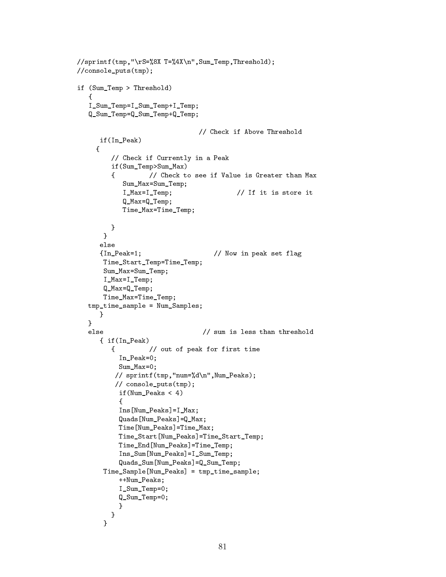```
//sprintf(tmp,"\rS=%8X T=%4X\n",Sum_Temp,Threshold);
//console_puts(tmp);
if (Sum_Temp > Threshold)
   \left\{ \right.{\color{red} \bullet} . The contract of the contract of the contract of the contract of the contract of the contract of the contract of the contract of the contract of the contract of the contract of the contract of the contract of 
   I_Sum_Temp=I_Sum_Temp+I_Temp;
   Q_Sum_Temp=Q_Sum_Temp+Q_Temp;
                                           // Check if Above Threshold
       if(In_Peak)
      {
            // Check if Currently in a Peak
           if(Sum_Temp>Sum_Max)
            { // Check to see if Value is Greater than Max
                Sum_Max=Sum_Temp;
                I_Max=I_Temp; // If it is store it
                Q_Max=Q_Temp;
                Time_Max=Time_Temp;
           }
         <u>Property</u>
        else
        {In_Peak=1; // Now in peak set flag
        Time_Start_Temp=Time_Temp;
         Sum_Max=Sum_Temp;
        I_Max=I_Temp;
         Q_Max=Q_Temp;
         Time_Max=Time_Temp;
   tmp_time_sample = Num_Samples;
        }
    \overline{a} . The contract of the contract of the contract of the contract of the contract of the contract of the contract of the contract of the contract of the contract of the contract of the contract of the contract of th
   else \frac{1}{2} // sum is less than threshold
        { if(In_Peak)
           { // out of peak for first time
              In Peak=0;
              Sum Max=0;
             // sprintf(tmp,"num=%d\n",Num_Peaks);
             // console_puts(tmp);
              if(Num_Peaks < 4)
              {
              Ins[Num_Peaks]=I_Max;
              Quads[Num_Peaks]=Q_Max;
              Time[Num_Peaks]=Time_Max;
              Time_Start[Num_Peaks]=Time_Start_Temp;
              Time_End[Num_Peaks]=Time_Temp;
              Ins_Sum[Num_Peaks]=I_Sum_Temp;
              Quads_Sum[Num_Peaks]=Q_Sum_Temp;
         Time_Sample[Num_Peaks] = tmp_time_sample;
              ++Num_Peaks;
              I_Sum_Temp=0;
              Q_Sum_Temp=0;
               }
            }
         \mathcal{F}
```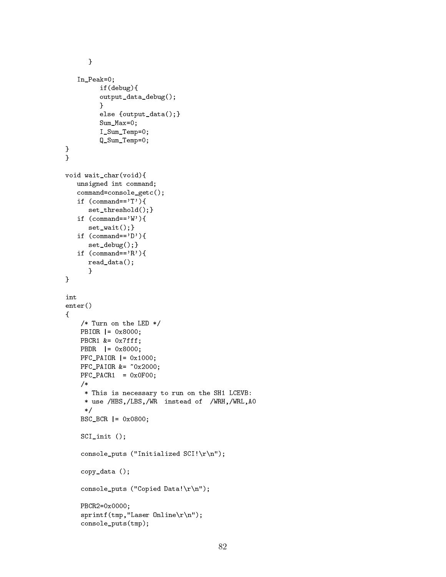```
}
     In_Peak=0;
              if(debug){
              output_data_debug();
              }
              else {output_data();}
              Sum_Max=0;
              I_Sum_Temp=0;
              Q_Sum_Temp=0;
}
}
void wait_char(void){
    unsigned int command;
     command=console_getc();
     if (\text{command}=='T') {
          set threshold(); }
    if (\text{command}=='W') {
          set_wait(); }
     if (\text{command}=='D') {
         set_debug();}
     if (\text{command}=='R') {
         read_data();
         \mathcal{F}\overline{a} . The contract of the contract of the contract of the contract of the contract of the contract of the contract of the contract of the contract of the contract of the contract of the contract of the contract of th
}
int
enter()
{
      /* Turn on the LED */
      PBIOR |= 0x8000;
      PBCR1 &= 0x7fff;
      PBDR |= 0x8000;
      PFC PAIOR |= 0x1000;
      PFC_PAIOR &= ~0x2000;
      PFC_PACR1 = 0x0F00;
      /*
        * This is necessary to run on the SH1 LCEVB:
        * use /HBS,/LBS,/WR instead of /WRH,/WRL,A0
        \ast/\mathbf{r} . The state of the state of the state of the state of the state of the state of the state of the state of the state of the state of the state of the state of the state of the state of the state of the state of th
      BSC_BCR |= 0x0800;
      SCI_init ();
      console_puts ("Initialized SCI!\r\n");
      copy_data ();
      console_puts ("Copied Data!\r\n");
      PBCR2=0x0000;
      sprintf(tmp,"Laser Online\r\n");
      console_puts(tmp);
```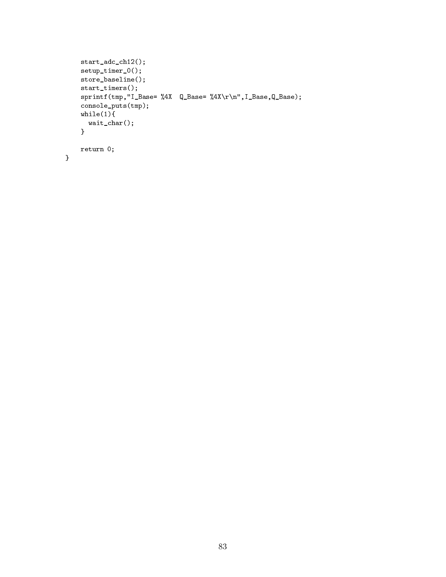```
start_adc_ch12();
setup_timer_0();
store_baseline();
start_timers();
sprintf(tmp,"I_Base= %4X Q_Base= %4X\r\n",I_Base,Q_Base);
console_puts(tmp);
while(1){
  wait_char();
}
return 0;
```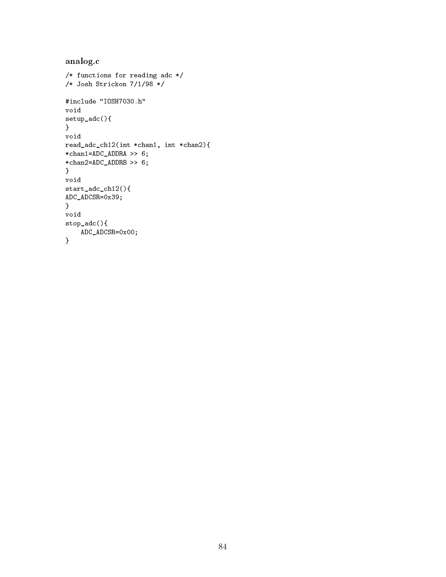```
analog.c
/* functions for reading adc */
/* Josh Strickon 7/1/98 */
#include "IOSH7030.h"
void
setup_adc(){
}
void
read_adc_ch12(int *chan1, int *chan2){
*chan1=ADC_ADDRA >> 6;
*chan2=ADC_ADDRB >> 6;
}
void
start_adc_ch12(){
ADC_ADCSR=0x39;
}
void
stop_adc(){
   ADC_ADCSR=0x00;
}
```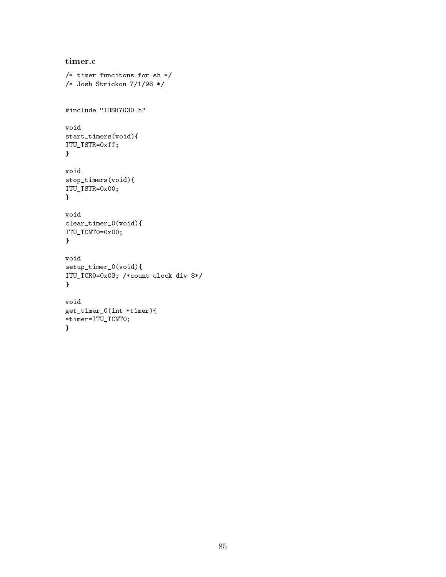```
timer.c
/* timer funcitons for sh */
/* Josh Strickon 7/1/98 */
#include "IOSH7030.h"
void
start_timers(void){
ITU_TSTR=0xff;
}
void
stop_timers(void){
ITU_TSTR=0x00;
}
void
clear_timer_0(void){
ITU_TCNT0=0x00;
}
void
setup_timer_0(void){
ITU_TCR0=0x03; /*count clock div 8*/
}
void
get_timer_0(int *timer){
*timer=ITU_TCNT0;
}
```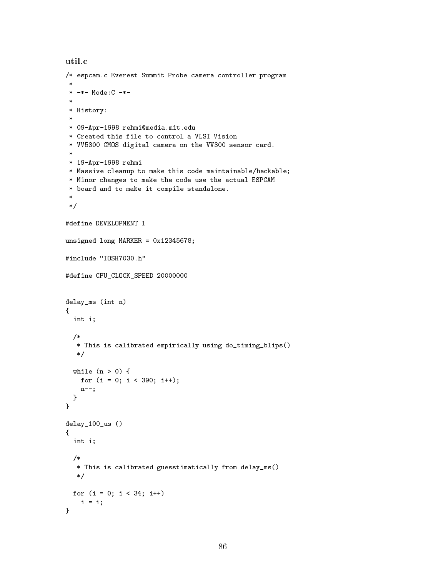```
util.c
/* espcam.c Everest Summit Probe camera controller program
 * -*- Mode:C -*-
 \mathbf{r}* History:
 * 09-Apr-1998 rehmi@media.mit.edu
 * Created this file to control a VLSI Vision
 * VV5300 CMOS digital camera on the VV300 sensor card.
 * 19-Apr-1998 rehmi
 * Massive cleanup to make this code maintainable/hackable;
 * Minor changes to make the code use the actual ESPCAM
 * board and to make it compile standalone.
 \ast/*/
#define DEVELOPMENT 1
unsigned long MARKER = 0x12345678;
#include "IOSH7030.h"
#define CPU_CLOCK_SPEED 20000000
delay_ms (int n)
\mathcal{L}{\bf r} and {\bf r} and {\bf r} and {\bf r} and {\bf r}int i;
  /*
   * This is calibrated empirically using do_timing_blips()
  */
  while (n > 0) {
   for (i = 0; i < 390; i++);
   n--;
  }
}
delay_100_us ()
{
  int i;
  /*
   * This is calibrated guesstimatically from delay_ms()
  */
 for (i = 0; i < 34; i++)i = i;}
```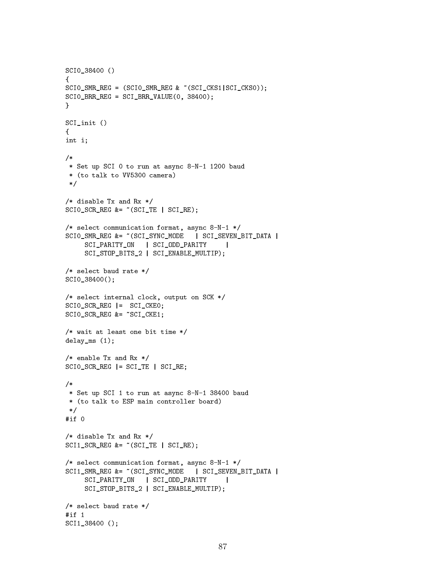```
SCI0_38400 ()
\mathcal{F}{\bf r} and {\bf r} and {\bf r} and {\bf r} and {\bf r}SCI0_SMR_REG = (SCI0_SMR_REG & ~(SCI_CKS1|SCI_CKS0));
SCI0_BRR_REG = SCI_BRR_VALUE(0, 38400);
}
SCI_init ()
{
int i;
/*
 * Set up SCI 0 to run at async 8-N-1 1200 baud
 * (to talk to VV5300 camera)
 */
/* disable Tx and Rx */
SCIOSCRREG &= \sim (SCITE | SCIRE);
/* select communication format, async 8-N-1 */
SCIO_SMR_REG &= ~(SCI_SYNC_MODE | SCI_SEVEN_BIT_DATA |
     SCI_PARITY_ON | SCI_ODD_PARITY
                                            \mathbb{R}SCI_STOP_BITS_2 | SCI_ENABLE_MULTIP);
/* select baud rate */
SCI0_38400();
/* select internal clock, output on SCK */
SCI0_SCR_REG |= SCI_CKE0;
SCI0_SCR_REG &= ~SCI_CKE1;
/* wait at least one bit time */
delay_ms (1);
/* enable Tx and Rx */
SCIO<sub>_</sub>SCR_REG | = SCI_TE | SCI_RE;
/*
 * Set up SCI 1 to run at async 8-N-1 38400 baud
 * (to talk to ESP main controller board)
 \ast/*/
/* disable Tx and Rx */
SCI1 SCR REG &= C</math> <math>(SCI TE | SCI RE);
/* select communication format, async 8-N-1 */
SCI1_SMR_REG &= ~(SCI_SYNC_MODE | SCI_SEVEN_BIT_DATA |
     SCI_PARITY_ON | SCI_ODD_PARITY |
     SCI_STOP_BITS_2 | SCI_ENABLE_MULTIP);
/* select baud rate */
#if 1SCI1_38400 ();
```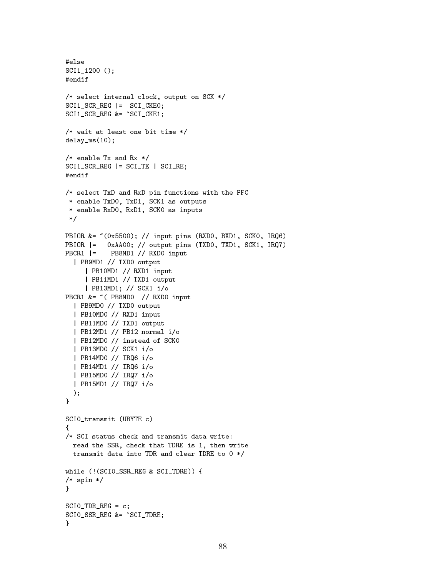```
#else
SCI1 1200 ();
#endif
/* select internal clock, output on SCK */
SCI1 SCR REG | = SCI CKE0;
SCI1_SCR_REG &= ~SCI_CKE1;
/* wait at least one bit time */
delay_ms(10);
, enable Tx and Rx and Rx \simSCI1 SCR REG | = SCI TE | SCI RE;
/* select TxD and RxD pin functions with the PFC
 * enable TxD0, TxD1, SCK1 as outputs
 * enable RxD0, RxD1, SCK0 as inputs
 * /
 \mathcal{L} . The same state \mathcal{L}PBIOR &= ~(0x5500); // input pins (RXD0, RXD1, SCK0, IRQ6)
          OxAA00; // output pins (TXD0, TXD1, SCK1, IRQ7)
PBIOR =PBCR1 |= PB8MD1 // RXD0 input
  | PB9MD1 // TXD0 output
     | PB10MD1 // RXD1 input
     | PB11MD1 // TXD1 output
     | PB13MD1; // SCK1 i/o
PBCR1 &= ~ ( PB8MD0 // RXD0 input
  | PB9MD0 // TXD0 output
  | PB10MD0 // RXD1 input
  | PB11MD0 // TXD1 output
  | PB12MD1 // PB12 normal i/o
  | PB12MD0 // instead of SCK0
  | PB13MD0 // SCK1 i/o
  | PB14MD0 // IRQ6 i/o
  | PB14MD1 // IRQ6 i/o
  | PB15MD0 // IRQ7 i/o
  | PB15MD1 // IRQ7 i/o
  );
\mathcal{F}}
SCI0_transmit (UBYTE c)
€
{\bf r} and {\bf r} and {\bf r} and {\bf r} and {\bf r}/* SCI status check and transmit data write:
  read the SSR, check that TDRE is 1, then write
  transmit data into TDR and clear TDRE to 0 */
while (!(SCI0_SSR_REG & SCI_TDRE)) {
/* spin */
<sup>T</sup>
}
SCIO TDR REG = c;
SCIO SSR REG &= ~SCI_TDRE;
Ŧ.
```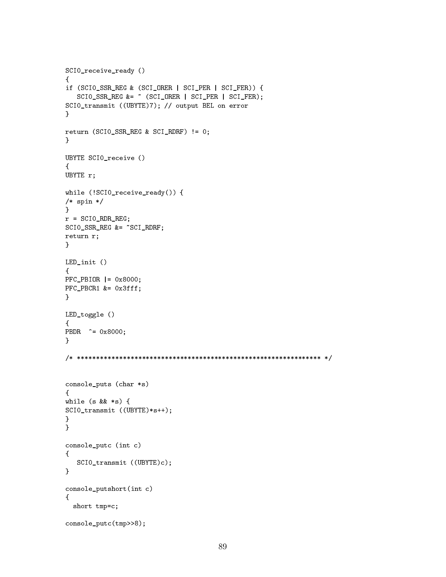```
SCI0_receive_ready ()
\mathcal{L}{\bf r} and {\bf r} and {\bf r} and {\bf r} and {\bf r}if (SCI0_SSR_REG & (SCI_ORER | SCI_PER | SCI_FER)) {
   SCIO_SSR_REG \&= ~ \sim (SCI_0RER \mid SCI_PER \mid SCI_FER);SCI0_transmit ((UBYTE)7); // output BEL on error
}
return (SCI0_SSR_REG & SCI_RDRF) != 0;
}
UBYTE SCI0_receive ()
{
UBYTE r;
while (!SCI0_receive_ready()) {
/* spin */
\mathcal{F}}
r = SCIO_RDR_REG;
SCI0_SSR_REG &= ~SCI_RDRF;
return r;
<u>Property</u>
LED_init ()
{
PFC_PBIOR |= 0x8000;
PFC_PBCR1 &= 0x3fff;
}
LED_toggle ()
{
PBDR \hat{=} 0x8000;}
/* **************************************************************** */
console_puts (char *s)
{
while (s && *s) {
SCI0_transmit ((UBYTE)*s++);
}
}
console_putc (int c)
{
   SCI0_transmit ((UBYTE)c);
}
console_putshort(int c)
{\bf r} and {\bf r} and {\bf r} and {\bf r} and {\bf r}short tmp=c;
console_putc(tmp>>8);
```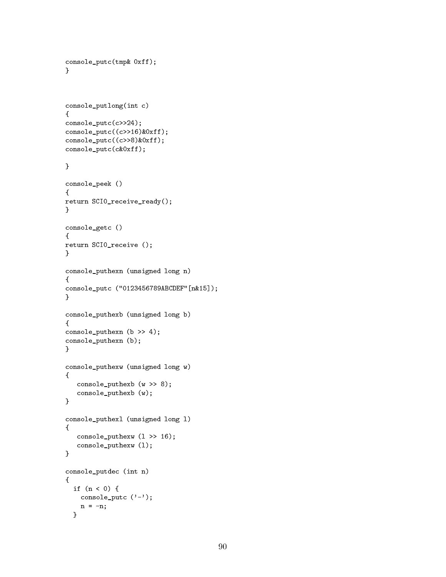```
console_putc(tmp& 0xff);
}
console_putlong(int c)
{
console_putc(c>>24);
console_putc((c>>16)&0xff);
console_putc((c>>8)&0xff);
console_putc(c&0xff);
}
console_peek ()
{
return SCI0_receive_ready();
<sup>T</sup>
}
console_getc ()
{
return SCI0_receive ();
}
console_puthexn (unsigned long n)
{
console_putc ("0123456789ABCDEF"[n&15]);
}
console_puthexb (unsigned long b)
{
console_puthexn (b >> 4);
console_puthexn (b);
}
console_puthexw (unsigned long w)
{
   console_puthexb (w >> 8);
   console_puthexb (w);
}
console_puthexl (unsigned long l)
{
   console_puthexw (l >> 16);
   console_puthexw (l);
}
console_putdec (int n)
{
  if (n < 0) {
   console_putc ('-);
   n = -n;
```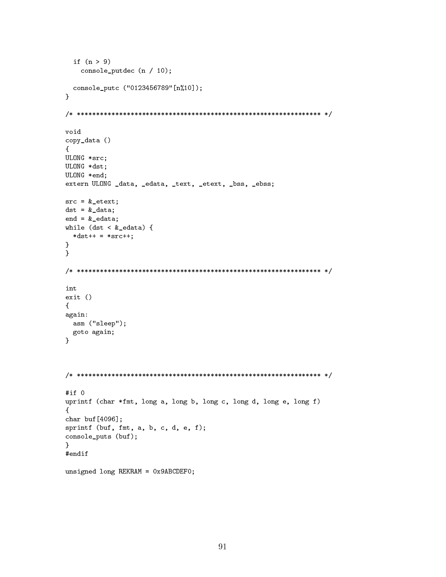```
if (n > 9)
    console_putdec (n / 10);
  console_putc ("0123456789"[n%10]);
\mathcal{F}<u>Property</u>
/* **************************************************************** */
void
copy_data ()
{
ULONG *src;
ULONG *dst;
ULONG *end;
extern ULONG _data, _edata, _text, _etext, _bss, _ebss;
src = <math>&</math>etext;dst = <math>k</math>_{data};end = k\_edata;while (dst < &_edata) {
 *dist++ = *src++;<u>Property</u>
}
/* **************************************************************** */
int
exit ()
{\bf r} and {\bf r} and {\bf r} and {\bf r} and {\bf r}again:
 asm ("sleep");
 goto again;
}
/* **************************************************************** */
#if 0
uprintf (char *fmt, long a, long b, long c, long d, long e, long f)
{
char buf[4096];
sprintf (buf, fmt, a, b, c, d, e, f);
console_puts (buf);
}
#endif
unsigned long REKRAM = 0x9ABCDEF0;
```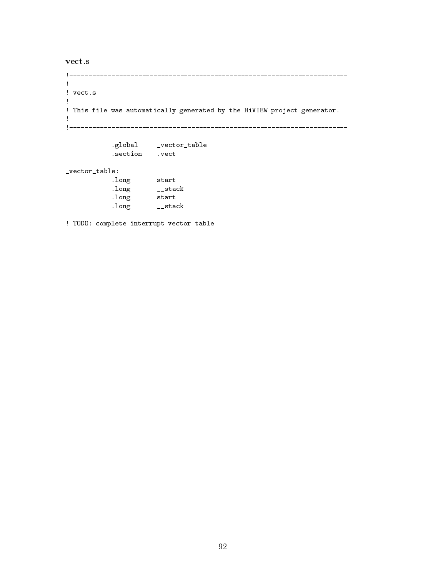vect.s

```
!
! vect.s
! This file was automatically generated by the HiVIEW project generator.
!
!-------------------------------------------------------------------------
                      .global \equiv . The contract of the contract of the contract of the contract of the contract of the contract of the contract of the contract of the contract of the contract of the contract of the contract of the contract o
_vector_table:
                     .long start
```

| . TOITE | auaru |  |
|---------|-------|--|
| .long   | stack |  |
| .long   | start |  |
| .long   | stack |  |

! TODO: complete interrupt vector table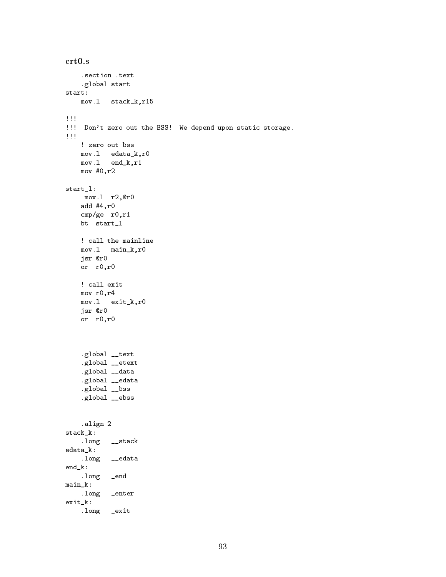```
crt0.s
    .section .text
   .global start
start:
  mov.l stack_k,r15
!!!
!!! Don't zero out the BSS! We depend upon static storage.
!!!
   ! zero out bss
   mov.l edata_k,r0
   mov.l end_k,r1
   mov #0,r2
start_l:
    mov.l r2,@r0
   add #4,r0
   cmp/ge r0,r1
   bt start_l
   ! call the mainline
   mov.l main_k,r0
   jsr @r0
   or r0,r0
   ! call exit
   mov r0,r4
   mov.l exit_k,r0
   jsr @r0
   or r0,r0
    .global __text
    .global __etext
    .global __data
    .global __edata
    .global __bss
    .global __ebss
   .align 2
stack_k:
    .long __stack
edata_k:
    .long __edata
end_k:
   .long _end
main_k:
   .long _enter
exit_k:
   .long _exit
```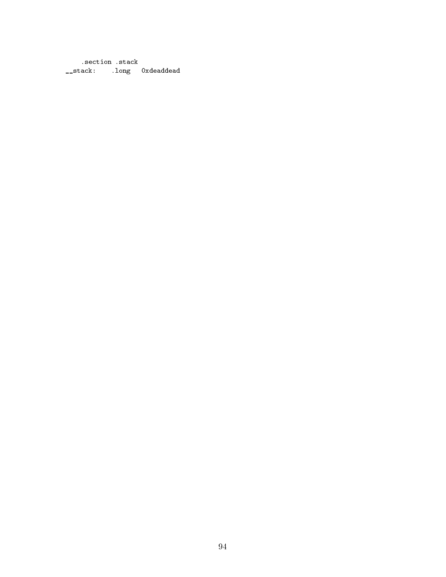.section .stack \_\_stack: .long 0xdeaddead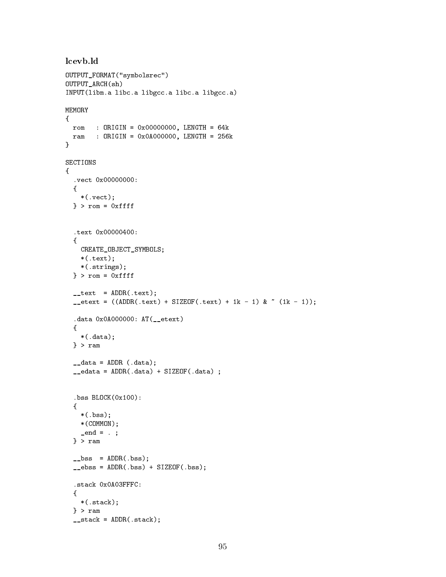```
lcevb.ld
OUTPUT_FORMAT("symbolsrec")
OUTPUT_ARCH(sh)
INPUT(libm.a libc.a libgcc.a libc.a libgcc.a)
MEMORY
{
  rom : ORIGIN = 0x00000000, LENGTH = 64k
  ram : ORIGIN = 0x0A000000, LENGTH = 256k
}
SECTIONS
{\bf r} and {\bf r} and {\bf r} and {\bf r} and {\bf r}.vect 0x00000000:
  {
    *(.vect);
  } > rom = 0xffff
  .text 0x00000400:
  \left\{ \right.CREATE_OBJECT_SYMBOLS;
    *(.text);
    *(.strings);
  } > rom = 0xffff
  _{--}text = ADDR(.text);
  _{\texttt{--}etext} = ((ADDR(.text) + SIZEOF(.text) + 1k - 1) & ~ (1k - 1));
  .data 0x0A000000: AT(__etext)
  {
    *(.data);
  } > ram
  \_data = ADDR (.data);
  _{\texttt{-edata}} = ADDR(.data) + SIZEOF(.data) ;
  .bss BLOCK(0x100):
  {
    *(.bss);*(COMMON);
    _{end} = . ;
  } > ram
  _{\texttt{-}bss = ADDR(.bss);
  _{\texttt{-}e}bss = ADDR(.bss) + SIZEOF(.bss);
  .stack 0x0A03FFFC:
  {
    *(.stack);
  } > ram
  _{--}stack = ADDR(.stack);
```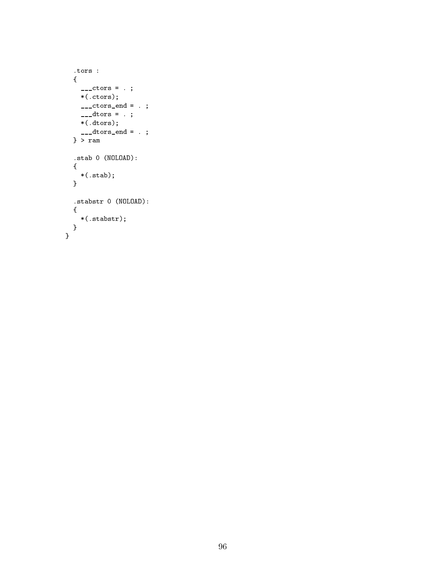```
.tors :
  {
   \frac{1}{2}-ctors = . ;
    *(.ctors);
   _{---}ctors\_end = .;
    \frac{1}{2} dtors = . ;
   *(.dtors);
    ___dtors_end = . ;
  } > ram
  .stab 0 (NOLOAD):
  {
    *(.stab);
  }
 .stabstr 0 (NOLOAD):
 \left\{ \right.*(.stabstr);
 }
}
```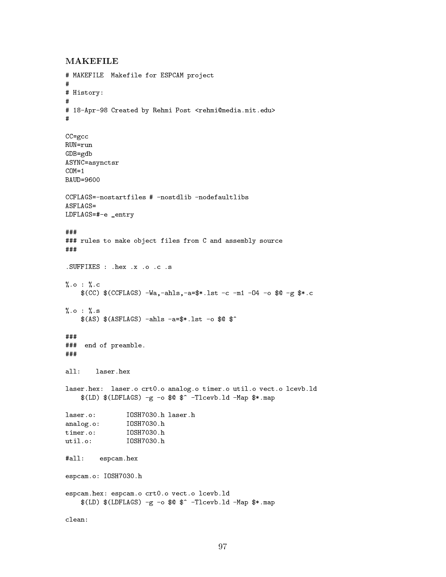### MAKEFILE

```
# MAKEFILE Makefile for ESPCAM project
#
# History:
# 18-Apr-98 Created by Rehmi Post <rehmi@media.mit.edu>
CC=gcc
RUN=run
GDB=gdb
ASYNC=asynctsr
COM=1BAUD=9600
CCFLAGS=-nostartfiles # -nostdlib -nodefaultlibs
ASTLAGS =LDFLAGS=#-e _entry
###
### rules to make object files from C and assembly source
###
.SUFFIXES : .hex .x .o .c .s
\%.o : \%.c
    $(CC) $(CCFLAGS) -Wa,-ahls,-a=$*.lst -c -m1 -O4 -o $@ -g $*.c
\%. 0 : \%. 5
%.o : %.s
    $(AS) $(ASTLAGS) -ahls -a=*.lst -o @###
### end of preamble.
###
laser.hex: laser.o crt0.o analog.o timer.o util.o vect.o lcevb.ld
    $(LD) $(LDFLAGS) -g -o $@ $^ -Tlcevb.1d -Map $*.maplaser.o: IOSH7030.h laser.h
analog.o: IOSH7030.h
timer.o: IOSH7030.h
               I0SH7030.h
#all: espcam.hex
espcam.o: IOSH7030.h
espcam.hex: espcam.o crt0.o vect.o lcevb.ld
    $(LD) $(LDFLAGS) -g -o $@ $^ -T1cevb.1d -Map $*.map
```
97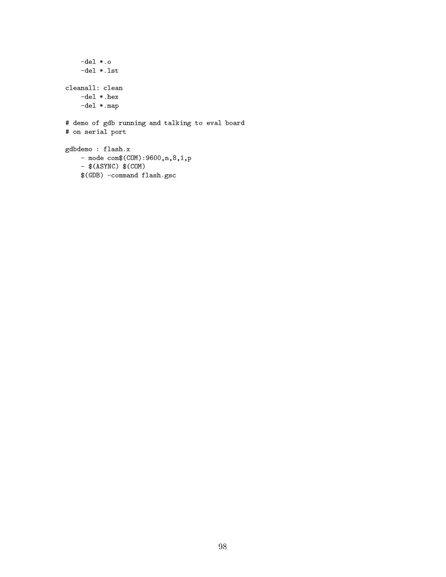```
-del *.o
    -del *.lst
cleanall: clean
   -del *.hex
   -del *.map
# demo of gdb running and talking to eval board
# on serial port
gdbdemo : flash.x
    - mode com$(COM):9600,n,8,1,p
    - $(ASYNC) $(COM)
    $(GDB) -command flash.gsc
```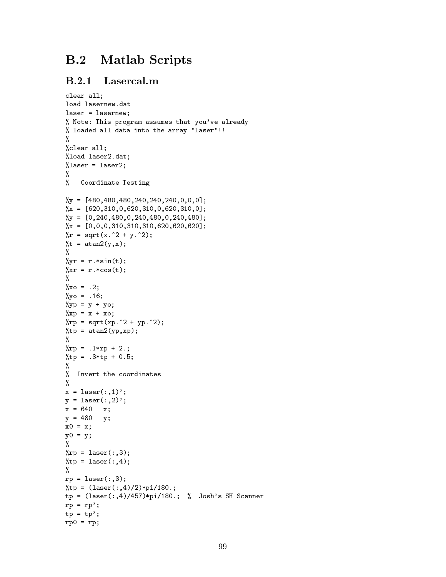# B.2 Matlab Scripts

### B.2.1 Lasercal.m

```
clear all;
load lasernew.dat
laser = lasernew;
% Note: This program assumes that you've already
% loaded all data into the array "laser"!!
%
%clear all;
%load laser2.dat;
\lambdalaser = laser2;
\frac{9}{6}%
% Coordinate Testing
\%y = [480,480,480,240,240,240,0,0,0];
\%x = [620,310,0,620,310,0,620,310,0];\%y = [0,240,480,0,240,480,0,240,480];
\%x = [0, 0, 0, 310, 310, 310, 620, 620, 620];
\sqrt[n]{r} = \sqrt{\sqrt{\text{s}^2 + \text{y}^2}};\%t = \text{atan2}(y, x);%
%
\sqrt[n]{y}r = r.*sin(t);
\sqrt[n]{xx} = r.*cos(t);\sim \sim\%xo = .2;\%yo = .16;
\sqrt[6]{y}p = y + yo;
\sqrt[n]{xp} = x + xo;\text{Krp} = \text{sqrt}(xp.^2 + yp.^2);%tp = \text{atan2}(yp, xp);\sim \sim\%rp = .1*rp + 2.;
%tp = .3*tp + 0.5;%
%
% Invert the coordinates
\frac{9}{4}%
x = laser(:,1);
y = laser(:,2);
x = 640 - x;y = 480 - y;x0 = x;y0 = y;%
\text{Krp} = \text{laser}(:,3);%tp = laser(:, 4);\sim \simrp = laser(:,3);%tp = (laser(:,4)/2) * pi/180.;
tp = (laser(:,4)/457)*pi/180.; % Josh's SH Scanner
rp = rp;
tp = tp';rp0 = rp;
```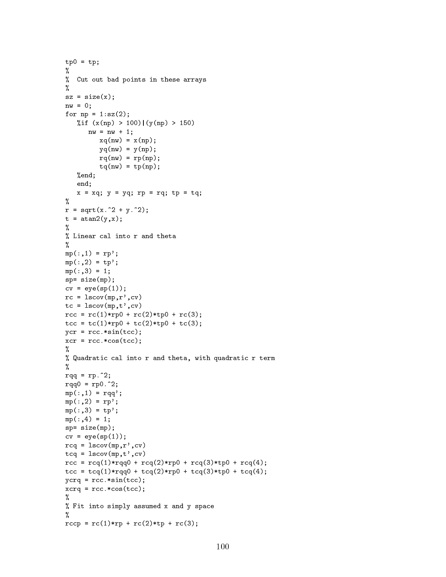```
tp0 = tp;%
% Cut out bad points in these arrays
%
sz = size(x);nw = 0;for np = 1: sz(2);
   %if (x(np) > 100) | (y(np) > 150)nw = nw + 1;xq(nw) = x(np);yq(nw) = y(np);rq(nw) = rp(np);tq(nw) = tp(np);%end;
   end;
   x = xq; y = yq; rp = rq; tp = tq;
%
r = sqrt(x.^2 + y.^2);t = \text{atan2}(y, x);%
% Linear cal into r and theta
%
mp(:,1) = rp';mp(:,2) = tp';mp(:,3) = 1;sp= size(mp);
cv = eye(sp(1));rc = lscov(mp, r', cv)tc = lscov(mp, t', cv)rcc = rc(1) * rp0 + rc(2) * tp0 + rc(3);tcc = tc(1) * rp0 + tc(2) * tp0 + tc(3);ycr = rcc.*sin(tcc);xcr = rcc.*cos(tcc);%
% Quadratic cal into r and theta, with quadratic r term
%
rqq = rp.^2;rqq0 = rp0.^2;mp(:,1) = rqq';mp(:,2) = rp';mp(:,3) = tp';mp(:,4) = 1;sp= size(mp);
cv = eye(sp(1));rcq = lscov(mp, r', cv)tcq = lscov(mp, t', cv)rcc = rcq(1) *rqq0 + rcq(2) *rp0 + rcq(3) *tp0 + rcq(4);tcc = tcq(1)*rqq0 + tcq(2)*rp0 + tcq(3)*tp0 + tcq(4);ycrq = rcc.*sin(tcc);xcrq = rcc.*cos(tcc);%
% Fit into simply assumed x and y space
%
rccp = rc(1) * rp + rc(2) * tp + rc(3);
```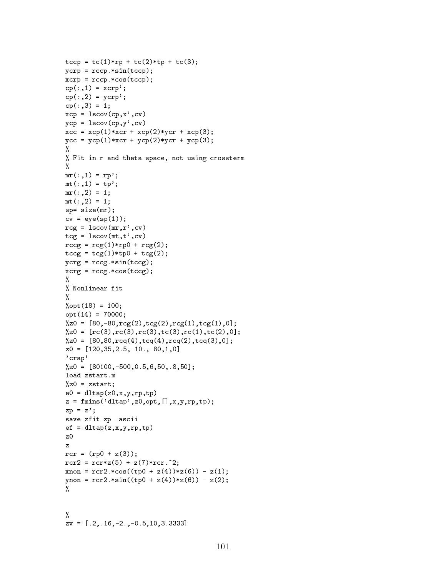```
tccp = tc(1) * rp + tc(2) * tp + tc(3);ycrp = rccp.*sin(tccp);xcrp = rccp.*cos(tccp);
cp(:,1) = xcrp';cp(:,2) = ycrp';cp(:,3) = 1;xcp = lscov(cp, x', cv)ycp = lscov(cp, y', cv)xc = xcp(1) * xcr + xcp(2) * ycr + xcp(3);ycc = ycp(1) * xcr + ycp(2) * ycr + ycp(3);%
% Fit in r and theta space, not using crossterm
%
mr(:,1) = rp';mt(:,1) = tp';mr(:,2) = 1;mt(:,2) = 1;sp= size(mr);
cv = eye(sp(1));rcg = lscov(mr, r', cv)tcg = lscov(mt, t', cv)rccg = rcg(1) * rp0 + rcg(2);tccg = tcg(1) * tp + tcg(2);ycrg = rccg.*sin(tccg);xcrg = rccg.*cos(tccg);%
% Nonlinear fit
%
% opt(18) = 100;opt(14) = 70000;
\%z0 = [80, -80, rcg(2), tcg(2), rcg(1), tcg(1),0];\%z0 = [rc(3), rc(3), rc(3), tc(3), rc(1), tc(2), 0];\%z0 = [80, 80, rcq(4), tcq(4), rcq(2), tcq(3), 0];z0 = [120, 35, 2.5, -10., -80, 1, 0]'crap'
\%z0 = [80100, -500, 0.5, 6, 50, .8, 50];load zstart.m
\%z0 = zstart;e0 = dltap(z0, x, y, rp, tp)z = \text{fmins('dltap',z0,opt,[]}, x, y, rp, tp);zp = z;
save zfit zp -ascii
ef = dltap(z, x, y, rp, tp)z0
rcr = (rp0 + z(3));rcr2 = rcr*z(5) + z(7)*rcr.^2;x non = rcr2.*cos((tp0 + z(4))*z(6)) - z(1);ynon = rcr2.*sin((tp0 + z(4))*z(6)) - z(2);\sim \sim\sim \simzy = [.2, .16, -2., -0.5, 10, 3.333]
```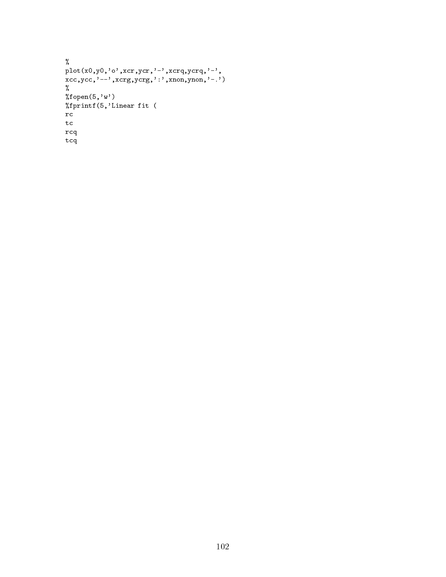```
..<br>plot(x0.v0.'o',xcr,vcr,'-',xcrq,vcrq,'-',
xcc,ycc,'--',xcrg,ycrg,':',xnon,ynon,'-.')
%
%fopen(5,'w')
%fprintf(5,'Linear fit (
rc
tc
rcq
tcq
```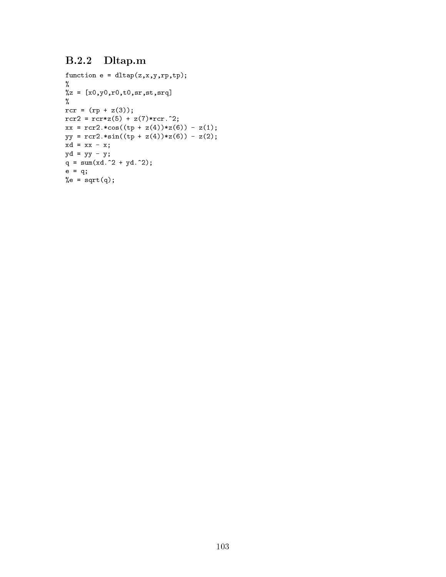## B.2.2 Dltap.m

```
function e = dltap(z, x, y, rp, tp);%
\%z = [x0, y0, r0, t0, sr, st, srq]%
rcr = (rp + z(3));rcr2 = rcr*z(5) + z(7)*rcr.^2;xx = rcr2.*cos((tp + z(4))*z(6)) - z(1);yy = rcr2.*sin((tp + z(4))*z(6)) - z(2);xd = xx - x;yd = yy - y;
q = sum(xd.^2 + yd.^2);e = q;%e = sqrt(q);
```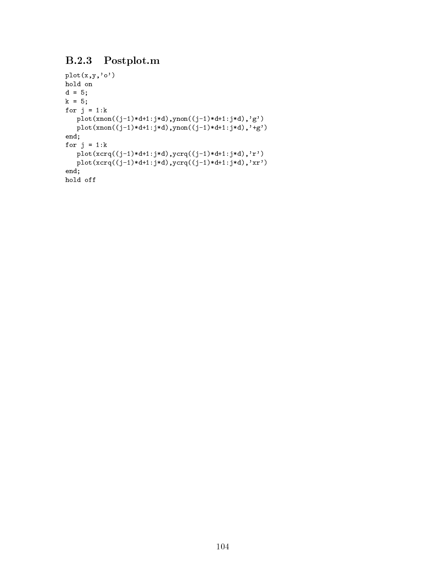## B.2.3 Postplot.m

```
plot(x,y,'o')
hold on
d = 5;k = 5;for j = 1:k{\tt plot(xnon((j-1)*d+1:j*d),ynon((j-1)*d+1:j*d),'g')}plot(xnon((j-1)*d+1:j*d),ynon((j-1)*d+1:j*d),'+g')
end;
for j = 1:kplot(xcrq((j-1)*d+1:j*d),ycrq((j-1)*d+1:j*d),'r')plot(xcrq((j-1)*d+1:j*d),ycrq((j-1)*d+1:j*d),'xr')end;
hold off
```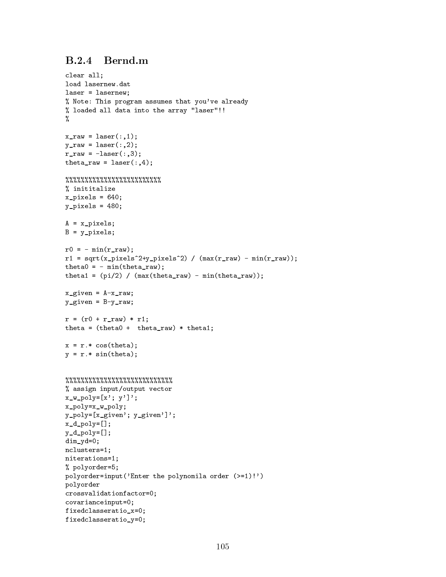## B.2.4 Bernd.m

```
clear and ;
load lasernew.dat
laser = lasernew;
% Note: This program assumes that you've already
% loaded all data into the array "laser"!!
%
x_{raw} = laser(:,1);y_{raw} = laser(:,2);r_{raw} = -laser(:,3);theta_raw = laser(:,4);%%%%%%%%%%%%%%%%%%%%%%%%%
% inititalize
x-pixels = 640;
y-pixels = 480;
A = x_pixels;
B = y_{\text{pixels}};
r0 = - \min(r_{raw});r1 = sqrt(x_pixels^2+y_pixels^2) / (max(r_raw) - min(r_raw));theta0 = - min(theta_raw);
theta1 = (pi/2) / (max(theta\_raw) - min(theta\_raw));x_given = A-x_raw;
y_given = B-y_{raw};
r = (r0 + r_{raw}) * r1;theta = (theta + theta) + theta_raw) * theta1;
x = r.* cos(theta);y = r.* sin(theta);%%%%%%%%%%%%%%%%%%%%%%%%%%%%
% assign input/output vector
x_w_p-poly=[x'; y'];
x_poly=x_w_poly;
y_poly=[x_given'; y_given']';
x_d_poly=[];
y_d_poly=[];
dim_yd=0;
nclusters=1;
niterations=1;
% polyorder=5;
polyorder=input('Enter the polynomila order (>=1)!')
polyorder
crossvalidationfactor=0;
covarianceinput=0;
fixedclasseratio_x=0;
fixedclasseratio_y=0;
```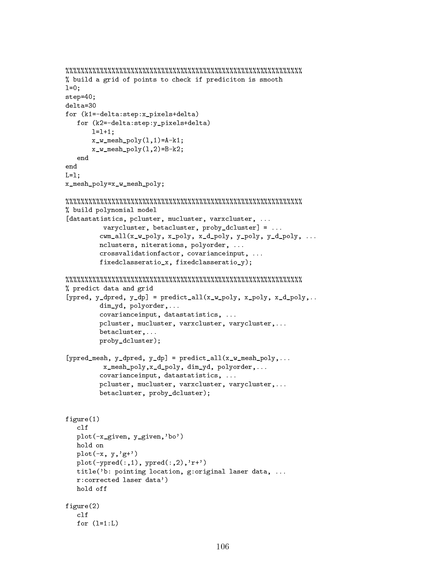```
%%%%%%%%%%%%%%%%%%%%%%%%%%%%%%%%%%%%%%%%%%%%%%%%%%%%%%%%%%%%%%
% build a grid of points to check if prediciton is smooth
1=0;step=40;
delta=30
for (k1=-delta:step:x_pixels+delta)
   for (k2=-delta:step:y_pixels+delta)
       l=1+1;x_w_mesh_poly(1,1)=A-k1;
       x_w_mesh_poly(1,2)=B-k2;
end
\mathcal{L} and \mathcal{L}x_mesh_poly=x_w_mesh_poly;
%%%%%%%%%%%%%%%%%%%%%%%%%%%%%%%%%%%%%%%%%%%%%%%%%%%%%%%%%%%%%%
% build polynomial model
[datastatistics, pcluster, mucluster, varxcluster, ...
          varycluster, betacluster, proby_dcluster] = ...
         cwm_all(x_w_poly, x_poly, x_d_poly, y_poly, y_d_poly, ...
         nclusters, niterations, polyorder, ...
         crossvalidationfactor, covarianceinput, ...
         fixedclasseratio_x, fixedclasseratio_y);
%%%%%%%%%%%%%%%%%%%%%%%%%%%%%%%%%%%%%%%%%%%%%%%%%%%%%%%%%%%%%%
% predict data and grid
[ypred, y_dpred, y_dp] = predict_all(x_w_poly, x_poly, x_d_poly,..
         dim_yd, polyorder,...
         covarianceinput, datastatistics, ...
         pcluster, mucluster, varxcluster, varycluster,...
         betacluster,...
         proby_dcluster);
[ypred_mesh, y_dpred, y_dp] = predict_all(x_w_mesh_poly,...
          x_mesh_poly,x_d_poly, dim_yd, polyorder,...
         covarianceinput, datastatistics, ...
         pcluster, mucluster, varxcluster, varycluster,...
         betacluster, proby_dcluster);
figure(1)
   plot(-x_given, y_given,'bo')
   hold on
   plot(-x, y, 'g+')plot(-ypred(:,1), ypred(:,2),'r+')title('b: pointing location, g:original laser data, ...
   r:corrected laser data')
   hold off
figure(2)
   c1ffor (l=1:L)for (l=1:L)
```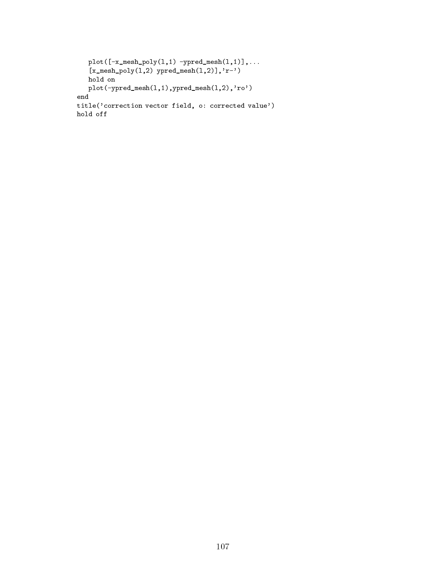```
\begin{bmatrix} 1 & 1 & 1 \\ 2 & 3 & 5 \end{bmatrix} which \begin{bmatrix} 1 & 1 \\ 2 & 1 \end{bmatrix}, \begin{bmatrix} 1 & 1 \\ 2 & 1 \end{bmatrix}, \begin{bmatrix} 1 & 1 \\ 1 & 2 \end{bmatrix}hold on
     plot(-ypred_mesh(l,1),ypred_mesh(l,2),'ro')
 title('correction vector field, o: corrected value')
hold off
```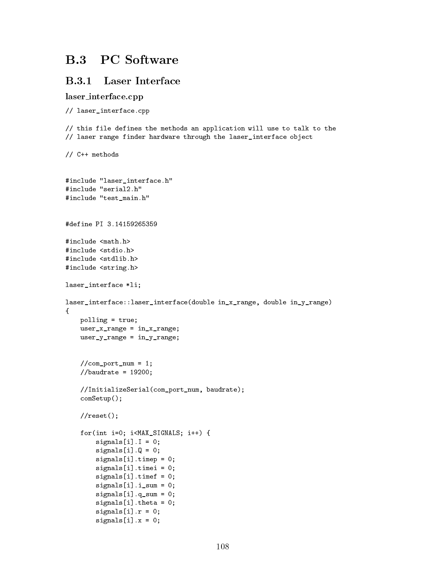# **B.3** PC Software

### **B.3.1** Laser Interface

 $signals[i].x = 0;$ 

#### laser interface.cpp

```
// laser_interface.cpp
// this file defines the methods an application will use to talk to the
// laser range finder hardware through the laser_interface object
// C++ methods
#include "laser_interface.h"
#include "serial2.h"
#include "test main.h"
#define PI 3.14159265359
#include <math.h>
#include <stdio.h>
#include <stdlib.h>
#include <string.h>
laser_interface *li;
laser_interface::laser_interface(double in_x_range, double in_y_range)
{
    polling = true;
    user_x_range = in_x_range;user_y_range = in_y_range;//com\_port\_num = 1;//baudrate = 19200;
    //InitializeSerial(com_port_num, baudrate);
    comSetup();
    // \text{reset}();
    for(int i=0; i<MAX_SIGNALS; i++) {
        signals[i].I = 0;signals[i].Q = 0;signals[i].timep = 0;
        signals[i].timei = 0;
        signals[i].timef = 0;signals[i].i\_sum = 0;signals[i].q\_sum = 0;signals[i].theta = 0;
        signals[i].r = 0;
```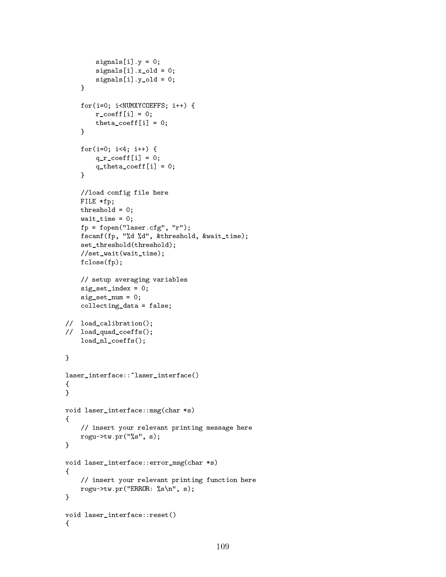```
signals[i].y = 0;signals[i].x\_old = 0;signals[i].y\_old = 0;}
     for(i=0; i<NUMXYCOEFFS; i++) {
          r\_{coeff}[i] = 0;theta_coeff[i] = 0;\mathcal{F}\overline{a} . The contract of the contract of the contract of the contract of the contract of the contract of the contract of the contract of the contract of the contract of the contract of the contract of the contract of th
     for(i=0; i<4; i++) {
          q_r\c{=} \coeff[i] = 0;q_{\text{theta} \text{-} \text{coeff}[i] = 0;<u>Property</u>
     //load config file here
     FILE *fp;
     threshold = 0;
     wait_time = 0;
     fp = fopen("laser.cfg", "r");
     fscanf(fp, "%d %d", &threshold, &wait_time);
     set_threshold(threshold);
     //set_wait(wait_time);
     fclose(fp);
     // setup averaging variables
     sig_set_index = 0;
     sig_set_name = 0;collecting_data = false;
// load_calibration();
// load_quad_coeffs();
     load_nl_coeffs();
}
laser_interface::~laser_interface()
{
}
void laser_interface::msg(char *s)
{
     // insert your relevant printing message here
     rogu->tw.pr("%s", s);
}
void laser_interface::error_msg(char *s)
{
     // insert your relevant printing function here
     rogu->tw.pr("ERROR: \ss\n", s);
}
void laser_interface::reset()
```
 ${\bf r}$  and  ${\bf r}$  and  ${\bf r}$  and  ${\bf r}$  and  ${\bf r}$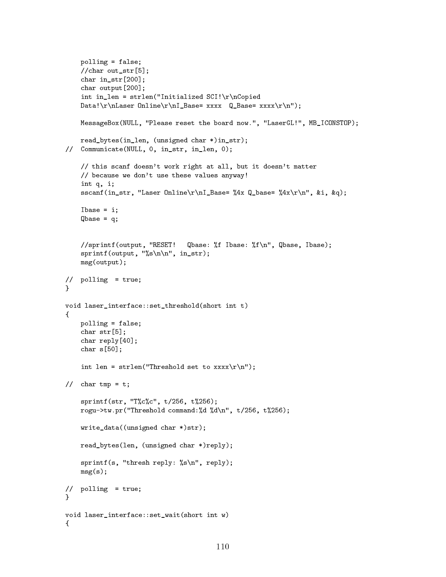```
polling = false;
    //char out_str[5];
    char in_str[200];
    char output[200];
    int in_len = strlen("Initialized SCI! \r\ncopiedData!\r\nLaser Online\r\nI_Base= xxxx Q_Base= xxxx\r\n");
    MessageBox(NULL, "Please reset the board now.", "LaserGL!", MB_ICONSTOP);
    read_bytes(in_len, (unsigned char *)in_str);
// Communicate(NULL, 0, in_str, in_len, 0);
    // this scanf doesn't work right at all, but it doesn't matter
    // because we don't use these values anyway!
    int q, i;
    sscanf(in_str, "Laser Online\r\nI_Base= %4x Q_base= %4x\r\n", &i, &q);
    Ibase = i;
    Qbase = q;//sprintf(output, "RESET! Qbase: %f Ibase: %f\n", Qbase, Ibase);
    sprintf(output, "%s\nn\n'n", in_str);msg(output);
// polling = true;
Y
}
void laser_interface::set_threshold(short int t)
f.
{\bf r} and {\bf r} and {\bf r} and {\bf r} and {\bf r}polling = false;
    char str[5];
    char reply[40];
    char s[50];
    int len = strlen("Threshold set to xxxx\r\n");
// char tmp = t;
    sprintf(str, "T%c%c", t/256, t%256);
    rogu->tw.pr("Threshold command:%d %d\n", t/256, t%256);
    write_data((unsigned char *)str);
    read_bytes(len, (unsigned char *)reply);
    sprintf(s, "thresh reply: %s\n", reply);
    msg(s);
// polling = true;
Y
}
void laser_interface::set_wait(short int w)
f.
```
 ${\bf r}$  and  ${\bf r}$  and  ${\bf r}$  and  ${\bf r}$  and  ${\bf r}$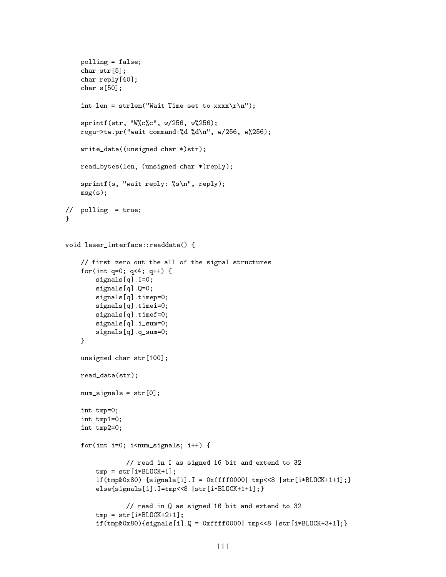```
polling = false;
     char str[5];
     char reply[40];
     char s[50];
     int len = strlen("Wait Time set to xxxxx\r\n");
     sprintf(str, "W%c%c", w/256, w%256);
     rogu->tw.pr("wait command:%d %d\n", w/256, w%256);
    write_data((unsigned char *)str);
    read_bytes(len, (unsigned char *)reply);
     sprintf(s, "wait reply: %s\n", reply);
    msg(s);// polling = true;
Y
}
void laser_interface::readdata() {
     // first zero out the all of the signal structures
     for(int q=0; q<4; q++) {
          signals[q].I=0;
          signals[q].Q=0;
          signals[q].timep=0;
          signals[q].timei=0;
          signals[q].timef=0;
          signals[q].i_sum=0;
          signals[q].q_sum=0;
     \overline{a} . The contract of the contract of the contract of the contract of the contract of the contract of the contract of the contract of the contract of the contract of the contract of the contract of the contract of th
     unsigned char str[100];
    read_data(str);
    num\_signals = str[0];int tmp=0;
     int tmp1=0;
     int tmp2=0;
     for(int i=0; i<num_signals; i++) {
                   // read in I as signed 16 bit and extend to 32
         tmp = str[i*BLOCK+1];if(tmp&0x80) {signals[i].I = 0xfff0000 | tmp<<8 | str[i*BLOCK+1+1];}else{signals[i].I=tmp<<8 |str[i*BLOCK+1+1];}
                   // read in Q as signed 16 bit and extend to 32
          tmp = str[i*BLOCK+2+1];if(tmp&0x80)\{signals[i].Q = 0xffff0000|tmp<<8 |str[i*BLOCK+3+1];\}
```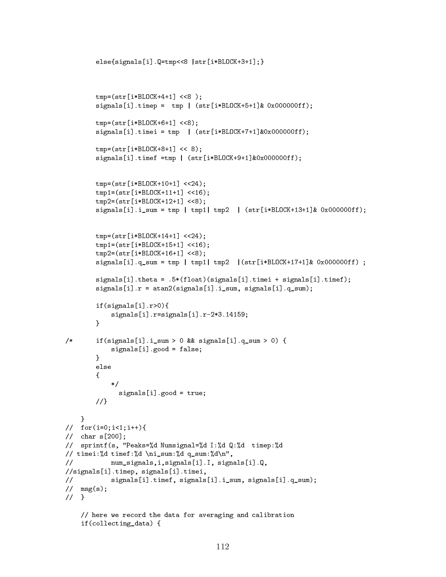```
else{signals[i].Q=tmp<<8 |str[i*BLOCK+3+1];}
         tmp=(str[i*BLOCK+4+1] <<8);
         signals[i].time = tmp | (str[i*BLOCK+5+1] & 0x000000ff);tmp=(str[i*BLOCK+6+1] <<8);signals[i].timei = tmp | (str[i*BLOCK+7+1] &0x000000ff);tmp=(str[i*BLOCK+8+1] << 8);signals[i].timef =tmp | (str[i*BLOCK+9+1] &0x000000ff);tmp=(str[i*BLOGK+10+1] << 24);tmp1=(str[i*BLOCK+11+1] <<16);
         tmp2=(str[i*BLOCK+12+1] <<8);signals[i].i\_sum = tmp | tmp1| tmp2 | (str[i*BLOCK+13+1] & 0x000000ff);tmp=(str[i*BLOCK+14+1] << 24);tmp1=(str[i*BLOCK+15+1] <<16);
         tmp2=(str[i*BLOCK+16+1] <<8);signals[i].q\_sum = tmp | tmp1| tmp2 | (str[i*BLOCK+17+1] & 0x000000ff) ;signals[i].theta = .5*(float)(signals[i].timei + signals[i].timef);
         signals[i].r = atan2(signals[i].i_sum, signals[i].q_sum);
         if(signals[i].r>0){
              signals[i].r=signals[i].r-2*3.14159;
         \overline{a} . The contract of the contract of the contract of the contract of the contract of the contract of the contract of the contract of the contract of the contract of the contract of the contract of the contract of th
/* if(signals[i].i_sum > 0 && signals[i].q_sum > 0) {
              signals[i].good = false;
         }
         else
         \left\{ \right.{
              \ast/\mathcal{L} . The same state \mathcal{L}signals[i].good = true;
         //}
     }
// for(i=0;i<1;i++){
// char s[200];
// sprintf(s, "Peaks=%d Numsignal=%d I:%d Q:%d timep:%d
// timei:%d timef:%d \ni_sum:%d q_sum:%d\n",
// num_signals,i,signals[i].I, signals[i].Q,
//signals[i].timep, signals[i].timei,
// signals[i].timef, signals[i].i_sum, signals[i].q_sum);
\frac{1}{\sqrt{2}} msg(s);
// }
    // here we record the data for averaging and calibration
    if(collecting_data) {
```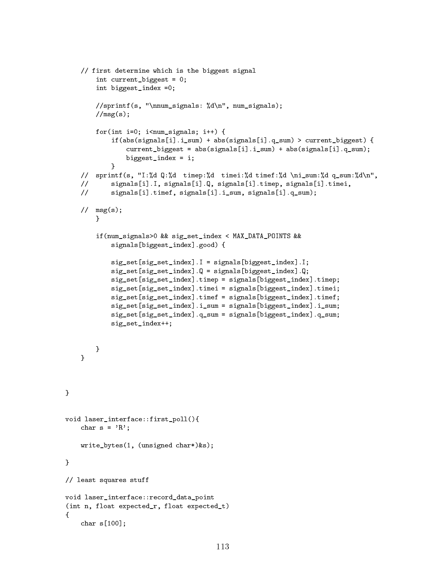```
// first determine which is the biggest signal
        int current_biggest = 0;
        int biggest_index =0;
        //sprintf(s, "\nnum_signals: %d\n", num_signals);
        //msg(s);for(int i=0; i<num_signals; i++) {
            if(abs(signals[i].i_sum) + abs(signals[i].q_sum) > current_biggest) {
                current_biggest = abs(signals[i].i_sum) + abs(signals[i].q_sum);
                biggest_index = i;
            }
    // sprintf(s, "I:%d Q:%d timep:%d timei:%d timef:%d \ni_sum:%d q_sum:%d\n",
    // signals[i].I, signals[i].Q, signals[i].timep, signals[i].timei,
    // signals[i].timef, signals[i].i_sum, signals[i].q_sum);
    \frac{1}{\sqrt{2}} msg(s);
        \mathcal{F}}
        if(num_signals>0 && sig_set_index < MAX_DATA_POINTS &&
            signals[biggest_index].good) {
            sig_set[sig_set_index].I = signals[biggest_index].I;
            sig_set[sig_set_index].Q = signals[biggest_index].Q;
            sig_set[sig_set_index].timep = signals[biggest_index].timep;
            sig_set[sig_set_index].timei = signals[biggest_index].timei;
            sig_set[sig_set_index].timef = signals[biggest_index].timef;
            sig_set[sig_set_index].i_sum = signals[biggest_index].i_sum;
            sig_set[sig_set_index].q_sum = signals[biggest_index].q_sum;
            sig_set_index++;
        }
    }
}
void laser_interface::first_poll(){
    char s = 'R';write_bytes(1, (unsigned char*)&s);
}
// least squares stuff
void laser_interface::record_data_point
(int n, float expected r, float expected t)
{\bf r} and {\bf r} and {\bf r} and {\bf r} and {\bf r}char s[100];
```
 $\mathcal{F}$ 

 $\mathcal{L}$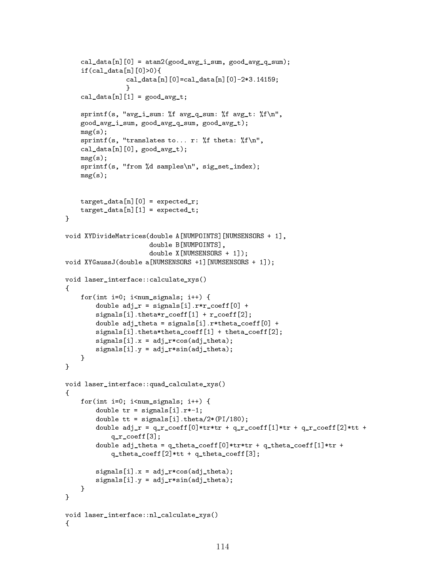```
cal_data[n][0] = atan2(good_avg_i_sum, good_avg_q_avg_q_ysu);
     if(cal data[n][0]>0){
                    cal data[n][0]=cal data[n][0]-2*3.14159;
                    ι
                     }
     cal\_data[n][1] = good_avg_t;sprintf(s, "avg_i_sum: \text{\%}f avg_q_sum: \text{\%}f avg_t: \text{\%}f\n",
     good_avg_i_sum, good_avg_q_sum, good_avg_t);
     msg(s);sprintf(s, "translates to... r: \frac{1}{2}f theta: \frac{1}{2}f \n",
     cal_data[n][0], good_avg_t);
     msg(s);
     sprintf(s, "from %d samples\n", sig_set_index);
     msg(s);target_data[n][0] = expected_r;target_data[n][1] = expected_t;\mathcal{F}}
void XYDivideMatrices(double A[NUMPOINTS][NUMSENSORS + 1],
                            double B[NUMPOINTS],
                            double X[NUMSENSORS + 1]);
void XYGaussJ(double a[NUMSENSORS +1][NUMSENSORS + 1]);
void laser_interface::calculate_xys()
f.
{\bf r} and {\bf r} and {\bf r} and {\bf r} and {\bf r}for(int i=0; i<num_signals; i++) {
          double adj_r = signals[i].r*r_coeff[0] +signals[i].theta*r_coeff[1] + r_coeff[2];
          double adj theta = signals[i].r*theta_coeff[0] +
          signals[i].theta*theta_coeff[1] + theta_coeff[2];
          signals[i].x = adj_r * cos(adj_theta);signals[i].y = adj_r*sin(ad_j_theta);}
\mathcal{F}}
void laser_interface::quad_calculate_xys()
f.
{\color{red} \bullet} . The contract of the contract of the contract of the contract of the contract of the contract of the contract of the contract of the contract of the contract of the contract of the contract of the contract of 
     for(int i=0; i<num_signals; i++) {
          double tr = signals[i].r*-1;double tt = signals[i].theta/2*(PI/180);double adj_r = q_r_coeff[0]*tr*tr + q_r_coeff[1]*tr + q_r_coeff[2]*tt +
               q_r_coeff[3];
          double adj_theta = q_theta_coeff[0]*tr*tr + q_theta_coeff[1]*tr +
               q_{\text{i}} theta_coeff[2]*tt + q_{\text{i}} theta_coeff[3];
          signals[i].x = adj_r * cos(adj_theta);signals[i].y = adj_r*sin(adj_theta);
     }
\mathcal{F}}
void laser_interface::nl_calculate_xys()
f.
{\bf r} and {\bf r} and {\bf r} and {\bf r} and {\bf r}
```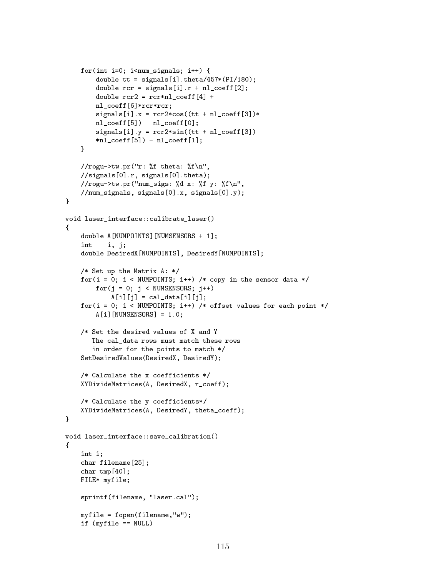```
for(int i=0; i<num_signals; i++) {
        double tt = signals[i].theta/457*(PI/180);double rcr = signals[i].r + n1_coeff[2];
        double rcr2 = rcr*n1\_coeff[4] +nl_coeff[6]*rcr*rcr;
        signals[i].x = rcr2*cos((tt + nl-coeff[3])*nl\_{coeff}[5]) - nl\_{coeff}[0];signals[i].y = rcr2*sin((tt + nl-coeff[3]))*nl\_{coeff}[5]) - nl\_{coeff}[1];}
    //rogu->tw.pr("r: %f theta: %f\n",
    //signals[0].r, signals[0].theta);
    //rogu->tw.pr("num_sigs: %d x: %f y: %f\n",
    //num_signals, signals[0].x, signals[0].y);
}
void laser_interface::calibrate_laser()
\mathbf{f}{\bf r} and {\bf r} and {\bf r} and {\bf r} and {\bf r}double A[NUMPOINTS][NUMSENSORS + 1];
    int
           i, j;double DesiredX[NUMPOINTS], DesiredY[NUMPOINTS];
    /* Set up the Matrix A: */
    for(i = 0; i < NUMPOINTS; i++) /* copy in the sensor data */for(j = 0; j < NUMSENSORS; j++)A[i][j] = cal_data[i][j];for(i = 0; i < NUMPOINTS; i++) /* offset values for each point */
        A[i][NUMSENSORS] = 1.0;
    /* Set the desired values of X and Y
       The cal_data rows must match these rows
       in order for the points to match */
    SetDesiredValues(DesiredX, DesiredY);
    /* Calculate the x coefficients */
    XYDivideMatrices(A, DesiredX, r_coeff);
    /* Calculate the y coefficients*/
    XYDivideMatrices(A, DesiredY, theta_coeff);
}
void laser_interface::save_calibration()
{
    int i;
    char filename[25];
    char tmp[40];
    FILE* myfile;
    sprintf(filename, "laser.cal");
    myfile = fopen(filename,"w");
    if (myfile == NULL)
```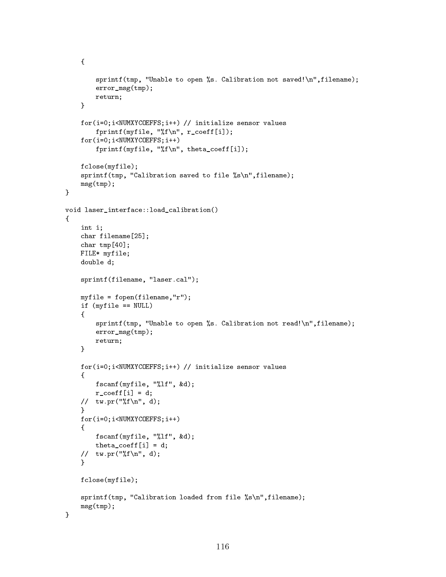```
{\color{red} \bullet} . The contract of the contract of the contract of the contract of the contract of the contract of the contract of the contract of the contract of the contract of the contract of the contract of the contract of 
                sprintf(tmp, "Unable to open %s. Calibration not saved!\n",filename);
                error_msg(tmp);
               return;
        }
        for(i=0;i<NUMXYCOEFFS;i++) // initialize sensor values
               fprintf(myfile, "%f\n", r_coeff[i]);
        for(i=0;i<NUMXYCOEFFS;i++)
               fprintf(myfile, "%f\n", theta_coeff[i]);
       fclose(myfile);
        sprintf(tmp, "Calibration saved to file %s\n",filename);
       msg(tmp);
\overline{a} . The contract of the contract of the contract of the contract of the contract of the contract of the contract of the contract of the contract of the contract of the contract of the contract of the contract of th
void laser interface::load calibration()
{
        int i;
        char filename[25];
        char tmp[40];
       FILE* myfile;
       double d;
        sprintf(filename, "laser.cal");
       myfile = fopen(filename,"r");
        if (myfile == NULL)
        {
                sprintf(tmp, "Unable to open %s. Calibration not read!\n",filename);
                error_msg(tmp);
               return;
        \mathcal{F}}
       for(i=0;i<NUMXYCOEFFS;i++) // initialize sensor values
        \left\{ \right.{
               fscanf(myfile, "%lf", &d);
               r_{\text{coeff}}[i] = d;// tw.pr("%f\n", d);
        \mathcal{F}\overline{a} . The contract of the contract of the contract of the contract of the contract of the contract of the contract of the contract of the contract of the contract of the contract of the contract of the contract of th
        for(i=0;i<NUMXYCOEFFS;i++)
        {
               fscanf(myfile, "%lf", &d);
               theta_coeff[i] = d;// tw.pr("%f\n'\n', d);\overline{a} . The contract of the contract of the contract of the contract of the contract of the contract of the contract of the contract of the contract of the contract of the contract of the contract of the contract of th
        fclose(myfile);
        sprintf(tmp, "Calibration loaded from file %s\n", filename);
       msg(tmp);
\mathcal{F}
```

```
116
```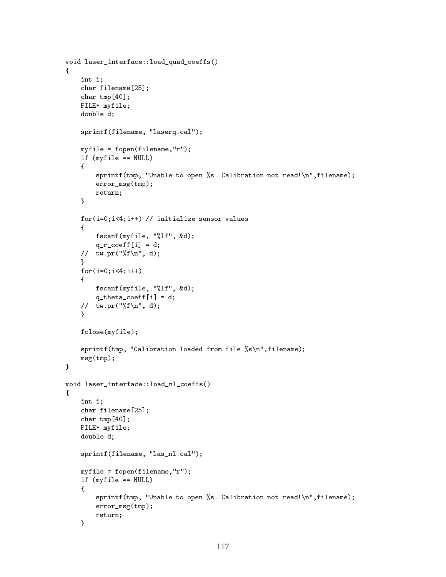```
void laser_interface::load_quad_coeffs()
{\bf r} and {\bf r} and {\bf r} and {\bf r} and {\bf r}int i;
     char filename[25];
     char tmp[40];
     FILE* myfile;
     double d;
     sprintf(filename, "laserq.cal");
     myfile = fopen(filename,"r");
     if (myfile == NULL)
     {
          sprintf(tmp, "Unable to open %s. Calibration not read!\n",filename);
          error_msg(tmp);
          return;
     }
     for(i=0;i<4;i++) // initialize sensor values
     \mathcal{L}{
          fscanf(myfile, "%lf", &d);
          q_r\c{=} \coeff[i] = d;// tw.pr("%f\n'\n', d);\mathcal{F}\overline{a} . The contract of the contract of the contract of the contract of the contract of the contract of the contract of the contract of the contract of the contract of the contract of the contract of the contract of th
     for(i=0; i<4; i++){
          fscanf(myfile, "%lf", &d);
          q_theta_coeff[i] = d;
     // tw.pr("%f\n'\n', d);}
     fclose(myfile);
     sprintf(tmp, "Calibration loaded from file %s\n", filename);
     msg(tmp);
\mathcal{F}}
void laser_interface::load_nl_coeffs()
{
     int i;
     char filename[25];
     char tmp[40];
     FILE* myfile;
     double d;
     sprintf(filename, "las_nl.cal");
     myfile = fopen(filename,"r");
     if (myfile == NULL)
     {
          sprintf(tmp, "Unable to open %s. Calibration not read!\n",filename);
          error_msg(tmp);
          return;
     \mathcal{F}
```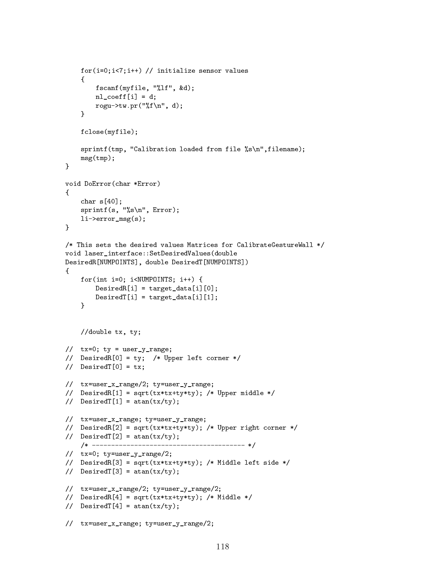```
for(i=0;i<7;i++) // initialize sensor values
      \left\{ \right.{
            fscanf(myfile, "%lf", &d);
            nl\_coeff[i] = d;rogu->tw.pr("%f\n", d);
      \mathcal{F}\overline{a} . The contract of the contract of the contract of the contract of the contract of the contract of the contract of the contract of the contract of the contract of the contract of the contract of the contract of th
      fclose(myfile);
      sprintf(tmp, "Calibration loaded from file %s\n",filename);
      msg(tmp);
}
void DoError(char *Error)
f.
{\color{red} \bullet} . The contract of the contract of the contract of the contract of the contract of the contract of the contract of the contract of the contract of the contract of the contract of the contract of the contract of 
      char s[40];
      sprintf(s, "\s\n", Error);
      li->error_msg(s);
<sup>T</sup>
}
/* This sets the desired values Matrices for CalibrateGestureWall */
void laser_interface::SetDesiredValues(double
DesiredR[NUMPOINTS], double DesiredT[NUMPOINTS])
f.
{\color{red} \bullet} . The contract of the contract of the contract of the contract of the contract of the contract of the contract of the contract of the contract of the contract of the contract of the contract of the contract of 
      for(int i=0; i<NUMPOINTS; i++) {
            DesiredR[i] = target_data[i][0];DesiredT[i] = target_data[i][1];}
      //double tx, ty;
// tx=0; ty = user_y_range;
// DesiredR[0] = ty; /* Upper left corner */
// DesiredT[0] = tx;
// tx=user_x_range/2; ty=user_y_range;
// DesiredR[1] = sqrt(tx*tx+ty*ty); /* Upper middle */
// DesiredT[1] = atan(tx/ty);
// tx=user_x_range; ty=user_y_range;
// DesiredR[2] = sqrt(tx*tx+ty*ty); /* Upper right corner */
// DesiredT[2] = atan(tx/ty);
      /* ---------------------------------------- */
// tx=0; ty=user_y_range/2;
// DesiredR[3] = sqrt(tx*tx+ty*ty); /* Middle left side */
\frac{1}{2} DesiredT[3] = atan(tx/ty);
// tx=user_x_range/2; ty=user_y_range/2;
// DesiredR[4] = sqrt(tx*tx+ty*ty); /* Middle */
// DesiredT[4] = atan(tx/ty);
// tx=user_x_range; ty=user_y_range/2;
```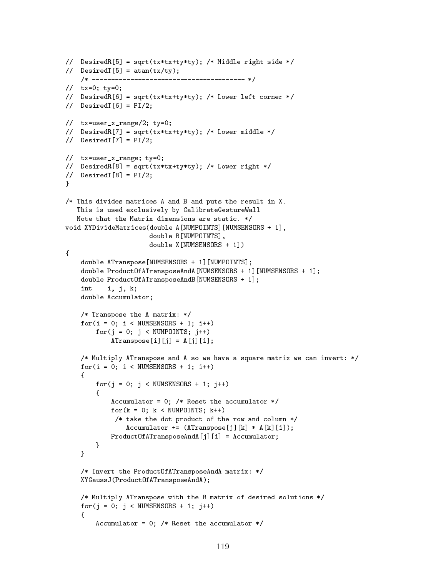```
// DesiredR[5] = sqrt(tx*tx+ty*ty); /* Middle right side */
// DesiredT[5] = atan(tx/ty);/* ---------------------------------------- */
// tx=0; ty=0;
// DesiredR[6] = sqrt(tx*tx+ty*ty); /* Lower left corner */
\frac{1}{2} DesiredT[6] = PI/2;
// tx=user_x_range/2; ty=0;
// DesiredR[7] = sqrt(tx*tx+ty*ty); /* Lower middle */
// DesiredT[7] = PI/2;
// tx=user_x_range; ty=0;
// DesiredR[8] = sqrt(tx*tx+ty*ty); /* Lower right */
\frac{1}{2} DesiredT[8] = PI\frac{2}{3};
\mathcal{F}}
/* This divides matrices A and B and puts the result in X.
   This is used exclusively by CalibrateGestureWall
   Note that the Matrix dimensions are static. */
void XYDivideMatrices(double A[NUMPOINTS][NUMSENSORS + 1],
                        double B[NUMPOINTS],
                        double X[NUMSENSORS + 1])
{
    double ATranspose[NUMSENSORS + 1][NUMPOINTS];
    double ProductOfATransposeAndA[NUMSENSORS + 1][NUMSENSORS + 1];
    double ProductOfATransposeAndB[NUMSENSORS + 1];
    int i, j, k;
    double Accumulator;
    /* Transpose the A matrix: */
    for(i = 0; i < NUMSENSORS + 1; i++)for(j = 0; j < NUMPOLNTS; j++)ATranspose[i][j] = A[j][i];/* Multiply ATranspose and A so we have a square matrix we can invert: */
    for(i = 0; i < NUMSENSORS + 1; i++)\left\{ \right.{
        for(j = 0; j < NUMSENSORS + 1; j++)\mathcal{L}{\color{red} \bullet} . The contract of the contract of the contract of the contract of the contract of the contract of the contract of the contract of the contract of the contract of the contract of the contract of the contract of 
             Accumulator = 0; /* Reset the accumulator */for(k = 0; k < NUMPOLNTS; k++)/* take the dot product of the row and column */Accumulator += (ATranspose[j][k] * A[k][i]),ProductOfATransposeAndA[j][i] = Accumulator;
        }
    }
    /* Invert the ProductOfATransposeAndA matrix: */
    XYGaussJ(ProductOfATransposeAndA);
    /* Multiply ATranspose with the B matrix of desired solutions */
    for(j = 0; j < NUMSENSORS + 1; j++){
         Accumulator = 0; /* Reset the accumulator */
```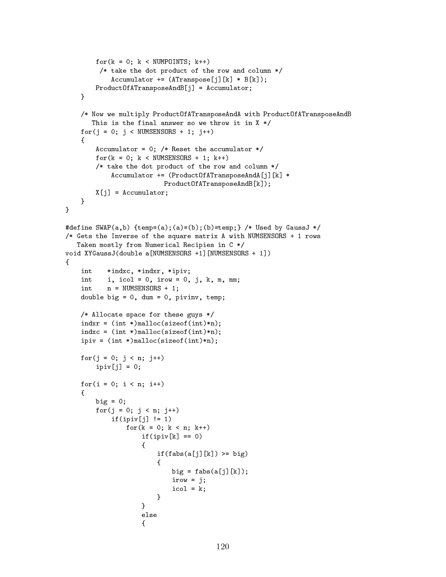```
for(k = 0; k < NUMPOLNTS; k++)/* take the dot product of the row and column */
                 Accumulator += (ATranspose[j][k] * B[k]),ProductOfATransposeAndB[j] = Accumulator;
     \mathcal{F}<u>Property</u>
     /* Now we multiply ProductOfATransposeAndA with ProductOfATransposeAndB
         This is the final answer so we throw it in X * /for(j = 0; j < NUMSENSORS + 1; j++)\mathcal{F}{
           Accumulator = 0; /* Reset the accumulator */for(k = 0; k < NUMSENSORS + 1; k++)/* take the dot product of the row and column */
                 Accumulator += (ProductOfATransposeAndA[j][k] *
                                   ProductOfATransposeAndB[k]);
           X[j] = Accumulator;
     }
\mathcal{F}}
#define SWAP(a,b) {temp=(a);(a)=(b);(b)=temp;} /* Used by GaussJ */
/* Gets the Inverse of the square matrix A with NUMSENSORS + 1 rows
    Taken mostly from Numerical Recipies in C */
void XYGaussJ(double a[NUMSENSORS +1][NUMSENSORS + 1])
€
{\color{red} \bullet} . The contract of the contract of the contract of the contract of the contract of the contract of the contract of the contract of the contract of the contract of the contract of the contract of the contract of 
     int
               *indxc, *indxr, *ipiv;
     int i, icol = 0, irow = 0, j, k, m, mm;
     int \t n = NUMSENSORS + 1;double big = 0, dum = 0, pivinv, temp;
     /* Allocate space for these guys */
     indxr = (int *)malloc(sizeof(int)*n);
     indxc = (int *)malloc(sizeof(int)*n);
     ipiv = (int *)malloc(sizeof(int)*n);
     for(j = 0; j < n; j++)ipiv[j] = 0;for(i = 0; i < n; i++)\mathcal{F}{\color{red} \bullet} . The contract of the contract of the contract of the contract of the contract of the contract of the contract of the contract of the contract of the contract of the contract of the contract of the contract of 
           big = 0;
           for(j = 0; j < n; j++)if(ipiv[j] |= 1)for(k = 0; k < n; k^{++})
                           if(ipiv[k] == 0){
                                 if(fabs(a[j][k]) \geq bi)\mathcal{L}big = fabs(a[j][k]);
                                      irow = j;
                                      icol = k;}
                            }
                           else
                           \left\{ \right.
```
 ${\bf r}$  and  ${\bf r}$  and  ${\bf r}$  and  ${\bf r}$  and  ${\bf r}$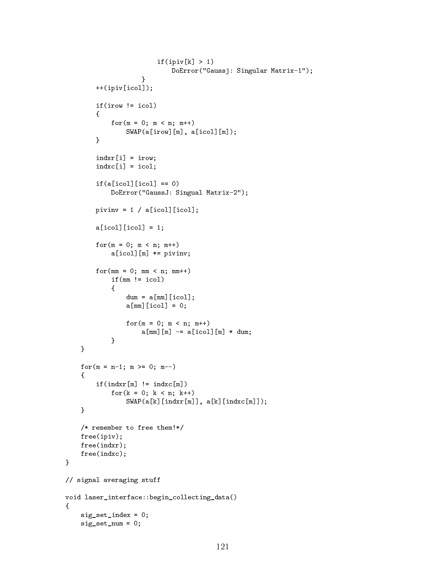```
if(ipiv[k] > 1)DoError("Gaussj: Singular Matrix-1");
                                 \mathcal{F}}
             ++(ipiv[icol]);
             if(irow != icol)
             \left\{ \right.{\color{red} \bullet} . The contract of the contract of the contract of the contract of the contract of the contract of the contract of the contract of the contract of the contract of the contract of the contract of the contract of 
                    for(m = 0; m < n; m^{++})
                          SWAP(a[irow][m], a[icol][m]);
             }
             indxr[i] = irow;index[i] = icol;if(a[icol][icol] == 0)DoError("GaussJ: Singual Matrix-2");
             pivinv = 1 / a[icol][icol];a[icol][icol] = 1;for(m = 0; m < n; m^{++})
                    a[icol][m] *= pivinv;
             for(mm = 0; mm < n; mm++)if(mm != icol){
                          dum = a[mm][icol];a[mm][icol] = 0;for(m = 0; m < n; m^{++})
                                 a[mm][m] -= a[icol][m] * dum;
                    }
       }
      for(m = n-1; m \ge 0; m--)
      \left\{ \right.{
             if(intxr[m] := indexc[m])for(k = 0; k < n; k++)SWAP(a[k][indxr[m]], a[k][indxc[m]]);\mathcal{F}\overline{a} . The contract of the contract of the contract of the contract of the contract of the contract of the contract of the contract of the contract of the contract of the contract of the contract of the contract of th
      /* remember to free them!*/
      free(ipiv);
      free(indxr);
      free(indxc);
// signal averaging stuff
void laser_interface::begin_collecting_data()
{\bf r} and {\bf r} and {\bf r} and {\bf r} and {\bf r}sig_set_index = 0;
      sig_set_num = 0;
```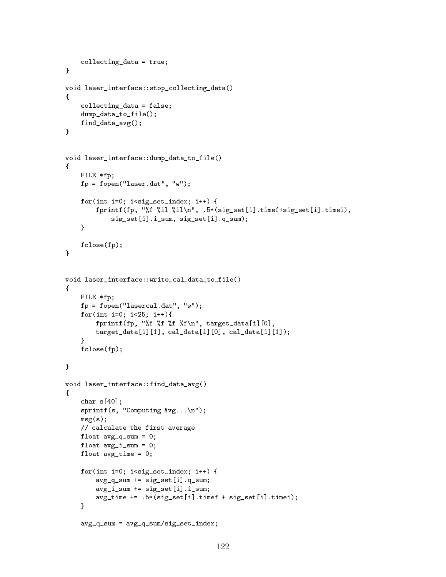```
collecting_data = true;
\mathcal{F}}
void laser_interface::stop_collecting_data()
{
      collecting_data = false;
      dump_data_to_file();
     find_data_avg();
\mathcal{F}}
void laser_interface::dump_data_to_file()
{
     FILE *fp;
     fp = fopen("laser.dat", "w");
     for(int i=0; i<sig_set_index; i++) {
           fprintf(fp, "%f %il %il\n", .5*(sig_set[i].timef+sig_set[i].timei),
                 sig_set[i].i_sum, sig_set[i].q_sum);
      <sup>}</sup>
      }
     fclose(fp);
\mathcal{F}}
void laser_interface::write_cal_data_to_file()
{
     FILE *fp;
     fp = fopen("lasercal.dat", "w");
     for(int i=0; i<25; i++){
           fprintf(fp, "%f %f %f\n", target_data[i][0],
           target_data[i][1], cal_data[i][0], cal_data[i][1]);
      \overline{a} . The contract of the contract of the contract of the contract of the contract of the contract of the contract of the contract of the contract of the contract of the contract of the contract of the contract of th
     fclose(fp);
}
void laser_interface::find_data_avg()
f.
{\color{red} \bullet} . The contract of the contract of the contract of the contract of the contract of the contract of the contract of the contract of the contract of the contract of the contract of the contract of the contract of 
      char s[40];
      sprintf(s, "Computing Avg...n");
     msg(s);
      // calculate the first average
     float avg_q_sum = 0;float avg_i_sum = 0;
     float avg_time = 0;for(int i=0; i < sig_set_index; i++) {
           avg_q_sum += sig_set[i].q_sum;avg_i_sum += sig_set[i].i_sum;
           avg_time += .5*(sig_set[i].timef + sig_set[i].timei);
      }
      avg_q_sum = avg_q_sum / sig_set_index;
```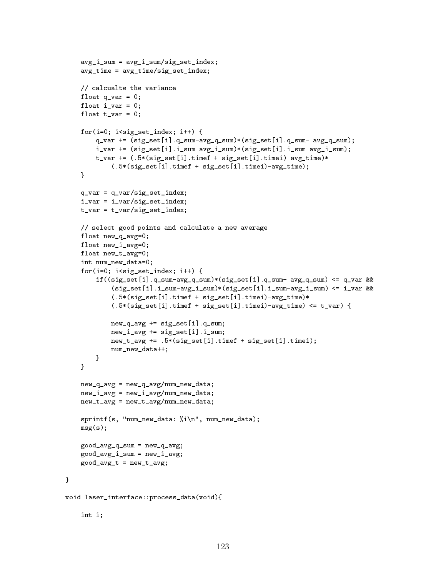```
avg_i_sum = avg_i_sum/sig_set_index;
    avg_time = avg_time/sig_set_index;// calcualte the variance
    float q_{var} = 0;
    float i<sub>-</sub>var = 0;
    float t_var = 0;
    for(i=0; i < sig_set_index; i++) {
        q_var += (sig_set[i].q_sum-avg_q_sum)*(sig_set[i].q_sum- avg_q_sum);
        i_var += (sig_set[i].i_sum-avg_i_sum)*(sig_set[i].i_sum-avg_i_sum);
        t_var += (.5*(sig_set[i].timef + sig_set[i].timei)-avg_time)*
            (.5*(sig_set[i].timef + sig_set[i].timei)-avg_time);
    }
    q_{var} = q_{var}/sig_{set\_index};i_var = i_var/sig_set_index;
    t_var = t_var/sig_set_index;// select good points and calculate a new average
    float new_q_avg=0;
    float new_i_avg=0;
    float new_t_avg=0;
    int num_new_data=0;
    for(i=0; i<sig_set_index; i++) {
        if((sig_set[i].q_sum-avg_q_sum)*(sig_set[i].q_sum- avg_q_sum) <= q_var &&
            (sig_set[i].i_sum-avg_i_sum)*(sig_set[i].i_sum-avg_i_sum) <= i_var &&
            (.5*(sig_set[i].timef + sig_set[i].timei)-avg_time)*
            (.5*(sig_set[i].timef + sig_set[i].timei)-avg_time) \leq t_var) {
            new_q<sub>-</sub>avg += sig_set[i].q-sum;
            new_i_avg += sig_set[i].i_sum;
            new_t_avg += .5*(sig_set[i].timef + sig_set[i].timei);
            num_new_data++;
        }
    \mathcal{F}}
    new_q_avg = new_q_avg/num_new_data;new_i_avg = new_i_avg/num_new_data;
    new_t_avg = new_t_avg / num_new_data;sprintf(s, "num_new_data: %i\n", num_new_data);
    msg(s);good_avg_q_sum = new_q_avg;
    good_avg_i_sum = new_i_avg;
    good_avg_t = new_t_avg;void laser_interface::process_data(void){
    int i;
```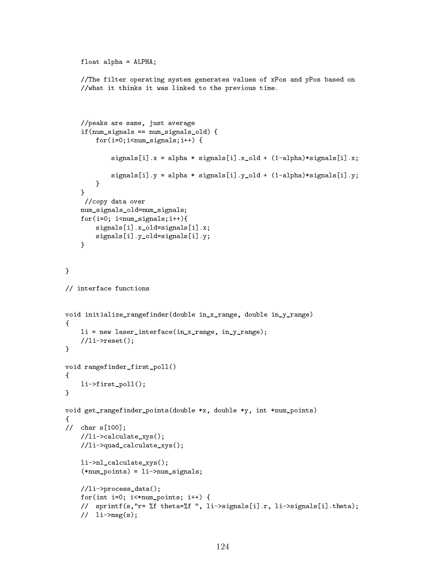```
float alpha = ALPHA;
      //The filter operating system generates values of xPos and yPos based on
      //what it thinks it was linked to the previous time.
      //peaks are same, just average
      if(num_signals == num_signals_old) {
           for(i=0; i \leq num\_signals;i++) {
                 signals[i].x = alpha * signals[i].x_old + (1-alpha)*signals[i].x;
                 signals[i].y = alpha * signals[i].y_old + (1-a1pha)*signals[i].y;}
      \overline{a} . The contract of the contract of the contract of the contract of the contract of the contract of the contract of the contract of the contract of the contract of the contract of the contract of the contract of th
       //copy data over
     num_signals_old=num_signals;
      for(i=0; i<num_signals;i++){
           signals[i].x_old=signals[i].x;
           signals[i].y_old=signals[i].y;
      \mathcal{F}}
\mathcal{F}}
// interface functions
void initialize_rangefinder(double in_x_range, double in_y_range)
{\color{red} \bullet} . The contract of the contract of the contract of the contract of the contract of the contract of the contract of the contract of the contract of the contract of the contract of the contract of the contract of 
     li = new laser_interface(in_x_range, in_y_range);
      //li\rightarrowreset();
\mathcal{F}}
void rangefinder_first_poll()
{
      li->first_poll();
\mathcal{F}}
void get_rangefinder_points(double *x, double *y, int *num_points)
{
// char s[100];
     //li->calculate_xys();
      //li->quad_calculate_xys();
      li->nl_calculate_xys();
      (*num_points) = li->num_signals;
      //li->process_data();
     for(int i=0; i <*num_points; i++) {
      // sprintf(s,"r= %f theta=%f ", li->signals[i].r, li->signals[i].theta);
      \frac{1}{1} li->msg(s);
```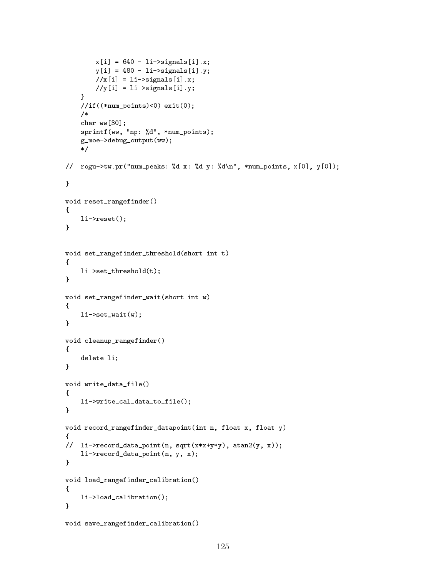```
x[i] = 640 - li->signals[i].x;y[i] = 480 - i -\nsigma signals[i].y;//x[i] = li->signals[i].x;//y[i] = li->signals[i].y;\mathcal{F}}
        //if((*num_points)<0) exit(0);
        /*/*
        char ww[30];
        sprintf(ww, "np: %d", *num_points);
        g_moe->debug_output(ww);
         \sqrt{ }// rogu->tw.pr("num_peaks: %d x: %d y: %d\n", *num_points, x[0], y[0]);
}
void reset_rangefinder()
\left\{ \right.{
        li->reset();
\mathcal{F}}
void set_rangefinder_threshold(short int t)
\mathcal{F}{\color{red} \bullet} . The contract of the contract of the contract of the contract of the contract of the contract of the contract of the contract of the contract of the contract of the contract of the contract of the contract of 
        li->set_threshold(t);
 }
void set_rangefinder_wait(short int w)
 {
        li->set_wait(w);
 \overline{a} . The contract of the contract of the contract of the contract of the contract of the contract of the contract of the contract of the contract of the contract of the contract of the contract of the contract of th
void cleanup_rangefinder()
 {
        delete li;
\mathcal{F}}
void write_data_file()
\left\{ \right.{\color{red} \bullet} . The contract of the contract of the contract of the contract of the contract of the contract of the contract of the contract of the contract of the contract of the contract of the contract of the contract of 
        li->write_cal_data_to_file();
\mathcal{F}\overline{a} . The contract of the contract of the contract of the contract of the contract of the contract of the contract of the contract of the contract of the contract of the contract of the contract of the contract of th
void record_rangefinder_datapoint(int n, float x, float y)
{
// li->record_data_point(n, sqrt(x*x+y*y), atan2(y, x));
        li->record_data_point(n, y, x);
}
void load_rangefinder_calibration()
 {
        li->load_calibration();
 }
void save_rangefinder_calibration()
```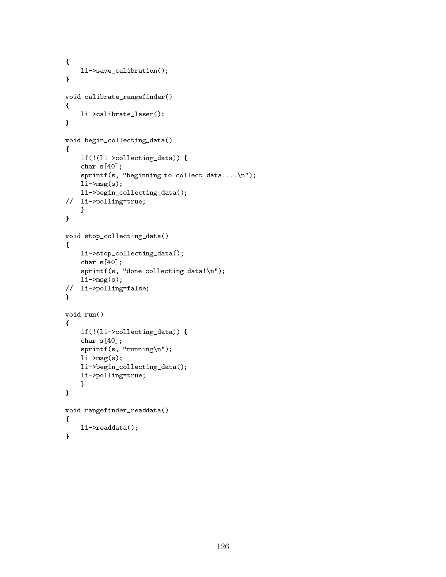```
{
     li->save_calibration();
\mathcal{F}}
void calibrate_rangefinder()
{
      li->calibrate_laser();
}
void begin_collecting_data()
{
     if(!(li->collecting_data)) {
      char s[40];
      sprintf(s, "beginning to collect data....\n");
      li\rightarrow msg(s);li->begin_collecting_data();
// li->polling=true;
     \mathcal{F}}
}
void stop_collecting_data()
{
      li->stop_collecting_data();
      char s[40];
      sprintf(s, "done collecting data!\n");
     li->msg(s);
// li->polling=false;
}
void run()
{\color{red} \bullet} . The contract of the contract of the contract of the contract of the contract of the contract of the contract of the contract of the contract of the contract of the contract of the contract of the contract of 
     if(!(li->collecting_data)) {
      char s[40];
     sprintf(s, "running\n';
     li\rightarrow msg(s);li->begin_collecting_data();
     li->polling=true;
      }
}
void rangefinder_readdata()
{
     li->readdata();
}
```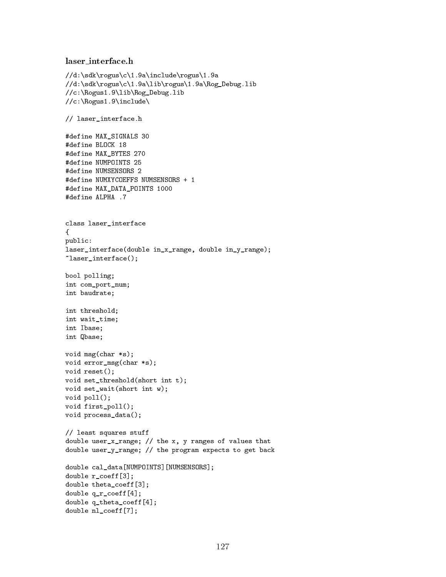## laser\_interface.h

```
//d:\sdk\rogus\c\1.9a\include\rogus\1.9a
//d:\sdk\rogus\c\1.9a\lib\rogus\1.9a\Rog_Debug.lib
//c:\Rogus1.9\lib\Rog_Debug.lib
//c:\Rogus1.9\include\
// laser_interface.h
#define MAX_SIGNALS 30
#define BLOCK 18
#define MAX_BYTES 270
#define NUMPOINTS 25
#define NUMSENSORS 2
#define NUMXYCOEFFS NUMSENSORS + 1
#define MAX_DATA_POINTS 1000
#define ALPHA .7
class laser_interface
{
public:
laser_interface(double in_x_range, double in_y_range);
~laser_interface();
bool polling;
int com_port_num;
int baudrate;
int threshold;
int wait_time;
int Ibase;
int Qbase;
void msg(char *s);
void error_msg(char *s);
void reset();
void set_threshold(short int t);
void set_wait(short int w);
void poll();
void first_poll();
void process_data();
// least squares stuff
double user_x_range; // the x, y ranges of values that
double user_y_range; // the program expects to get back
double cal data[NUMPOINTS][NUMSENSORS];
double r_coeff[3];
double theta_coeff[3];
double q_r_coeff[4];
double q_theta_coeff[4];
double nl_coeff[7];
```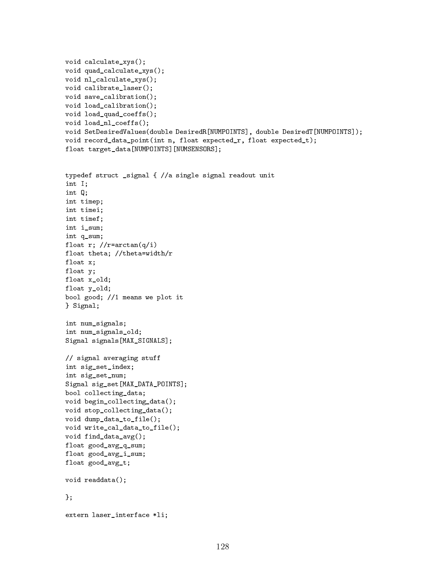```
void calculate_xys();
void quad_calculate_xys();
void nl_calculate_xys();
void calibrate_laser();
void save_calibration();
void load_calibration();
void load_quad_coeffs();
void load_nl_coeffs();
void SetDesiredValues(double DesiredR[NUMPOINTS], double DesiredT[NUMPOINTS]);
void record_data_point(int n, float expected_r, float expected_t);
float target_data[NUMPOINTS][NUMSENSORS];
typedef struct _signal { //a single signal readout unit
int I;
int Q;
int timep;
int timei;
int timef;
int i sum;
int q_sum;
float r; //r=arctan(q/i)
float theta; //theta=width/r
float x;
float y;
float x_old;
float y_old;
bool good; //1 means we plot it
} Signal;
int num_signals;
int num_signals_old;
Signal signals[MAX_SIGNALS];
// signal averaging stuff
int sig_set_index;
int sig_set_num;
Signal sig_set[MAX_DATA_POINTS];
bool collecting_data;
void begin_collecting_data();
void stop_collecting_data();
void dump_data_to_file();
void write_cal_data_to_file();
void find_data_avg();
float good_avg_q_sum;
float good_avg_i_sum;
float good_avg_t;
void readdata();
};
extern laser_interface *li;
```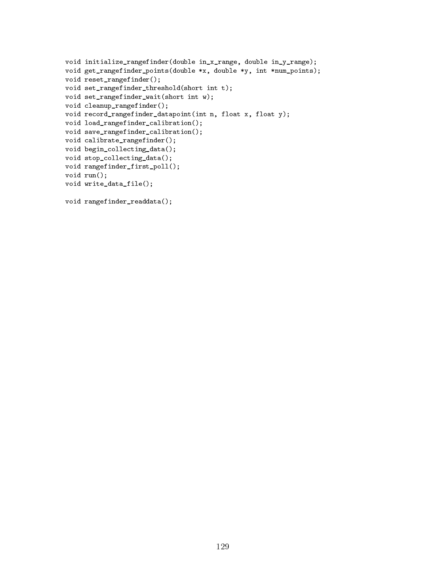```
void initialize_rangefinder(double in_x_range, double in_y_range);
void get_rangefinder_points(double *x, double *y, int *num_points);
void reset_rangefinder();
void set_rangefinder_threshold(short int t);
void set_rangefinder_wait(short int w);
void cleanup_rangefinder();
void record_rangefinder_datapoint(int n, float x, float y);
void load_rangefinder_calibration();
void save_rangefinder_calibration();
void calibrate_rangefinder();
void begin_collecting_data();
void stop_collecting_data();
void rangefinder_first_poll();
void run();
void write_data_file();
```

```
void rangefinder_readdata();
```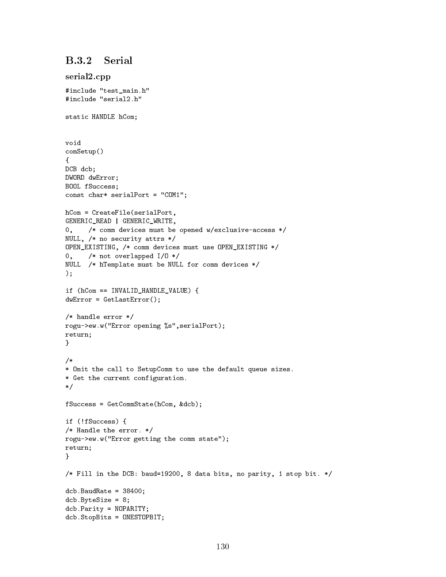## $B.3.2$ Serial

```
serial2.cpp
#include "test_main.h"
#include "serial2.h"
static HANDLE hCom;
void
comSetup()
{
DCB dcb;
DWORD dwError;
BOOL fSuccess;
const char* serialPort = "COM1";
hCom = CreateFile(serialPort,
GENERIC_READ | GENERIC_WRITE,
0, /* comm devices must be opened w/exclusive-access */
NULL, /* no security attrs */
OPEN_EXISTING, /* comm devices must use OPEN_EXISTING */
0, /* not overlapped I/O */
NULL /* hTemplate must be NULL for comm devices */
);
if (hCom == INVALID HANDLE VALUE) {
dwError = GetLastError();
/* handle error */
rogu->ew.w("Error opening %s",serialPort);
return;
}
/*
* Omit the call to SetupComm to use the default queue sizes.
* Get the current configuration.
\mathcal{L} . The same state \mathcal{L}fSuccess = GetCommState(hCom, &dcb);
if (!fSuccess) {
/* Handle the error. */
rogu->ew.w("Error getting the comm state");
return;
\mathcal{F}}
/* Fill in the DCB: baud=19200, 8 data bits, no parity, 1 stop bit. */
dcb.BaudRate = 38400;dcb.ByteSize = 8;
dcb.Parity = NOPARITY;
dcb.StopBits = ONESTOPBIT;
```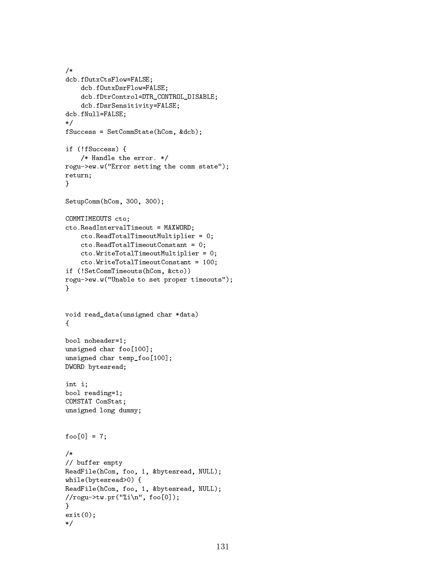```
/*
/*
dcb.fOutxCtsFlow=FALSE;
      dcb.fOutxDsrFlow=FALSE;
       dcb.fDtrControl=DTR_CONTROL_DISABLE;
      dcb.fDsrSensitivity=FALSE;
dcb.fNull=FALSE;
\ast/\mathbf{r} . The state of the state of the state of the state of the state of the state of the state of the state of the state of the state of the state of the state of the state of the state of the state of the state of th
fSuccess = SetCommState(hCom, &dcb);
if (!fSuccess) {
       /* Handle the error. */
rogu->ew.w("Error setting the comm state");
return;
\overline{a} . The contract of the contract of the contract of the contract of the contract of the contract of the contract of the contract of the contract of the contract of the contract of the contract of the contract of th
SetupComm(hCom, 300, 300);
COMMTIMEOUTS cto;
cto.ReadIntervalTimeout = MAXWORD;
       cto.ReadTotalTimeoutMultiplier = 0;
       cto.ReadTotalTimeoutConstant = 0;
       cto.WriteTotalTimeoutMultiplier = 0;
       cto.WriteTotalTimeoutConstant = 100;
if (!SetCommTimeouts(hCom, &cto))
rogu->ew.w("Unable to set proper timeouts");
}
void read_data(unsigned char *data)
{\color{red} \bullet} . The contract of the contract of the contract of the contract of the contract of the contract of the contract of the contract of the contract of the contract of the contract of the contract of the contract of 
bool noheader=1;
unsigned char foo[100];
unsigned char temp_foo[100];
DWORD bytesread;
int i;
bool reading=1;
COMSTAT ComStat;
unsigned long dummy;
foo[0] = 7;/*
// buffer empty
ReadFile(hCom, foo, 1, &bytesread, NULL);
while(bytesread>0) {
ReadFile(hCom, foo, 1, &bytesread, NULL);
//rogu->tw.pr("%i\n", foo[0]);
}
exit(0);
\ast/\sqrt{ }
```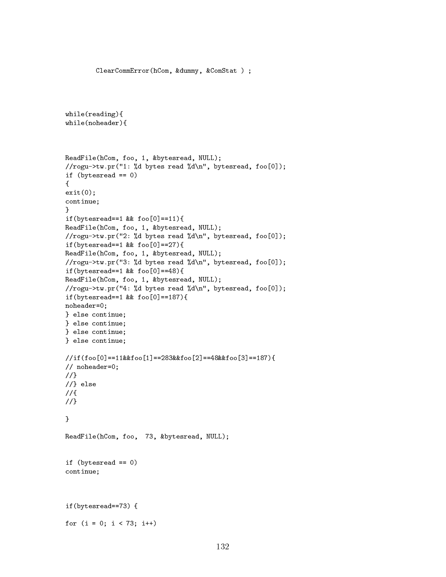```
while(reading){
while(noheader){
ReadFile(hCom, foo, 1, &bytesread, NULL);
//rogu->tw.pr("1: %d bytes read %d\n", bytesread, foo[0]);
if (bytesread == 0)
{
exit(0);continue;
Y
}
if(bytesread==1 & foo[0]==11){
ReadFile(hCom, foo, 1, &bytesread, NULL);
//rogu->tw.pr("2: %d bytes read %d\n", bytesread, foo[0]);
if(bytesread==1 & foo[0]==27){
ReadFile(hCom, foo, 1, &bytesread, NULL);
//rogu->tw.pr("3: %d bytes read %d\n", bytesread, foo[0]);
if(bytesread==1 & foo[0]==48){
ReadFile(hCom, foo, 1, &bytesread, NULL);
//rogu->tw.pr("4: %d bytes read %d\n", bytesread, foo[0]);
if(bytesread==1 && foo[0]==187){
noheader=0;
} else continue;
} else continue;
} else continue;
} else continue;
//if(foo[0]==11&&foo[1]==283&&foo[2]==48&&foo[3]==187){
// noheader=0;
1/3//}
//} else
1/4//{
//}
}
ReadFile(hCom, foo, 73, &bytesread, NULL);
if (bytesread == 0)
continue;
if(bytesread==73) {
for (i = 0; i < 73; i++)
```
ClearCommError(hCom, &dummy, &ComStat ) ;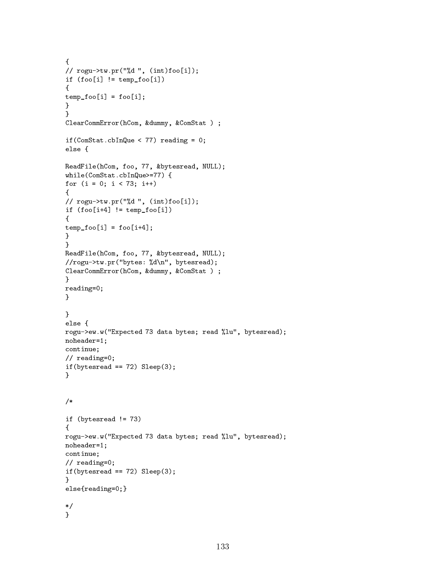```
{
// rogu->tw.pr("%d ", (int)foo[i]);
if (foo[i] != temp_foo[i]){
temp_foo[i] = foo[i];}
\mathcal{F}\overline{a} . The contract of the contract of the contract of the contract of the contract of the contract of the contract of the contract of the contract of the contract of the contract of the contract of the contract of th
ClearCommError(hCom, &dummy, &ComStat ) ;
if(ComStat.cbInQue < 77) reading = 0;
else {
ReadFile(hCom, foo, 77, &bytesread, NULL);
while(ComStat.cbInQue>=77) {
for (i = 0; i < 73; i++){
// rogu->tw.pr("%d ", (int)foo[i]);
if (foo[i+4] != temp_foo[i]){
temp_foo[i] = foo[i+4];}
\mathcal{F}}
ReadFile(hCom, foo, 77, &bytesread, NULL);
//rogu->tw.pr("bytes: %d\n", bytesread);
ClearCommError(hCom, &dummy, &ComStat ) ;
}
reading=0;
}
}
else {
rogu->ew.w("Expected 73 data bytes; read %lu", bytesread);
noheader=1;
continue;
// reading=0;
if(bytesread == 72) Sleep(3);
<sup>}</sup>
}
/*
if (bytesread != 73)
{
rogu->ew.w("Expected 73 data bytes; read %lu", bytesread);
noheader=1;
continue;
// reading=0;
if(bytesread == 72) Sleep(3);}
else{reading=0;}
\sqrt{ }\mathcal{F}}
```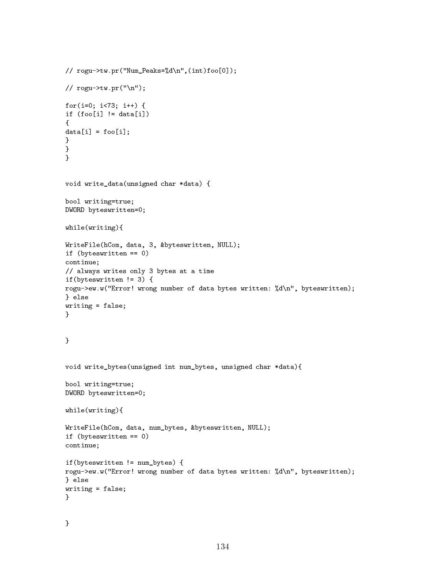```
// rogu->tw.pr("Num_Peaks=%d\n",(int)foo[0]);
// rogu->tw.py(''\n');
for(i=0; i<73; i++) {
if (foo[i] != data[i]){
data[i] = foo[i];}
}
}
void write_data(unsigned char *data) {
bool writing=true;
DWORD byteswritten=0;
while(writing){
WriteFile(hCom, data, 3, &byteswritten, NULL);
if (byteswritten == 0)
continue;
// always writes only 3 bytes at a time
if(byteswritten != 3) {
rogu->ew.w("Error! wrong number of data bytes written: %d\n", byteswritten);
} else
writing = false;
}
\overline{a} . The contract of the contract of the contract of the contract of the contract of the contract of the contract of the contract of the contract of the contract of the contract of the contract of the contract of th
void write_bytes(unsigned int num_bytes, unsigned char *data){
bool writing=true;
DWORD byteswritten=0;
while(writing){
WriteFile(hCom, data, num_bytes, &byteswritten, NULL);
if (byteswritten == 0)
continue;
if(byteswritten != num_bytes) {
rogu->ew.w("Error! wrong number of data bytes written: %d\n", byteswritten);
} else
writing = false;
}
```

```
\mathcal{F}}
```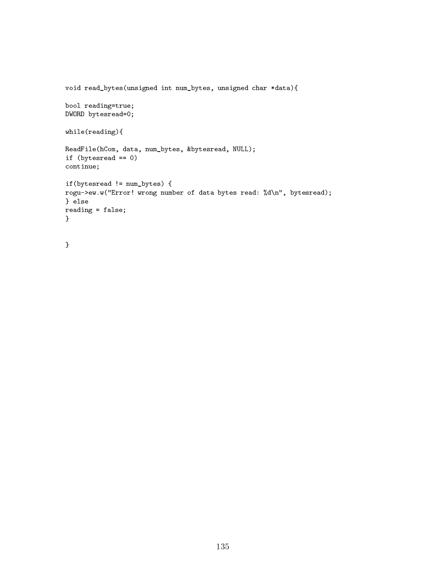```
void read_bytes(unsigned int num_bytes, unsigned char *data){
bool reading=true;
DWORD bytesread=0;
while(reading){
ReadFile(hCom, data, num_bytes, &bytesread, NULL);
if (bytesread == 0)
continue;
if(bytesread != num_bytes) {
rogu->ew.w("Error! wrong number of data bytes read: %d\n", bytesread);
} else
reading = false;
}
```

```
}
```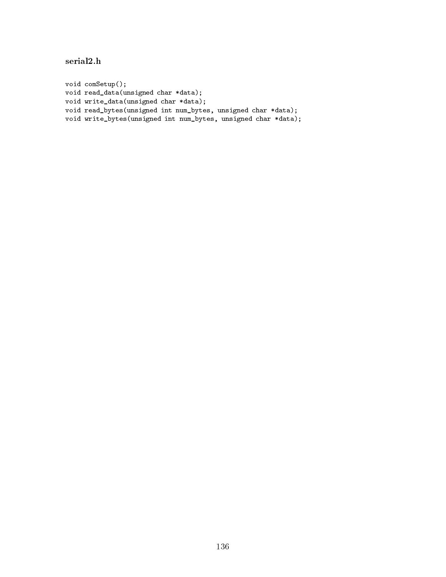serial2.h

void comSetup(); void read\_data(unsigned char \*data); void write\_data(unsigned char \*data); void read\_bytes(unsigned int num\_bytes, unsigned char \*data); void write\_bytes(unsigned int num\_bytes, unsigned char \*data);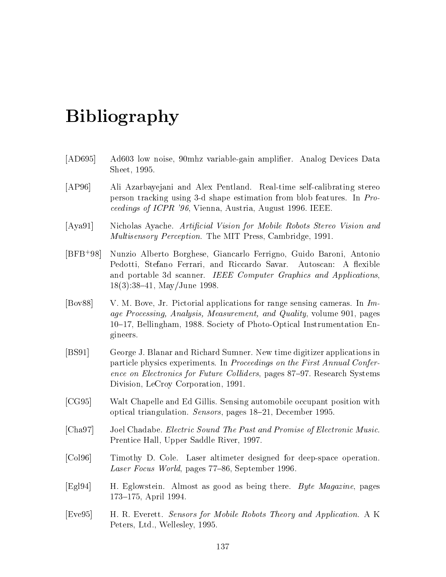## Bibliography

- [AD695] Ad603 low noise, 90mhz variable-gain amplifier. Analog Devices Data Sheet, 1995.
- [AP96] Ali Azarbayejani and Alex Pentland. Real-time self-calibrating stereo person tracking using 3-d shape estimation from blob features. In Proceedings of ICPR '96, Vienna, Austria, August 1996. IEEE.
- [Aya91] Nicholas Ayache. Articial Vision for Mobile Robots Stereo Vision and Multisensory Perception. The MIT Press, Cambridge, 1991.
- $[BFB+98]$ 98] Nunzio Alberto Borghese, Giancarlo Ferrigno, Guido Baroni, Antonio Pedotti, Stefano Ferrari, and Riccardo Savar. Autoscan: A flexible and portable 3d scanner. IEEE Computer Graphics and Applications,  $18(3):38{-}41$ , May/June 1998.
- [Bov88] V. M. Bove, Jr. Pictorial applications for range sensing cameras. In Image Processing, Analysis, Measurement, and Quality, volume 901, pages 10{17, Bellingham, 1988. Society of Photo-Optical Instrumentation Engineers.
- [BS91] George J. Blanar and Richard Sumner. New time digitizer applications in particle physics experiments. In Proceedings on the First Annual Conference on Electronics for Future Colliders, pages 87–97. Research Systems Division, LeCroy Corporation, 1991.
- [CG95] Walt Chapelle and Ed Gillis. Sensing automobile occupant position with optical triangulation. Sensors, pages 18-21, December 1995.
- [Cha97] Joel Chadabe. Electric Sound The Past and Promise of Electronic Music. Prentice Hall, Upper Saddle River, 1997.
- [Col96] Timothy D. Cole. Laser altimeter designed for deep-space operation. Laser Focus World, pages  $77-86$ , September 1996.
- [Egl94] H. Eglowstein. Almost as good as being there. *Byte Magazine*, pages 173-175, April 1994.
- [Eve95] H. R. Everett. Sensors for Mobile Robots Theory and Application. A K Peters, Ltd., Wellesley, 1995.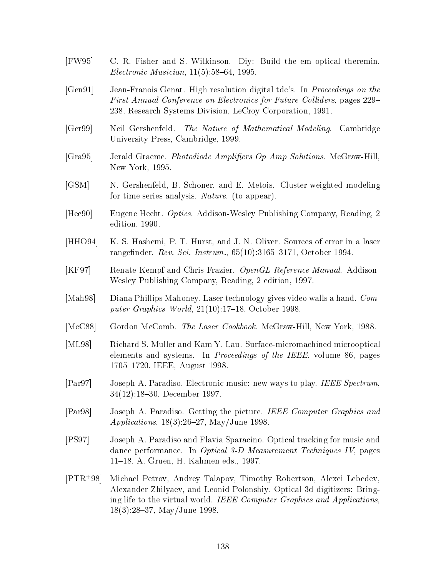- [FW95] C. R. Fisher and S. Wilkinson. Diy: Build the em optical theremin.  $Electronic$  *Musician*,  $11(5):58{-}64$ , 1995.
- [Gen91] Jean-Franois Genat. High resolution digital tdc's. In Proceedings on the First Annual Conference on Electronics for Future Colliders, pages 229– 238. Research Systems Division, LeCroy Corporation, 1991.
- [Ger99] Neil Gershenfeld. The Nature of Mathematical Modeling. Cambridge University Press, Cambridge, 1999.
- [Gra95] Jerald Graeme. Photodiode Ampliers Op Amp Solutions. McGraw-Hill, New York, 1995.
- [GSM] N. Gershenfeld, B. Schoner, and E. Metois. Cluster-weighted modeling for time series analysis. Nature. (to appear).
- [Hec90] Eugene Hecht. Optics. Addison-Wesley Publishing Company, Reading, 2 edition, 1990.
- [HHO94] K. S. Hashemi, P. T. Hurst, and J. N. Oliver. Sources of error in a laser rangefinder. Rev. Sci. Instrum.,  $65(10):3165-3171$ , October 1994.
- [KF97] Renate Kempf and Chris Frazier. OpenGL Reference Manual. Addison-Wesley Publishing Company, Reading, 2 edition, 1997.
- [Mah98] Diana Phillips Mahoney. Laser technology gives video walls a hand. Computer Graphics World,  $21(10):17-18$ , October 1998.
- [McC88] Gordon McComb. The Laser Cookbook. McGraw-Hill, New York, 1988.
- [ML98] Richard S. Muller and Kam Y. Lau. Surface-micromachined microoptical elements and systems. In Proceedings of the IEEE, volume 86, pages 1705-1720. IEEE, August 1998.
- [Par97] Joseph A. Paradiso. Electronic music: new ways to play. IEEE Spectrum, 34(12):18-30, December 1997.
- [Par98] Joseph A. Paradiso. Getting the picture. IEEE Computer Graphics and Applications,  $18(3):26-27$ , May/June 1998.
- [PS97] Joseph A. Paradiso and Flavia Sparacino. Optical tracking for music and dance performance. In Optical 3-D Measurement Techniques IV, pages 11{18. A. Gruen, H. Kahmen eds., 1997.
- $[PTR+98]$ Michael Petrov, Andrey Talapov, Timothy Robertson, Alexei Lebedev, Alexander Zhilyaev, and Leonid Polonshiy. Optical 3d digitizers: Bringing life to the virtual world. IEEE Computer Graphics and Applications,  $18(3):28{-}37$ , May/June 1998.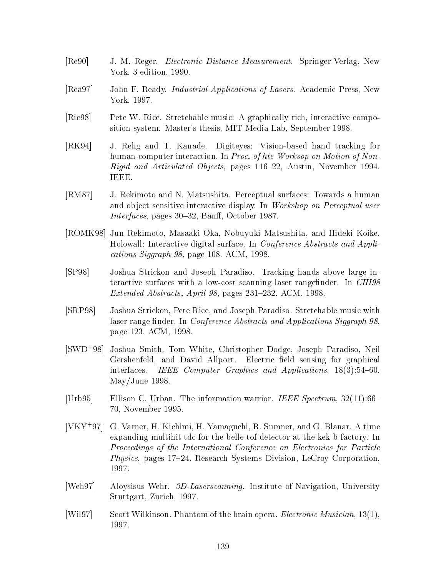- [Re90] J. M. Reger. Electronic Distance Measurement. Springer-Verlag, New York, 3 edition, 1990.
- [Rea97] John F. Ready. *Industrial Applications of Lasers*. Academic Press, New York, 1997.
- [Ric98] Pete W. Rice. Stretchable music: A graphically rich, interactive composition system. Master's thesis, MIT Media Lab, September 1998.
- [RK94] J. Rehg and T. Kanade. Digiteyes: Vision-based hand tracking for human-computer interaction. In Proc. of hte Worksop on Motion of Non-Rigid and Articulated Objects, pages 116-22, Austin, November 1994. IEEE.
- [RM87] J. Rekimoto and N. Matsushita. Perceptual surfaces: Towards a human and object sensitive interactive display. In Workshop on Perceptual user  $Interfaces$ , pages 30–32, Banff, October 1987.
- [ROMK98] Jun Rekimoto, Masaaki Oka, Nobuyuki Matsushita, and Hideki Koike. Holowall: Interactive digital surface. In Conference Abstracts and Applications Siggraph 98, page 108. ACM, 1998.
- [SP98] Joshua Strickon and Joseph Paradiso. Tracking hands above large interactive surfaces with a low-cost scanning laser rangefinder. In CHI98 Extended Abstracts, April 98, pages  $231-232$ . ACM, 1998.
- [SRP98] Joshua Strickon, Pete Rice, and Joseph Paradiso. Stretchable music with laser range finder. In *Conference Abstracts and Applications Siggraph 98*, page 123. ACM, 1998.
- $[SWD+98]$ 98] Joshua Smith, Tom White, Christopher Dodge, Joseph Paradiso, Neil Gershenfeld, and David Allport. Electric field sensing for graphical interfaces. IEEE Computer Graphics and Applications,  $18(3):54-60$ , May/June 1998.
- [Urb95] Ellison C. Urban. The information warrior. IEEE Spectrum,  $32(11):66-$ 70, November 1995.
- $[**VKY**<sup>+</sup>**97**]$ 97] G. Varner, H. Kichimi, H. Yamaguchi, R. Sumner, and G. Blanar. A time expanding multihit tdc for the belle tof detector at the kek b-factory. In Proceedings of the International Conference on Electronics for Particle *Physics*, pages  $17-24$ . Research Systems Division, LeCroy Corporation, 1997.
- [Weh97] Aloysisus Wehr. 3D-Laserscanning. Institute of Navigation, University Stuttgart, Zurich, 1997.
- [Wil97] Scott Wilkinson. Phantom of the brain opera. *Electronic Musician*, 13(1), 1997.